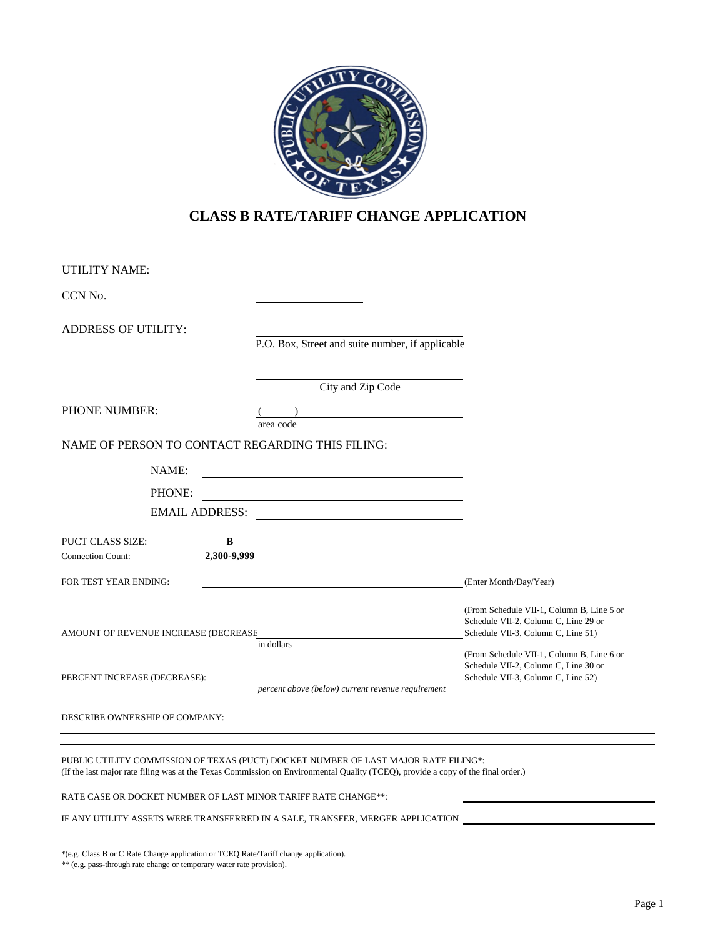

# **CLASS B RATE/TARIFF CHANGE APPLICATION**

| UTILITY NAME:                                       |                       |                                                   |                                                                                                                         |
|-----------------------------------------------------|-----------------------|---------------------------------------------------|-------------------------------------------------------------------------------------------------------------------------|
| CCN No.                                             |                       |                                                   |                                                                                                                         |
| <b>ADDRESS OF UTILITY:</b>                          |                       |                                                   |                                                                                                                         |
|                                                     |                       | P.O. Box, Street and suite number, if applicable  |                                                                                                                         |
|                                                     |                       | City and Zip Code                                 |                                                                                                                         |
| <b>PHONE NUMBER:</b>                                |                       | area code                                         |                                                                                                                         |
|                                                     |                       | NAME OF PERSON TO CONTACT REGARDING THIS FILING:  |                                                                                                                         |
| NAME:                                               |                       |                                                   |                                                                                                                         |
| PHONE:                                              |                       |                                                   |                                                                                                                         |
|                                                     | <b>EMAIL ADDRESS:</b> |                                                   |                                                                                                                         |
| <b>PUCT CLASS SIZE:</b><br><b>Connection Count:</b> | B<br>2,300-9,999      |                                                   |                                                                                                                         |
| FOR TEST YEAR ENDING:                               |                       |                                                   | (Enter Month/Day/Year)                                                                                                  |
| AMOUNT OF REVENUE INCREASE (DECREASE                |                       |                                                   | (From Schedule VII-1, Column B, Line 5 or<br>Schedule VII-2, Column C, Line 29 or<br>Schedule VII-3, Column C, Line 51) |
| PERCENT INCREASE (DECREASE):                        |                       | in dollars                                        | (From Schedule VII-1, Column B, Line 6 or<br>Schedule VII-2, Column C, Line 30 or<br>Schedule VII-3, Column C, Line 52) |
| DESCRIBE OWNERSHIP OF COMPANY:                      |                       | percent above (below) current revenue requirement |                                                                                                                         |
|                                                     |                       |                                                   |                                                                                                                         |

PUBLIC UTILITY COMMISSION OF TEXAS (PUCT) DOCKET NUMBER OF LAST MAJOR RATE FILING\*: (If the last major rate filing was at the Texas Commission on Environmental Quality (TCEQ), provide a copy of the final order.)

RATE CASE OR DOCKET NUMBER OF LAST MINOR TARIFF RATE CHANGE\*\*:

IF ANY UTILITY ASSETS WERE TRANSFERRED IN A SALE, TRANSFER, MERGER APPLICATION

\*(e.g. Class B or C Rate Change application or TCEQ Rate/Tariff change application).

\*\* (e.g. pass-through rate change or temporary water rate provision).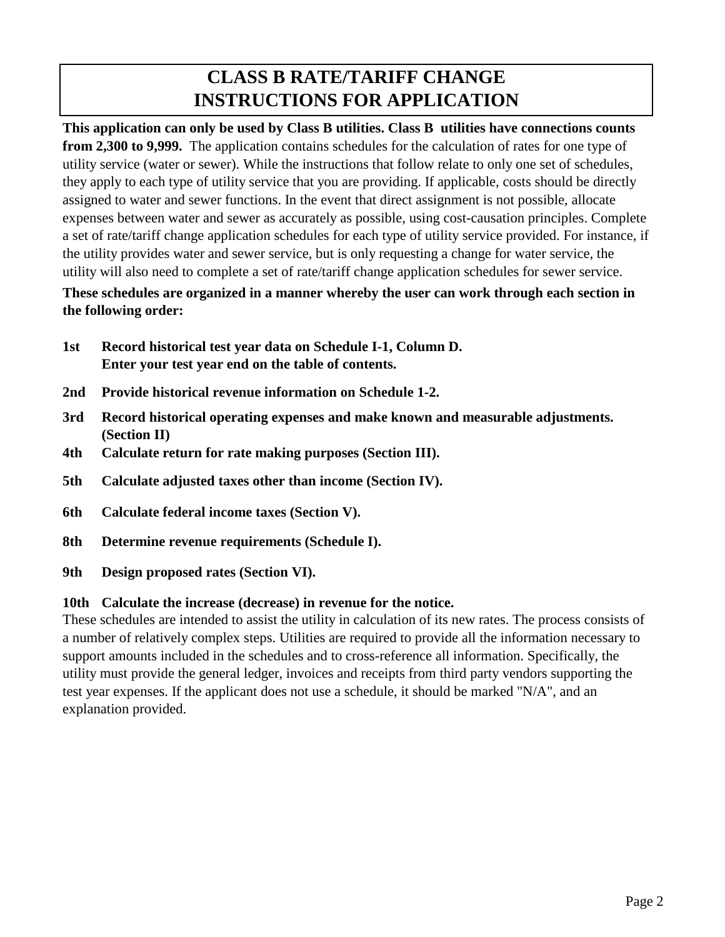# **CLASS B RATE/TARIFF CHANGE INSTRUCTIONS FOR APPLICATION**

**This application can only be used by Class B utilities. Class B utilities have connections counts from 2,300 to 9,999.** The application contains schedules for the calculation of rates for one type of utility service (water or sewer). While the instructions that follow relate to only one set of schedules, they apply to each type of utility service that you are providing. If applicable, costs should be directly assigned to water and sewer functions. In the event that direct assignment is not possible, allocate expenses between water and sewer as accurately as possible, using cost-causation principles. Complete a set of rate/tariff change application schedules for each type of utility service provided. For instance, if the utility provides water and sewer service, but is only requesting a change for water service, the utility will also need to complete a set of rate/tariff change application schedules for sewer service.

# **These schedules are organized in a manner whereby the user can work through each section in the following order:**

- **1st Record historical test year data on Schedule I-1, Column D. Enter your test year end on the table of contents.**
- **2nd Provide historical revenue information on Schedule 1-2.**
- **3rd Record historical operating expenses and make known and measurable adjustments. (Section II)**
- **4th Calculate return for rate making purposes (Section III).**
- **5th Calculate adjusted taxes other than income (Section IV).**
- **6th Calculate federal income taxes (Section V).**
- **8th Determine revenue requirements (Schedule I).**
- **9th Design proposed rates (Section VI).**

# **10th Calculate the increase (decrease) in revenue for the notice.**

These schedules are intended to assist the utility in calculation of its new rates. The process consists of a number of relatively complex steps. Utilities are required to provide all the information necessary to support amounts included in the schedules and to cross-reference all information. Specifically, the utility must provide the general ledger, invoices and receipts from third party vendors supporting the test year expenses. If the applicant does not use a schedule, it should be marked "N/A", and an explanation provided.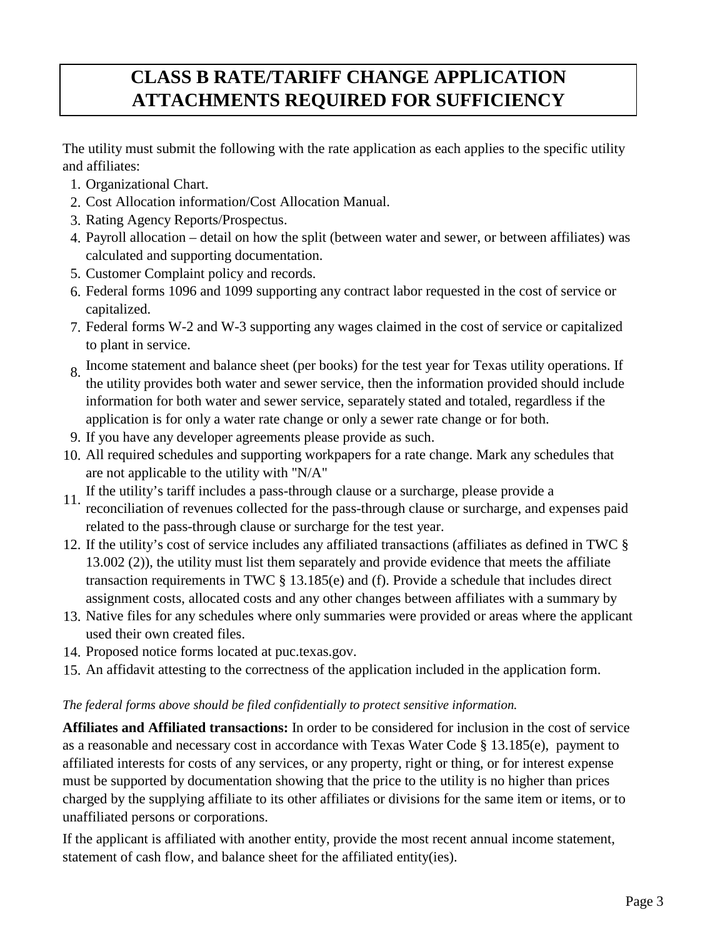# **CLASS B RATE/TARIFF CHANGE APPLICATION ATTACHMENTS REQUIRED FOR SUFFICIENCY**

The utility must submit the following with the rate application as each applies to the specific utility and affiliates:

- 1. Organizational Chart.
- 2. Cost Allocation information/Cost Allocation Manual.
- 3. Rating Agency Reports/Prospectus.
- 4. Payroll allocation detail on how the split (between water and sewer, or between affiliates) was calculated and supporting documentation.
- 5. Customer Complaint policy and records.
- 6. Federal forms 1096 and 1099 supporting any contract labor requested in the cost of service or capitalized.
- 7. Federal forms W-2 and W-3 supporting any wages claimed in the cost of service or capitalized to plant in service.
- 8. Income statement and balance sheet (per books) for the test year for Texas utility operations. If the utility provides both water and sewer service, then the information provided should include information for both water and sewer service, separately stated and totaled, regardless if the application is for only a water rate change or only a sewer rate change or for both.
- 9. If you have any developer agreements please provide as such.
- 10. All required schedules and supporting workpapers for a rate change. Mark any schedules that are not applicable to the utility with "N/A"
- 11. If the utility's tariff includes a pass-through clause or a surcharge, please provide a reconciliation of revenues collected for the pass-through clause or surcharge, and expenses paid related to the pass-through clause or surcharge for the test year.
- 12. If the utility's cost of service includes any affiliated transactions (affiliates as defined in TWC § 13.002 (2)), the utility must list them separately and provide evidence that meets the affiliate transaction requirements in TWC § 13.185(e) and (f). Provide a schedule that includes direct assignment costs, allocated costs and any other changes between affiliates with a summary by
- 13. Native files for any schedules where only summaries were provided or areas where the applicant used their own created files.
- 14. Proposed notice forms located at puc.texas.gov.
- 15. An affidavit attesting to the correctness of the application included in the application form.

## *The federal forms above should be filed confidentially to protect sensitive information.*

**Affiliates and Affiliated transactions:** In order to be considered for inclusion in the cost of service as a reasonable and necessary cost in accordance with Texas Water Code § 13.185(e), payment to affiliated interests for costs of any services, or any property, right or thing, or for interest expense must be supported by documentation showing that the price to the utility is no higher than prices charged by the supplying affiliate to its other affiliates or divisions for the same item or items, or to unaffiliated persons or corporations.

If the applicant is affiliated with another entity, provide the most recent annual income statement, statement of cash flow, and balance sheet for the affiliated entity(ies).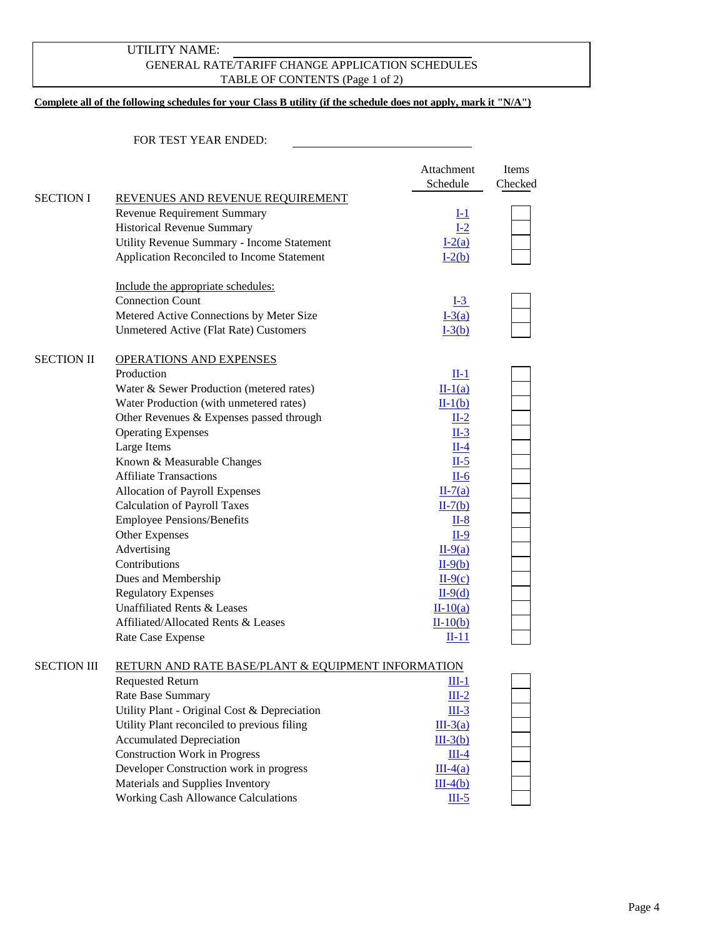### GENERAL RATE/TARIFF CHANGE APPLICATION SCHEDULES TABLE OF CONTENTS (Page 1 of 2) UTILITY NAME:

#### **Complete all of the following schedules for your Class B utility (if the schedule does not apply, mark it "N/A")**

|                    |                                                               | Attachment<br>Schedule | <b>Items</b><br>Checked |
|--------------------|---------------------------------------------------------------|------------------------|-------------------------|
| <b>SECTION I</b>   | REVENUES AND REVENUE REQUIREMENT                              |                        |                         |
|                    | Revenue Requirement Summary                                   | $l-1$                  |                         |
|                    | <b>Historical Revenue Summary</b>                             | $I-2$                  |                         |
|                    | Utility Revenue Summary - Income Statement                    | $I-2(a)$               |                         |
|                    | Application Reconciled to Income Statement                    | $I-2(b)$               |                         |
|                    | Include the appropriate schedules:                            |                        |                         |
|                    | <b>Connection Count</b>                                       | $I-3$                  |                         |
|                    | Metered Active Connections by Meter Size                      | $I-3(a)$               |                         |
|                    | <b>Unmetered Active (Flat Rate) Customers</b>                 | $I-3(b)$               |                         |
| <b>SECTION II</b>  | <b>OPERATIONS AND EXPENSES</b>                                |                        |                         |
|                    | Production                                                    | $II-1$                 |                         |
|                    | Water & Sewer Production (metered rates)                      | $II-1(a)$              |                         |
|                    | Water Production (with unmetered rates)                       | $II-1(b)$              |                         |
|                    | Other Revenues & Expenses passed through                      | $II-2$                 |                         |
|                    | <b>Operating Expenses</b>                                     | $II-3$                 |                         |
|                    | Large Items                                                   | $II-4$                 |                         |
|                    | Known & Measurable Changes                                    | $II-5$                 |                         |
|                    | <b>Affiliate Transactions</b>                                 | II-6                   |                         |
|                    | Allocation of Payroll Expenses                                | $II-7(a)$              |                         |
|                    | <b>Calculation of Payroll Taxes</b>                           | $II-7(b)$              |                         |
|                    | <b>Employee Pensions/Benefits</b>                             | $II-8$                 |                         |
|                    | Other Expenses                                                | II-9                   |                         |
|                    | Advertising                                                   | $II-9(a)$              |                         |
|                    | Contributions                                                 | $II-9(b)$              |                         |
|                    | Dues and Membership                                           | $II-9(c)$              |                         |
|                    | <b>Regulatory Expenses</b>                                    | $II-9(d)$              |                         |
|                    | Unaffiliated Rents & Leases                                   | $II-10(a)$             |                         |
|                    | Affiliated/Allocated Rents & Leases                           | $II-10(b)$             |                         |
|                    | Rate Case Expense                                             | $II-11$                |                         |
| <b>SECTION III</b> | <b>RETURN AND RATE BASE/PLANT &amp; EQUIPMENT INFORMATION</b> |                        |                         |
|                    | <b>Requested Return</b>                                       | $III-1$                |                         |
|                    | Rate Base Summary                                             | $III-2$                |                         |
|                    | Utility Plant - Original Cost & Depreciation                  | $III-3$                |                         |
|                    | Utility Plant reconciled to previous filing                   | $III-3(a)$             |                         |
|                    | <b>Accumulated Depreciation</b>                               | $III-3(b)$             |                         |
|                    | <b>Construction Work in Progress</b>                          | $III-4$                |                         |
|                    | Developer Construction work in progress                       | $III-4(a)$             |                         |
|                    | Materials and Supplies Inventory                              | $III-4(b)$             |                         |
|                    | <b>Working Cash Allowance Calculations</b>                    | $III-5$                |                         |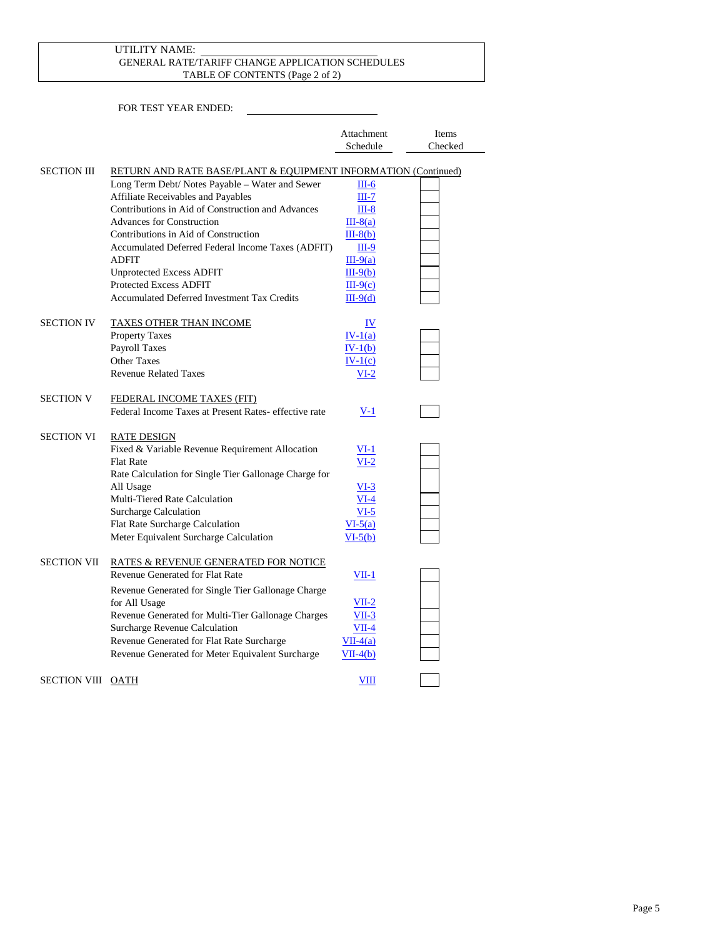#### GENERAL RATE/TARIFF CHANGE APPLICATION SCHEDULES TABLE OF CONTENTS (Page 2 of 2) UTILITY NAME:

| Attachment | <b>Ifems</b> |
|------------|--------------|
| Schedule   | Checked      |

| <b>SECTION III</b> | RETURN AND RATE BASE/PLANT & EQUIPMENT INFORMATION (Continued) |            |  |
|--------------------|----------------------------------------------------------------|------------|--|
|                    | Long Term Debt/ Notes Payable - Water and Sewer                | $III-6$    |  |
|                    | Affiliate Receivables and Payables                             | $III-7$    |  |
|                    | Contributions in Aid of Construction and Advances              | $III-8$    |  |
|                    | <b>Advances for Construction</b>                               | $III-8(a)$ |  |
|                    | Contributions in Aid of Construction                           | $III-8(b)$ |  |
|                    | Accumulated Deferred Federal Income Taxes (ADFIT)              | $III-9$    |  |
|                    | ADFIT                                                          | $III-9(a)$ |  |
|                    | <b>Unprotected Excess ADFIT</b>                                | $III-9(b)$ |  |
|                    | <b>Protected Excess ADFIT</b>                                  | $III-9(c)$ |  |
|                    | <b>Accumulated Deferred Investment Tax Credits</b>             | $III-9(d)$ |  |
| <b>SECTION IV</b>  | <b>TAXES OTHER THAN INCOME</b>                                 | IV         |  |
|                    | <b>Property Taxes</b>                                          | $IV-1(a)$  |  |
|                    | Payroll Taxes                                                  | $IV-1(b)$  |  |
|                    | <b>Other Taxes</b>                                             | $IV-1(c)$  |  |
|                    | <b>Revenue Related Taxes</b>                                   | $VI-2$     |  |
| <b>SECTION V</b>   | FEDERAL INCOME TAXES (FIT)                                     |            |  |
|                    | Federal Income Taxes at Present Rates- effective rate          | $V-1$      |  |
| <b>SECTION VI</b>  | <b>RATE DESIGN</b>                                             |            |  |
|                    | Fixed & Variable Revenue Requirement Allocation                | $VI-1$     |  |
|                    | <b>Flat Rate</b>                                               | $VI-2$     |  |
|                    | Rate Calculation for Single Tier Gallonage Charge for          |            |  |
|                    | All Usage                                                      | $VI-3$     |  |
|                    | Multi-Tiered Rate Calculation                                  | $VI-4$     |  |
|                    | Surcharge Calculation                                          | $VI-5$     |  |
|                    | Flat Rate Surcharge Calculation                                | $VI-5(a)$  |  |
|                    | Meter Equivalent Surcharge Calculation                         | $VI-5(b)$  |  |
| <b>SECTION VII</b> | RATES & REVENUE GENERATED FOR NOTICE                           |            |  |
|                    | Revenue Generated for Flat Rate                                | $VII-1$    |  |
|                    | Revenue Generated for Single Tier Gallonage Charge             |            |  |
|                    | for All Usage                                                  | $VII-2$    |  |
|                    | Revenue Generated for Multi-Tier Gallonage Charges             | $VII-3$    |  |
|                    | Surcharge Revenue Calculation                                  | $VII-4$    |  |
|                    | Revenue Generated for Flat Rate Surcharge                      | $VII-4(a)$ |  |
|                    | Revenue Generated for Meter Equivalent Surcharge               | $VII-4(b)$ |  |
| SECTION VIII OATH  |                                                                | VIII       |  |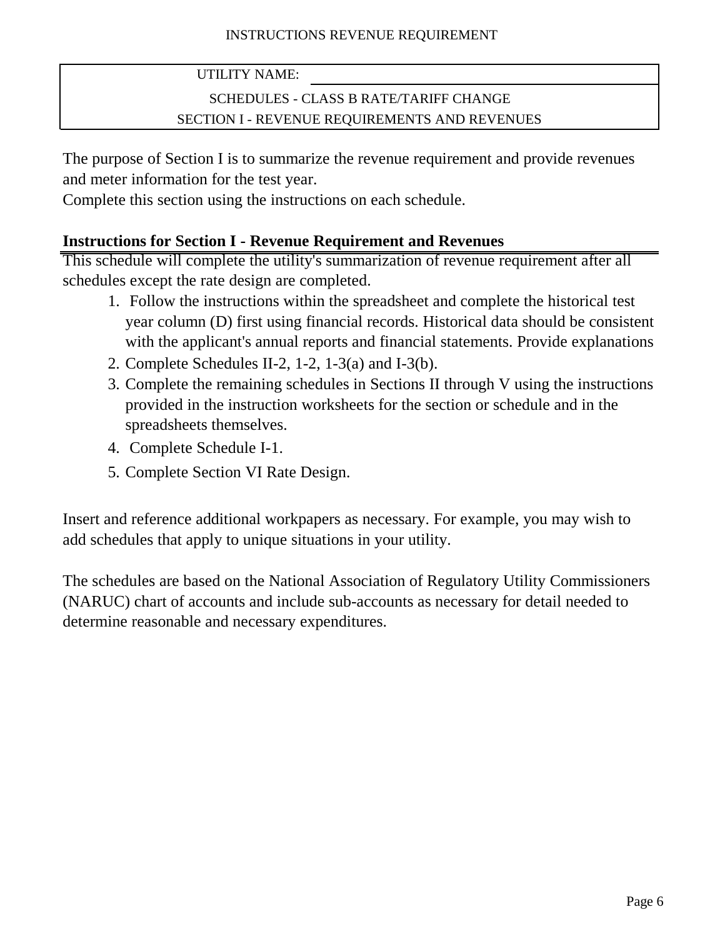# SCHEDULES - CLASS B RATE/TARIFF CHANGE SECTION I - REVENUE REQUIREMENTS AND REVENUES

<span id="page-5-0"></span>The purpose of Section I is to summarize the revenue requirement and provide revenues and meter information for the test year.

Complete this section using the instructions on each schedule.

# **Instructions for Section I - Revenue Requirement and Revenues**

This schedule will complete the utility's summarization of revenue requirement after all schedules except the rate design are completed.

- 1. Follow the instructions within the spreadsheet and complete the historical test year column (D) first using financial records. Historical data should be consistent with the applicant's annual reports and financial statements. Provide explanations
- 2. Complete Schedules II-2, 1-2, 1-3(a) and I-3(b).
- 3. Complete the remaining schedules in Sections II through V using the instructions provided in the instruction worksheets for the section or schedule and in the spreadsheets themselves.
- 4. Complete Schedule I-1.
- 5. Complete Section VI Rate Design.

Insert and reference additional workpapers as necessary. For example, you may wish to add schedules that apply to unique situations in your utility.

The schedules are based on the National Association of Regulatory Utility Commissioners (NARUC) chart of accounts and include sub-accounts as necessary for detail needed to determine reasonable and necessary expenditures.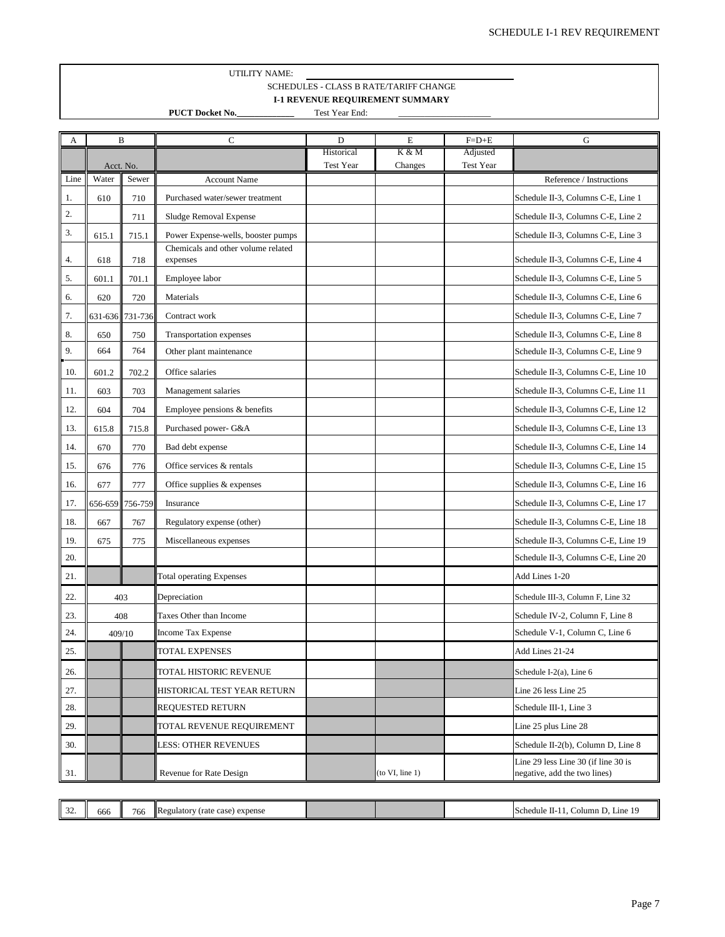#### UTILITY NAME: SCHEDULES - CLASS B RATE/TARIFF CHANGE **I-1 REVENUE REQUIREMENT SUMMARY**

**PUCT Docket No.\_\_\_\_\_\_\_\_\_\_\_\_\_** Test Year End:

 $\mathcal{L}=\mathcal{L}=\mathcal{L}=\mathcal{L}=\mathcal{L}=\mathcal{L}=\mathcal{L}=\mathcal{L}=\mathcal{L}=\mathcal{L}=\mathcal{L}=\mathcal{L}=\mathcal{L}=\mathcal{L}=\mathcal{L}=\mathcal{L}=\mathcal{L}=\mathcal{L}=\mathcal{L}=\mathcal{L}=\mathcal{L}=\mathcal{L}=\mathcal{L}=\mathcal{L}=\mathcal{L}=\mathcal{L}=\mathcal{L}=\mathcal{L}=\mathcal{L}=\mathcal{L}=\mathcal{L}=\mathcal{L}=\mathcal{L}=\mathcal{L}=\mathcal{L}=\mathcal{L}=\mathcal{$ 

<span id="page-6-0"></span>

| А    | B                  |         | $\mathbf C$                                    | D                       | E                | $F=D+E$               | G                                                                   |
|------|--------------------|---------|------------------------------------------------|-------------------------|------------------|-----------------------|---------------------------------------------------------------------|
|      |                    |         |                                                | Historical<br>Test Year | K & M<br>Changes | Adjusted<br>Test Year |                                                                     |
| Line | Acct. No.<br>Water | Sewer   | <b>Account Name</b>                            |                         |                  |                       | Reference / Instructions                                            |
| 1.   | 610                | 710     | Purchased water/sewer treatment                |                         |                  |                       | Schedule II-3, Columns C-E, Line 1                                  |
| 2.   |                    | 711     | Sludge Removal Expense                         |                         |                  |                       | Schedule II-3, Columns C-E, Line 2                                  |
| 3.   | 615.1              | 715.1   | Power Expense-wells, booster pumps             |                         |                  |                       | Schedule II-3, Columns C-E, Line 3                                  |
| 4.   | 618                | 718     | Chemicals and other volume related<br>expenses |                         |                  |                       | Schedule II-3, Columns C-E, Line 4                                  |
| 5.   | 601.1              | 701.1   | Employee labor                                 |                         |                  |                       | Schedule II-3, Columns C-E, Line 5                                  |
| 6.   | 620                | 720     | Materials                                      |                         |                  |                       | Schedule II-3, Columns C-E, Line 6                                  |
| 7.   | 631-636            | 731-736 | Contract work                                  |                         |                  |                       | Schedule II-3, Columns C-E, Line 7                                  |
| 8.   | 650                | 750     | Transportation expenses                        |                         |                  |                       | Schedule II-3, Columns C-E, Line 8                                  |
| 9.   | 664                | 764     | Other plant maintenance                        |                         |                  |                       | Schedule II-3, Columns C-E, Line 9                                  |
| 10.  | 601.2              | 702.2   | Office salaries                                |                         |                  |                       | Schedule II-3, Columns C-E, Line 10                                 |
| 11.  | 603                | 703     | Management salaries                            |                         |                  |                       | Schedule II-3, Columns C-E, Line 11                                 |
| 12.  | 604                | 704     | Employee pensions & benefits                   |                         |                  |                       | Schedule II-3, Columns C-E, Line 12                                 |
| 13.  | 615.8              | 715.8   | Purchased power- G&A                           |                         |                  |                       | Schedule II-3, Columns C-E, Line 13                                 |
| 14.  | 670                | 770     | Bad debt expense                               |                         |                  |                       | Schedule II-3, Columns C-E, Line 14                                 |
| 15.  | 676                | 776     | Office services & rentals                      |                         |                  |                       | Schedule II-3, Columns C-E, Line 15                                 |
| 16.  | 677                | 777     | Office supplies & expenses                     |                         |                  |                       | Schedule II-3, Columns C-E, Line 16                                 |
| 17.  | 656-659            | 756-759 | Insurance                                      |                         |                  |                       | Schedule II-3, Columns C-E, Line 17                                 |
| 18.  | 667                | 767     | Regulatory expense (other)                     |                         |                  |                       | Schedule II-3, Columns C-E, Line 18                                 |
| 19.  | 675                | 775     | Miscellaneous expenses                         |                         |                  |                       | Schedule II-3, Columns C-E, Line 19                                 |
| 20.  |                    |         |                                                |                         |                  |                       | Schedule II-3, Columns C-E, Line 20                                 |
| 21.  |                    |         | <b>Total operating Expenses</b>                |                         |                  |                       | Add Lines 1-20                                                      |
| 22.  | 403                |         | Depreciation                                   |                         |                  |                       | Schedule III-3, Column F, Line 32                                   |
| 23.  | 408                |         | Taxes Other than Income                        |                         |                  |                       | Schedule IV-2, Column F, Line 8                                     |
| 24.  | 409/10             |         | <b>Income Tax Expense</b>                      |                         |                  |                       | Schedule V-1, Column C, Line 6                                      |
| 25.  |                    |         | TOTAL EXPENSES                                 |                         |                  |                       | Add Lines 21-24                                                     |
| 26.  |                    |         | TOTAL HISTORIC REVENUE                         |                         |                  |                       | Schedule I-2(a), Line 6                                             |
| 27.  |                    |         | HISTORICAL TEST YEAR RETURN                    |                         |                  |                       | Line 26 less Line 25                                                |
| 28.  |                    |         | <b>REQUESTED RETURN</b>                        |                         |                  |                       | Schedule III-1, Line 3                                              |
| 29.  |                    |         | TOTAL REVENUE REQUIREMENT                      |                         |                  |                       | Line 25 plus Line 28                                                |
| 30.  |                    |         | LESS: OTHER REVENUES                           |                         |                  |                       | Schedule II-2(b), Column D, Line 8                                  |
| 31.  |                    |         | Revenue for Rate Design                        |                         | (to VI, line 1)  |                       | Line 29 less Line 30 (if line 30 is<br>negative, add the two lines) |

| $\sim$<br>Regulatory<br>766<br>0.989<br>) expense<br>(rate<br>ooc<br>- 24<br><b>Casc</b> | Line<br>Column L<br>- 111<br>Schedule<br>-11-1 |
|------------------------------------------------------------------------------------------|------------------------------------------------|
|------------------------------------------------------------------------------------------|------------------------------------------------|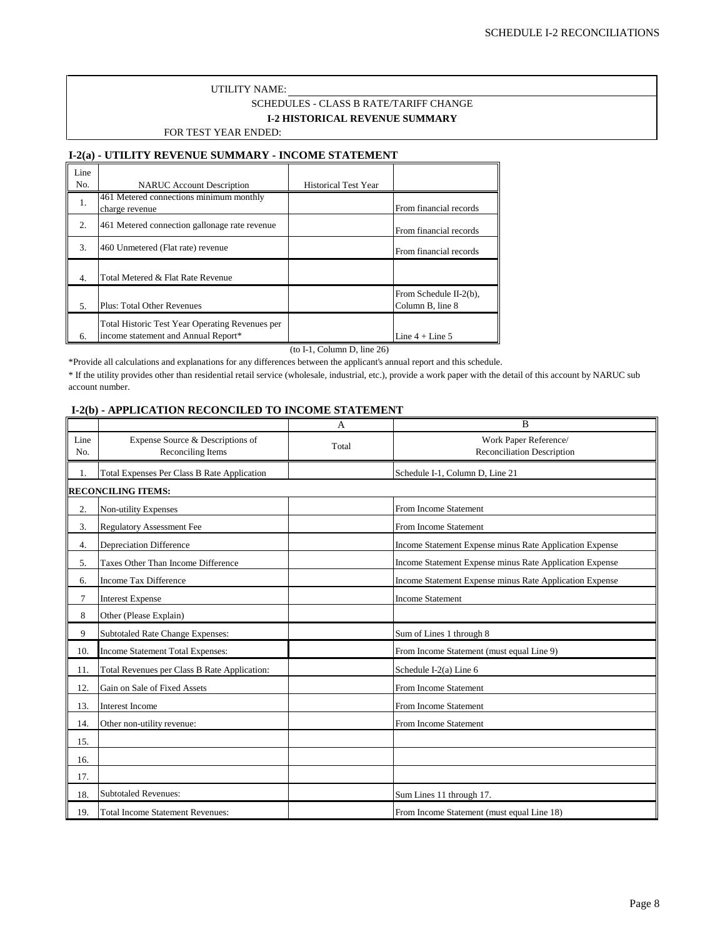#### UTILITY NAME: FOR TEST YEAR ENDED: SCHEDULES - CLASS B RATE/TARIFF CHANGE **I-2 HISTORICAL REVENUE SUMMARY**

#### **I-2(a) - UTILITY REVENUE SUMMARY - INCOME STATEMENT**

| Line |                                                                                        |                             |                                            |
|------|----------------------------------------------------------------------------------------|-----------------------------|--------------------------------------------|
| No.  | <b>NARUC</b> Account Description                                                       | <b>Historical Test Year</b> |                                            |
| 1.   | 461 Metered connections minimum monthly<br>charge revenue                              |                             | From financial records                     |
| 2.   | 461 Metered connection gallonage rate revenue                                          |                             | From financial records                     |
| 3.   | 460 Unmetered (Flat rate) revenue                                                      |                             | From financial records                     |
| 4.   | Total Metered & Flat Rate Revenue                                                      |                             |                                            |
| 5.   | <b>Plus: Total Other Revenues</b>                                                      |                             | From Schedule II-2(b),<br>Column B, line 8 |
| 6.   | Total Historic Test Year Operating Revenues per<br>income statement and Annual Report* |                             | Line $4 +$ Line $5$                        |

(to I-1, Column D, line 26)

\*Provide all calculations and explanations for any differences between the applicant's annual report and this schedule.

\* If the utility provides other than residential retail service (wholesale, industrial, etc.), provide a work paper with the detail of this account by NARUC sub account number.

#### **I-2(b) - APPLICATION RECONCILED TO INCOME STATEMENT**

|                |                                                       | A     | B                                                       |
|----------------|-------------------------------------------------------|-------|---------------------------------------------------------|
| Line<br>No.    | Expense Source & Descriptions of<br>Reconciling Items | Total | Work Paper Reference/<br>Reconciliation Description     |
| 1.             | <b>Total Expenses Per Class B Rate Application</b>    |       | Schedule I-1, Column D, Line 21                         |
|                | <b>RECONCILING ITEMS:</b>                             |       |                                                         |
| 2.             | Non-utility Expenses                                  |       | From Income Statement                                   |
| 3.             | <b>Regulatory Assessment Fee</b>                      |       | From Income Statement                                   |
| 4.             | <b>Depreciation Difference</b>                        |       | Income Statement Expense minus Rate Application Expense |
| 5.             | Taxes Other Than Income Difference                    |       | Income Statement Expense minus Rate Application Expense |
| 6.             | <b>Income Tax Difference</b>                          |       | Income Statement Expense minus Rate Application Expense |
| $\overline{7}$ | <b>Interest Expense</b>                               |       | <b>Income Statement</b>                                 |
| 8              | Other (Please Explain)                                |       |                                                         |
| 9              | Subtotaled Rate Change Expenses:                      |       | Sum of Lines 1 through 8                                |
| 10.            | <b>Income Statement Total Expenses:</b>               |       | From Income Statement (must equal Line 9)               |
| 11.            | Total Revenues per Class B Rate Application:          |       | Schedule I-2(a) Line 6                                  |
| 12.            | Gain on Sale of Fixed Assets                          |       | From Income Statement                                   |
| 13.            | <b>Interest Income</b>                                |       | From Income Statement                                   |
| 14.            | Other non-utility revenue:                            |       | From Income Statement                                   |
| 15.            |                                                       |       |                                                         |
| 16.            |                                                       |       |                                                         |
| 17.            |                                                       |       |                                                         |
| 18.            | <b>Subtotaled Revenues:</b>                           |       | Sum Lines 11 through 17.                                |
| 19.            | <b>Total Income Statement Revenues:</b>               |       | From Income Statement (must equal Line 18)              |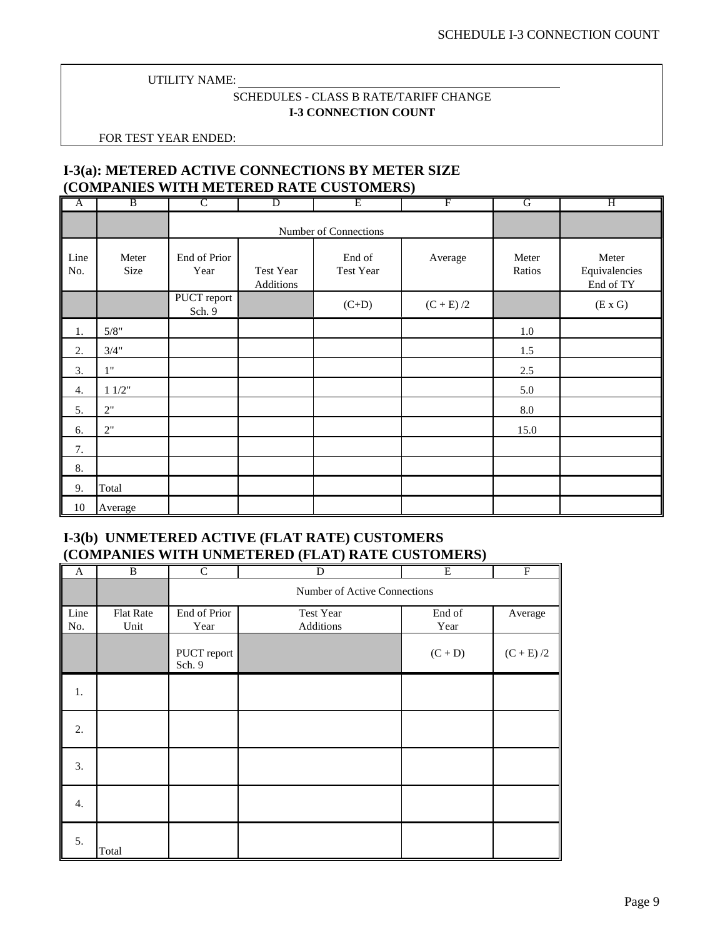### SCHEDULES - CLASS B RATE/TARIFF CHANGE **I-3 CONNECTION COUNT**

<span id="page-8-0"></span>FOR TEST YEAR ENDED:

### **I-3(a): METERED ACTIVE CONNECTIONS BY METER SIZE (COMPANIES WITH METERED RATE CUSTOMERS)**

| A           | B             | $\mathsf{C}$          | $\overline{D}$         | Ε                   | F           | G               | Η                                   |
|-------------|---------------|-----------------------|------------------------|---------------------|-------------|-----------------|-------------------------------------|
|             |               |                       | Number of Connections  |                     |             |                 |                                     |
| Line<br>No. | Meter<br>Size | End of Prior<br>Year  | Test Year<br>Additions | End of<br>Test Year | Average     | Meter<br>Ratios | Meter<br>Equivalencies<br>End of TY |
|             |               | PUCT report<br>Sch. 9 |                        | $(C+D)$             | $(C + E)/2$ |                 | (E X G)                             |
| 1.          | 5/8"          |                       |                        |                     |             | $1.0\,$         |                                     |
| 2.          | 3/4"          |                       |                        |                     |             | 1.5             |                                     |
| 3.          | 1"            |                       |                        |                     |             | 2.5             |                                     |
| 4.          | 11/2"         |                       |                        |                     |             | 5.0             |                                     |
| 5.          | 2"            |                       |                        |                     |             | $8.0\,$         |                                     |
| 6.          | 2"            |                       |                        |                     |             | 15.0            |                                     |
| 7.          |               |                       |                        |                     |             |                 |                                     |
| 8.          |               |                       |                        |                     |             |                 |                                     |
| 9.          | Total         |                       |                        |                     |             |                 |                                     |
| 10          | Average       |                       |                        |                     |             |                 |                                     |

### **I-3(b) UNMETERED ACTIVE (FLAT RATE) CUSTOMERS (COMPANIES WITH UNMETERED (FLAT) RATE CUSTOMERS)**

| $\mathbf{A}$ | B                        | $\mathcal{C}$         | D                            | $\overline{E}$ | $\overline{F}$                         |  |  |
|--------------|--------------------------|-----------------------|------------------------------|----------------|----------------------------------------|--|--|
|              |                          |                       | Number of Active Connections |                |                                        |  |  |
| Line<br>No.  | <b>Flat Rate</b><br>Unit | End of Prior<br>Year  | Test Year<br>Additions       | End of<br>Year | Average                                |  |  |
|              |                          | PUCT report<br>Sch. 9 |                              | $(C + D)$      | $\left( \text{C} + \text{E} \right)/2$ |  |  |
| 1.           |                          |                       |                              |                |                                        |  |  |
| 2.           |                          |                       |                              |                |                                        |  |  |
| 3.           |                          |                       |                              |                |                                        |  |  |
| 4.           |                          |                       |                              |                |                                        |  |  |
| 5.           | Total                    |                       |                              |                |                                        |  |  |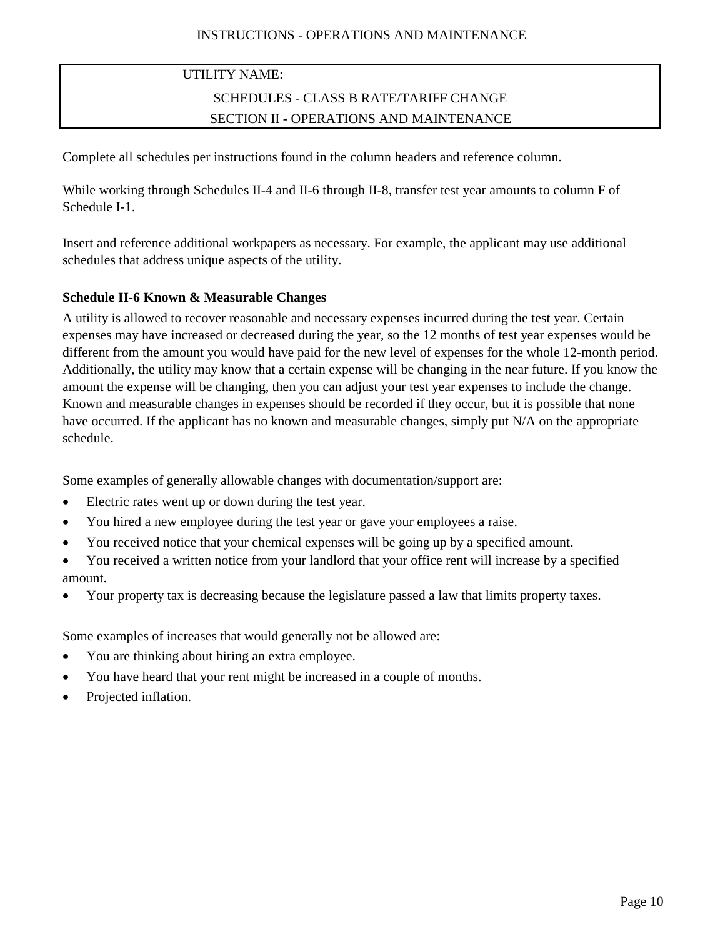# SCHEDULES - CLASS B RATE/TARIFF CHANGE SECTION II - OPERATIONS AND MAINTENANCE

Complete all schedules per instructions found in the column headers and reference column.

While working through Schedules II-4 and II-6 through II-8, transfer test year amounts to column F of Schedule I-1.

Insert and reference additional workpapers as necessary. For example, the applicant may use additional schedules that address unique aspects of the utility.

## **Schedule II-6 Known & Measurable Changes**

A utility is allowed to recover reasonable and necessary expenses incurred during the test year. Certain expenses may have increased or decreased during the year, so the 12 months of test year expenses would be different from the amount you would have paid for the new level of expenses for the whole 12-month period. Additionally, the utility may know that a certain expense will be changing in the near future. If you know the amount the expense will be changing, then you can adjust your test year expenses to include the change. Known and measurable changes in expenses should be recorded if they occur, but it is possible that none have occurred. If the applicant has no known and measurable changes, simply put N/A on the appropriate schedule.

Some examples of generally allowable changes with documentation/support are:

- Electric rates went up or down during the test year.
- You hired a new employee during the test year or gave your employees a raise.
- You received notice that your chemical expenses will be going up by a specified amount.
- You received a written notice from your landlord that your office rent will increase by a specified amount.
- Your property tax is decreasing because the legislature passed a law that limits property taxes.

Some examples of increases that would generally not be allowed are:

- You are thinking about hiring an extra employee.
- You have heard that your rent might be increased in a couple of months.
- Projected inflation.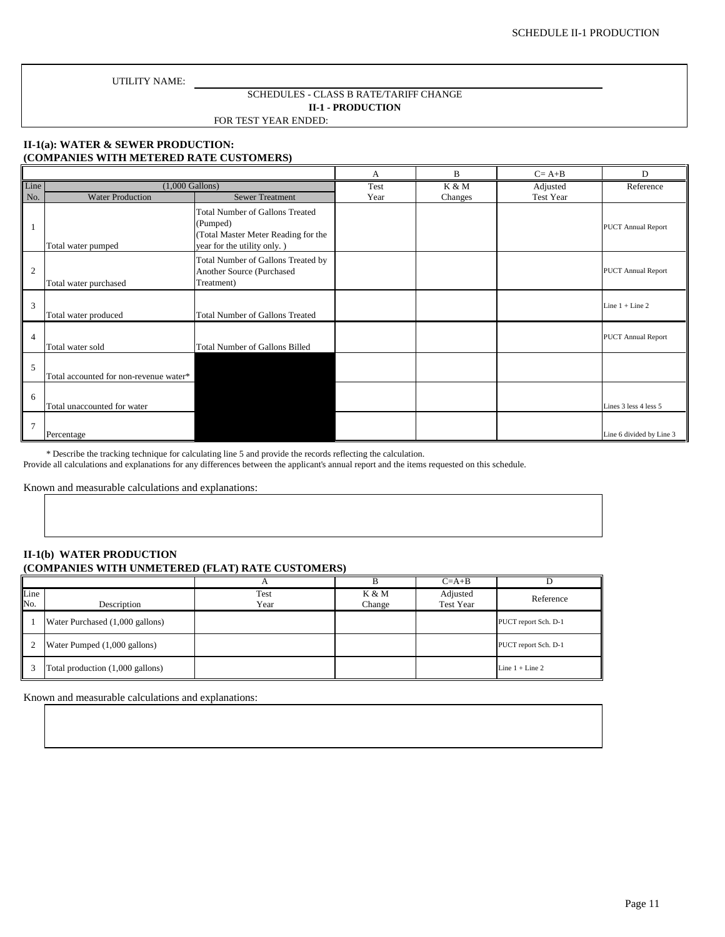#### SCHEDULES - CLASS B RATE/TARIFF CHANGE **II-1 - PRODUCTION**

FOR TEST YEAR ENDED:

#### **II-1(a): WATER & SEWER PRODUCTION: (COMPANIES WITH METERED RATE CUSTOMERS)**

|                |                                        | A                                                                                                                        | B    | $C = A + B$ | D         |                           |
|----------------|----------------------------------------|--------------------------------------------------------------------------------------------------------------------------|------|-------------|-----------|---------------------------|
| Line           | $(1,000$ Gallons)                      |                                                                                                                          | Test | K & M       | Adjusted  | Reference                 |
| No.            | <b>Water Production</b>                | <b>Sewer Treatment</b>                                                                                                   | Year | Changes     | Test Year |                           |
|                | Total water pumped                     | <b>Total Number of Gallons Treated</b><br>(Pumped)<br>(Total Master Meter Reading for the<br>year for the utility only.) |      |             |           | <b>PUCT Annual Report</b> |
| $\overline{2}$ | Total water purchased                  | Total Number of Gallons Treated by<br>Another Source (Purchased<br>Treatment)                                            |      |             |           | <b>PUCT Annual Report</b> |
| 3              | Total water produced                   | <b>Total Number of Gallons Treated</b>                                                                                   |      |             |           | Line $1 +$ Line $2$       |
| $\overline{4}$ | Total water sold                       | <b>Total Number of Gallons Billed</b>                                                                                    |      |             |           | <b>PUCT Annual Report</b> |
| 5              | Total accounted for non-revenue water* |                                                                                                                          |      |             |           |                           |
| 6              | Total unaccounted for water            |                                                                                                                          |      |             |           | Lines 3 less 4 less 5     |
| 7              | Percentage                             |                                                                                                                          |      |             |           | Line 6 divided by Line 3  |

\* Describe the tracking technique for calculating line 5 and provide the records reflecting the calculation.

Provide all calculations and explanations for any differences between the applicant's annual report and the items requested on this schedule.

Known and measurable calculations and explanations:

#### **II-1(b) WATER PRODUCTION (COMPANIES WITH UNMETERED (FLAT) RATE CUSTOMERS)**

|             |                                  |              |                 | $C=A+B$                      |                      |
|-------------|----------------------------------|--------------|-----------------|------------------------------|----------------------|
| Line<br>No. | Description                      | Test<br>Year | K & M<br>Change | Adjusted<br><b>Test Year</b> | Reference            |
|             | Water Purchased (1,000 gallons)  |              |                 |                              | PUCT report Sch. D-1 |
| 2           | Water Pumped (1,000 gallons)     |              |                 |                              | PUCT report Sch. D-1 |
|             | Total production (1,000 gallons) |              |                 |                              | Line $1 +$ Line 2    |

Known and measurable calculations and explanations: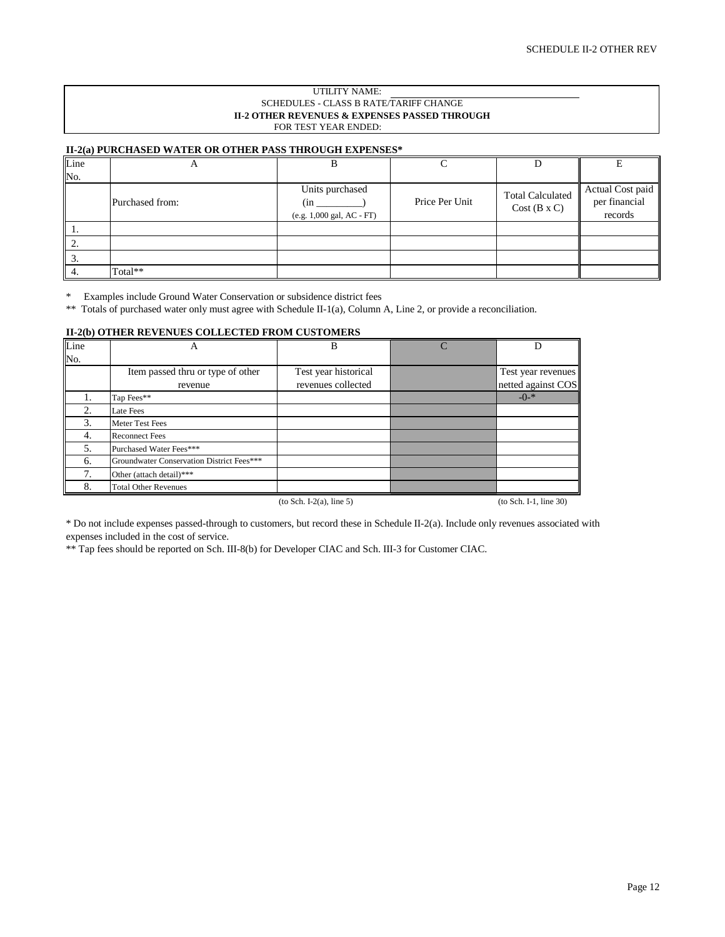#### UTILITY NAME: SCHEDULES - CLASS B RATE/TARIFF CHANGE **II-2 OTHER REVENUES & EXPENSES PASSED THROUGH** FOR TEST YEAR ENDED:

#### **II-2(a) PURCHASED WATER OR OTHER PASS THROUGH EXPENSES\***

| Line            | Δ               |                                                     |                |                                               |                                              |
|-----------------|-----------------|-----------------------------------------------------|----------------|-----------------------------------------------|----------------------------------------------|
| No.             |                 |                                                     |                |                                               |                                              |
|                 | Purchased from: | Units purchased<br>(in<br>(e.g. 1,000 gal, AC - FT) | Price Per Unit | <b>Total Calculated</b><br>$Cost(B \times C)$ | Actual Cost paid<br>per financial<br>records |
| -1.             |                 |                                                     |                |                                               |                                              |
|                 |                 |                                                     |                |                                               |                                              |
| $\mathfrak{I}.$ |                 |                                                     |                |                                               |                                              |
|                 | Total**         |                                                     |                |                                               |                                              |

\* Examples include Ground Water Conservation or subsidence district fees

\*\* Totals of purchased water only must agree with Schedule II-1(a), Column A, Line 2, or provide a reconciliation.

#### **II-2(b) OTHER REVENUES COLLECTED FROM CUSTOMERS**

| Line              | А                                         | B                          | D                        |
|-------------------|-------------------------------------------|----------------------------|--------------------------|
| $\overline{No}$ . |                                           |                            |                          |
|                   | Item passed thru or type of other         | Test year historical       | Test year revenues       |
|                   | revenue                                   | revenues collected         | netted against COS       |
| 1.                | Tap Fees**                                |                            | $-()$ -*                 |
| 2.                | Late Fees                                 |                            |                          |
| 3.                | Meter Test Fees                           |                            |                          |
| 4.                | <b>Reconnect Fees</b>                     |                            |                          |
| 5.                | Purchased Water Fees***                   |                            |                          |
| 6.                | Groundwater Conservation District Fees*** |                            |                          |
| 7.                | Other (attach detail)***                  |                            |                          |
| 8.                | <b>Total Other Revenues</b>               |                            |                          |
|                   |                                           | $(to Sch. I-2(a), line 5)$ | $(to Sch. I-1, line 30)$ |

\* Do not include expenses passed-through to customers, but record these in Schedule II-2(a). Include only revenues associated with expenses included in the cost of service.

\*\* Tap fees should be reported on Sch. III-8(b) for Developer CIAC and Sch. III-3 for Customer CIAC.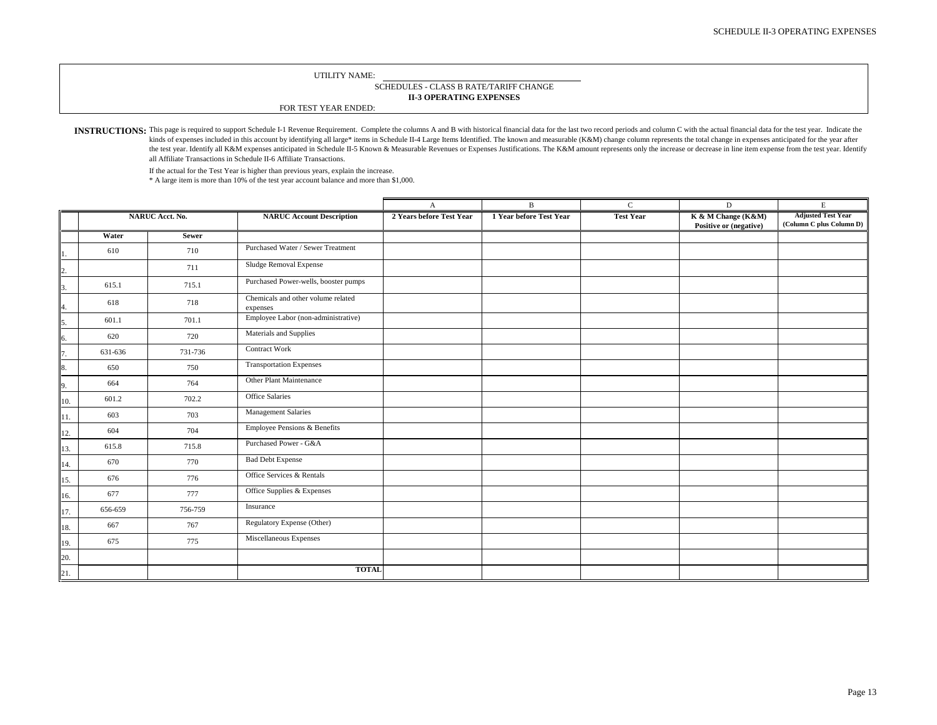#### **II-3 OPERATING EXPENSES** SCHEDULES - CLASS B RATE/TARIFF CHANGE

FOR TEST YEAR ENDED:

INSTRUCTIONS: This page is required to support Schedule I-1 Revenue Requirement. Complete the columns A and B with historical financial data for the last two record periods and column C with the actual financial data for t kinds of expenses included in this account by identifying all large\* items in Schedule II-4 Large Items Identified. The known and measurable (K&M) change column represents the total change in expenses anticipated for the y the test year. Identify all K&M expenses anticipated in Schedule II-5 Known & Measurable Revenues or Expenses Justifications. The K&M amount represents only the increase or decrease in line item expense from the test year. all Affiliate Transactions in Schedule II-6 Affiliate Transactions.

If the actual for the Test Year is higher than previous years, explain the increase.

\* A large item is more than 10% of the test year account balance and more than \$1,000.

|     | NARUC Acct. No. |              |                                                | $\mathbf{A}$             | $\mathbf{B}$            | $\mathbf{C}$     | $\mathbf D$            | $\mathbf E$               |
|-----|-----------------|--------------|------------------------------------------------|--------------------------|-------------------------|------------------|------------------------|---------------------------|
|     |                 |              | <b>NARUC Account Description</b>               | 2 Years before Test Year | 1 Year before Test Year | <b>Test Year</b> | K & M Change (K&M)     | <b>Adjusted Test Year</b> |
|     |                 |              |                                                |                          |                         |                  | Positive or (negative) | (Column C plus Column D)  |
|     | Water           | <b>Sewer</b> |                                                |                          |                         |                  |                        |                           |
|     | 610             | 710          | Purchased Water / Sewer Treatment              |                          |                         |                  |                        |                           |
| 2.  |                 | 711          | Sludge Removal Expense                         |                          |                         |                  |                        |                           |
| 5.  | 615.1           | 715.1        | Purchased Power-wells, booster pumps           |                          |                         |                  |                        |                           |
| 4.  | 618             | 718          | Chemicals and other volume related<br>expenses |                          |                         |                  |                        |                           |
| 5.  | 601.1           | 701.1        | Employee Labor (non-administrative)            |                          |                         |                  |                        |                           |
| 6.  | 620             | 720          | Materials and Supplies                         |                          |                         |                  |                        |                           |
| 7.  | 631-636         | 731-736      | Contract Work                                  |                          |                         |                  |                        |                           |
| 8.  | 650             | 750          | <b>Transportation Expenses</b>                 |                          |                         |                  |                        |                           |
| 9.  | 664             | 764          | Other Plant Maintenance                        |                          |                         |                  |                        |                           |
| 10. | 601.2           | 702.2        | Office Salaries                                |                          |                         |                  |                        |                           |
| 11. | 603             | 703          | Management Salaries                            |                          |                         |                  |                        |                           |
| 12. | 604             | 704          | Employee Pensions & Benefits                   |                          |                         |                  |                        |                           |
| 13. | 615.8           | 715.8        | Purchased Power - G&A                          |                          |                         |                  |                        |                           |
| 14. | 670             | 770          | <b>Bad Debt Expense</b>                        |                          |                         |                  |                        |                           |
| 15. | 676             | 776          | Office Services & Rentals                      |                          |                         |                  |                        |                           |
| 16. | 677             | 777          | Office Supplies & Expenses                     |                          |                         |                  |                        |                           |
| 17. | 656-659         | 756-759      | Insurance                                      |                          |                         |                  |                        |                           |
| 18. | 667             | 767          | Regulatory Expense (Other)                     |                          |                         |                  |                        |                           |
| 19. | 675             | 775          | Miscellaneous Expenses                         |                          |                         |                  |                        |                           |
| 20. |                 |              |                                                |                          |                         |                  |                        |                           |
| 21. |                 |              | <b>TOTAL</b>                                   |                          |                         |                  |                        |                           |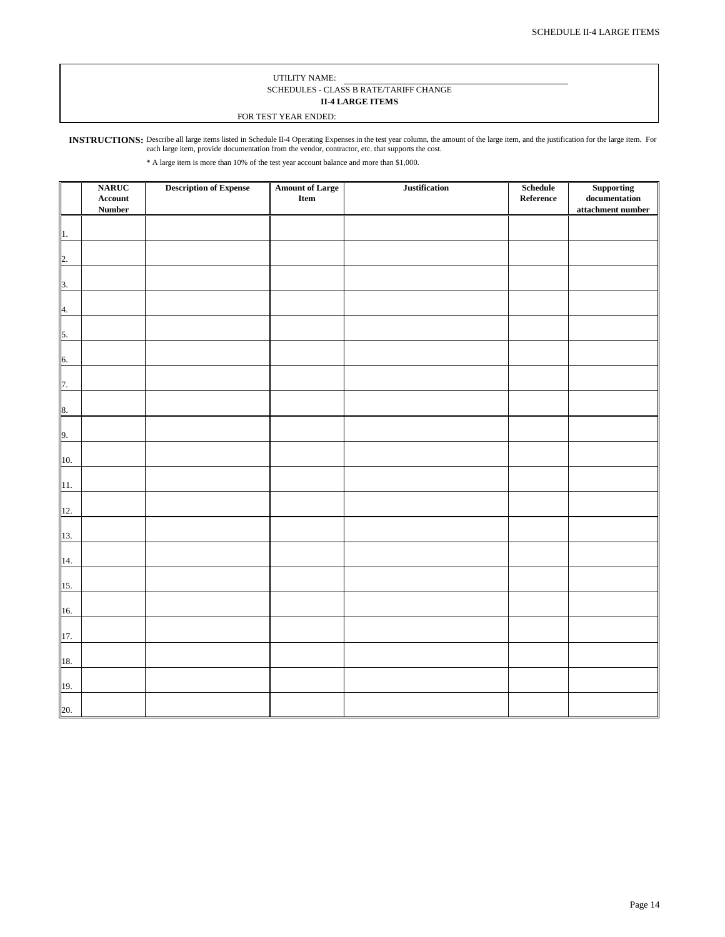#### UTILITY NAME: SCHEDULES - CLASS B RATE/TARIFF CHANGE **II-4 LARGE ITEMS**

#### FOR TEST YEAR ENDED:

INSTRUCTIONS: Describe all large items listed in Schedule II-4 Operating Expenses in the test year column, the amount of the large item, and the justification for the large item. For each large item, provide documentation from the vendor, contractor, etc. that supports the cost.

\* A large item is more than 10% of the test year account balance and more than \$1,000.

|                           | <b>NARUC</b>     | <b>Description of Expense</b> | <b>Amount of Large</b> | <b>Justification</b> | Schedule  | Supporting        |
|---------------------------|------------------|-------------------------------|------------------------|----------------------|-----------|-------------------|
|                           | $\bold{Account}$ |                               | ${\bf Item}$           |                      | Reference | documentation     |
|                           | <b>Number</b>    |                               |                        |                      |           | attachment number |
|                           |                  |                               |                        |                      |           |                   |
|                           |                  |                               |                        |                      |           |                   |
| 1.                        |                  |                               |                        |                      |           |                   |
|                           |                  |                               |                        |                      |           |                   |
| 2.                        |                  |                               |                        |                      |           |                   |
|                           |                  |                               |                        |                      |           |                   |
|                           |                  |                               |                        |                      |           |                   |
| $\overline{\mathbf{3}}$ . |                  |                               |                        |                      |           |                   |
|                           |                  |                               |                        |                      |           |                   |
| 4.                        |                  |                               |                        |                      |           |                   |
|                           |                  |                               |                        |                      |           |                   |
| 5.                        |                  |                               |                        |                      |           |                   |
|                           |                  |                               |                        |                      |           |                   |
|                           |                  |                               |                        |                      |           |                   |
| 6.                        |                  |                               |                        |                      |           |                   |
|                           |                  |                               |                        |                      |           |                   |
| 7.                        |                  |                               |                        |                      |           |                   |
|                           |                  |                               |                        |                      |           |                   |
| 8.                        |                  |                               |                        |                      |           |                   |
|                           |                  |                               |                        |                      |           |                   |
|                           |                  |                               |                        |                      |           |                   |
| 9.                        |                  |                               |                        |                      |           |                   |
|                           |                  |                               |                        |                      |           |                   |
| 10.                       |                  |                               |                        |                      |           |                   |
|                           |                  |                               |                        |                      |           |                   |
|                           |                  |                               |                        |                      |           |                   |
| 11.                       |                  |                               |                        |                      |           |                   |
|                           |                  |                               |                        |                      |           |                   |
| 12.                       |                  |                               |                        |                      |           |                   |
|                           |                  |                               |                        |                      |           |                   |
| 13.                       |                  |                               |                        |                      |           |                   |
|                           |                  |                               |                        |                      |           |                   |
|                           |                  |                               |                        |                      |           |                   |
| 14.                       |                  |                               |                        |                      |           |                   |
|                           |                  |                               |                        |                      |           |                   |
| 15.                       |                  |                               |                        |                      |           |                   |
|                           |                  |                               |                        |                      |           |                   |
| 16.                       |                  |                               |                        |                      |           |                   |
|                           |                  |                               |                        |                      |           |                   |
|                           |                  |                               |                        |                      |           |                   |
| 17.                       |                  |                               |                        |                      |           |                   |
|                           |                  |                               |                        |                      |           |                   |
| 18.                       |                  |                               |                        |                      |           |                   |
|                           |                  |                               |                        |                      |           |                   |
|                           |                  |                               |                        |                      |           |                   |
| 19.                       |                  |                               |                        |                      |           |                   |
|                           |                  |                               |                        |                      |           |                   |
| 20.                       |                  |                               |                        |                      |           |                   |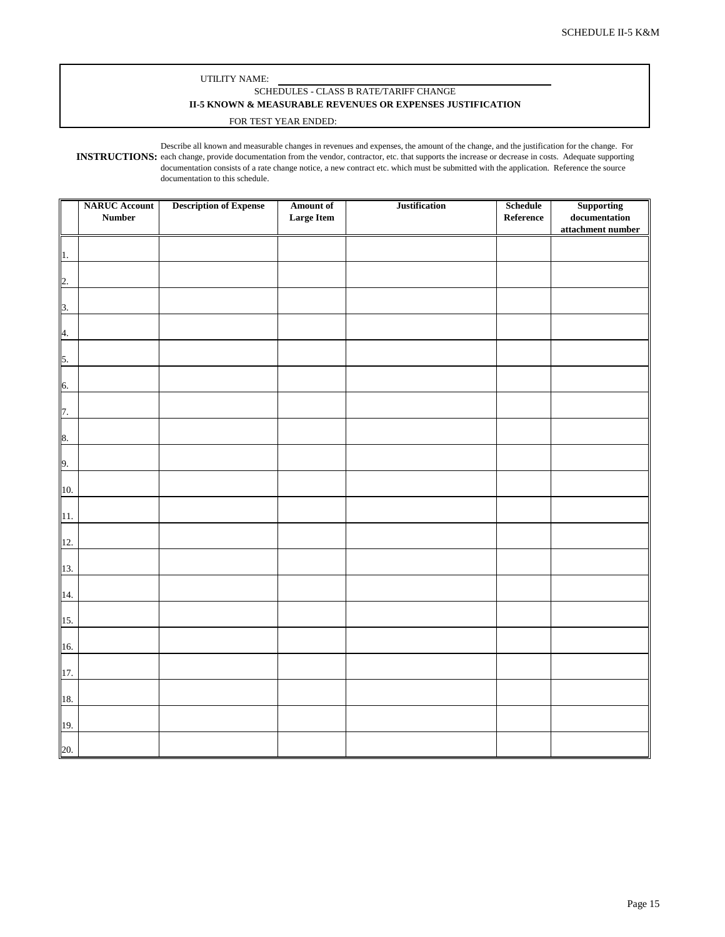#### UTILITY NAME: SCHEDULES - CLASS B RATE/TARIFF CHANGE **II-5 KNOWN & MEASURABLE REVENUES OR EXPENSES JUSTIFICATION**

#### FOR TEST YEAR ENDED:

**INSTRUCTIONS:** each change, provide documentation from the vendor, contractor, etc. that supports the increase or decrease in costs. Adequate supporting Describe all known and measurable changes in revenues and expenses, the amount of the change, and the justification for the change. For documentation consists of a rate change notice, a new contract etc. which must be submitted with the application. Reference the source documentation to this schedule.

|                  | <b>NARUC</b> Account | <b>Description of Expense</b> | Amount of         | <b>Justification</b> | Schedule  | Supporting                                                  |
|------------------|----------------------|-------------------------------|-------------------|----------------------|-----------|-------------------------------------------------------------|
|                  | <b>Number</b>        |                               | <b>Large Item</b> |                      | Reference | $\label{eq:local} {\bf documentation}$<br>attachment number |
|                  |                      |                               |                   |                      |           |                                                             |
| 1.               |                      |                               |                   |                      |           |                                                             |
| $\overline{2}$ . |                      |                               |                   |                      |           |                                                             |
| 3.               |                      |                               |                   |                      |           |                                                             |
| 4.               |                      |                               |                   |                      |           |                                                             |
| 5.               |                      |                               |                   |                      |           |                                                             |
|                  |                      |                               |                   |                      |           |                                                             |
| 6.               |                      |                               |                   |                      |           |                                                             |
| 7.               |                      |                               |                   |                      |           |                                                             |
| 8.               |                      |                               |                   |                      |           |                                                             |
| 9.               |                      |                               |                   |                      |           |                                                             |
| 10.              |                      |                               |                   |                      |           |                                                             |
| 11.              |                      |                               |                   |                      |           |                                                             |
| 12.              |                      |                               |                   |                      |           |                                                             |
| 13.              |                      |                               |                   |                      |           |                                                             |
| 14.              |                      |                               |                   |                      |           |                                                             |
| 15.              |                      |                               |                   |                      |           |                                                             |
| 16.              |                      |                               |                   |                      |           |                                                             |
|                  |                      |                               |                   |                      |           |                                                             |
| 17.              |                      |                               |                   |                      |           |                                                             |
| 18.              |                      |                               |                   |                      |           |                                                             |
| 19.              |                      |                               |                   |                      |           |                                                             |
| 20.              |                      |                               |                   |                      |           |                                                             |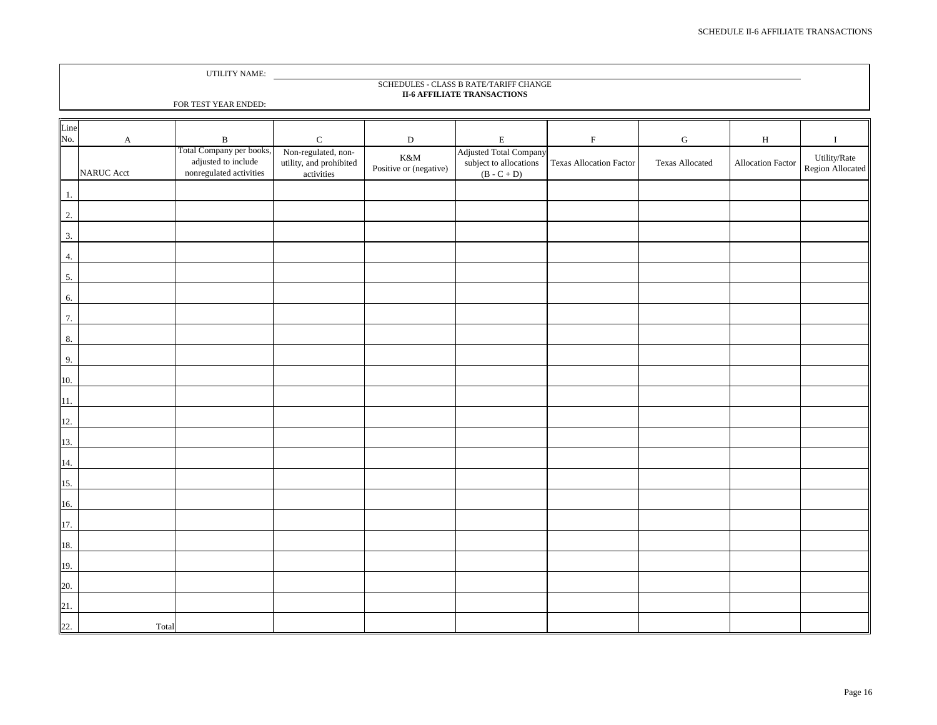|                  |              | UTILITY NAME:                                  |                         |                        |                                                                              |                                |                        |                   |                  |
|------------------|--------------|------------------------------------------------|-------------------------|------------------------|------------------------------------------------------------------------------|--------------------------------|------------------------|-------------------|------------------|
|                  |              |                                                |                         |                        | SCHEDULES - CLASS B RATE/TARIFF CHANGE<br><b>II-6 AFFILIATE TRANSACTIONS</b> |                                |                        |                   |                  |
|                  |              | FOR TEST YEAR ENDED:                           |                         |                        |                                                                              |                                |                        |                   |                  |
|                  |              |                                                |                         |                        |                                                                              |                                |                        |                   |                  |
| Line<br>No.      | $\mathbf{A}$ | $\, {\bf B}$                                   | ${\bf C}$               | ${\bf D}$              | $\mathbf E$                                                                  | $\mathbf F$                    | ${\bf G}$              | $\, {\rm H}$      | $\mathbf I$      |
|                  |              | Total Company per books,                       | Non-regulated, non-     | $K\&M$                 | <b>Adjusted Total Company</b>                                                |                                |                        |                   | Utility/Rate     |
|                  | NARUC Acct   | adjusted to include<br>nonregulated activities | utility, and prohibited | Positive or (negative) | subject to allocations                                                       | <b>Texas Allocation Factor</b> | <b>Texas Allocated</b> | Allocation Factor | Region Allocated |
|                  |              |                                                | activities              |                        | $(B - C + D)$                                                                |                                |                        |                   |                  |
| $\overline{1}$ . |              |                                                |                         |                        |                                                                              |                                |                        |                   |                  |
| $\overline{2}$ . |              |                                                |                         |                        |                                                                              |                                |                        |                   |                  |
| 3.               |              |                                                |                         |                        |                                                                              |                                |                        |                   |                  |
| 4.               |              |                                                |                         |                        |                                                                              |                                |                        |                   |                  |
| 5.               |              |                                                |                         |                        |                                                                              |                                |                        |                   |                  |
| 6.               |              |                                                |                         |                        |                                                                              |                                |                        |                   |                  |
| $\overline{7}$ . |              |                                                |                         |                        |                                                                              |                                |                        |                   |                  |
|                  |              |                                                |                         |                        |                                                                              |                                |                        |                   |                  |
| $\bf 8.$         |              |                                                |                         |                        |                                                                              |                                |                        |                   |                  |
| 9.               |              |                                                |                         |                        |                                                                              |                                |                        |                   |                  |
| 10.              |              |                                                |                         |                        |                                                                              |                                |                        |                   |                  |
| $\overline{1}$ . |              |                                                |                         |                        |                                                                              |                                |                        |                   |                  |
| 12.              |              |                                                |                         |                        |                                                                              |                                |                        |                   |                  |
| 13.              |              |                                                |                         |                        |                                                                              |                                |                        |                   |                  |
| $\frac{14.}{5}$  |              |                                                |                         |                        |                                                                              |                                |                        |                   |                  |
| 15.              |              |                                                |                         |                        |                                                                              |                                |                        |                   |                  |
| 16.              |              |                                                |                         |                        |                                                                              |                                |                        |                   |                  |
| 17.              |              |                                                |                         |                        |                                                                              |                                |                        |                   |                  |
| 18.              |              |                                                |                         |                        |                                                                              |                                |                        |                   |                  |
| 19.              |              |                                                |                         |                        |                                                                              |                                |                        |                   |                  |
| 20.              |              |                                                |                         |                        |                                                                              |                                |                        |                   |                  |
| 21.              |              |                                                |                         |                        |                                                                              |                                |                        |                   |                  |
| 22.              | Total        |                                                |                         |                        |                                                                              |                                |                        |                   |                  |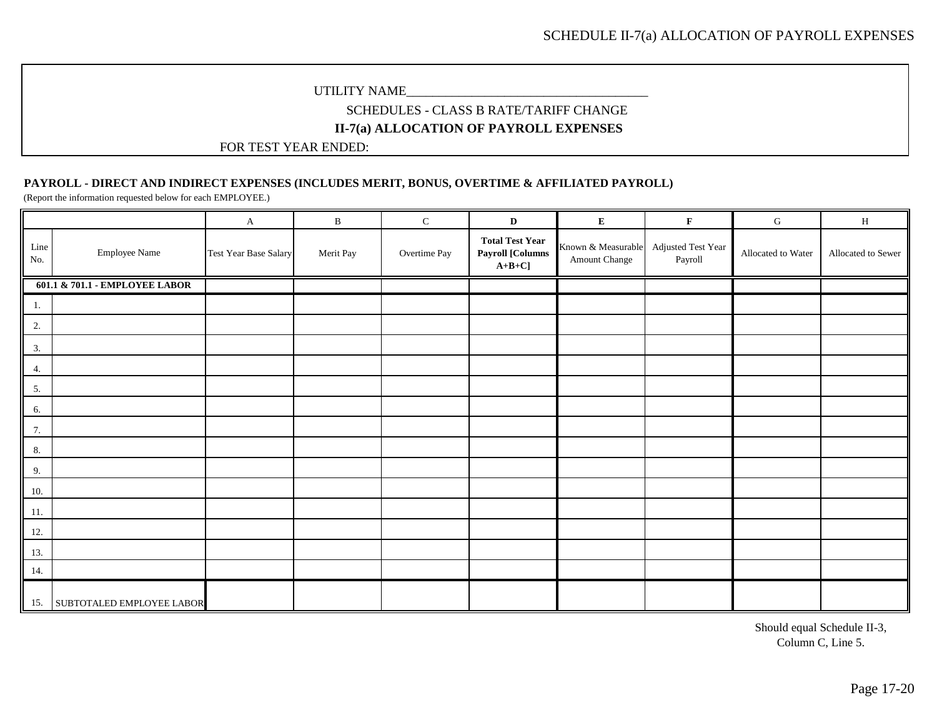### SCHEDULES - CLASS B RATE/TARIFF CHANGE **II-7(a) ALLOCATION OF PAYROLL EXPENSES**

FOR TEST YEAR ENDED:

### **PAYROLL - DIRECT AND INDIRECT EXPENSES (INCLUDES MERIT, BONUS, OVERTIME & AFFILIATED PAYROLL)**

(Report the information requested below for each EMPLOYEE.)

|             |                                | $\mathbf{A}$          | $\, {\bf B}$ | ${\bf C}$    | $\mathbf D$                                                   | ${\bf E}$                           | $\mathbf F$                   | ${\bf G}$          | $\, {\rm H}$       |
|-------------|--------------------------------|-----------------------|--------------|--------------|---------------------------------------------------------------|-------------------------------------|-------------------------------|--------------------|--------------------|
| Line<br>No. | <b>Employee Name</b>           | Test Year Base Salary | Merit Pay    | Overtime Pay | <b>Total Test Year</b><br><b>Payroll [Columns</b><br>$A+B+C]$ | Known & Measurable<br>Amount Change | Adjusted Test Year<br>Payroll | Allocated to Water | Allocated to Sewer |
|             | 601.1 & 701.1 - EMPLOYEE LABOR |                       |              |              |                                                               |                                     |                               |                    |                    |
| 1.          |                                |                       |              |              |                                                               |                                     |                               |                    |                    |
| 2.          |                                |                       |              |              |                                                               |                                     |                               |                    |                    |
| 3.          |                                |                       |              |              |                                                               |                                     |                               |                    |                    |
| 4.          |                                |                       |              |              |                                                               |                                     |                               |                    |                    |
| 5.          |                                |                       |              |              |                                                               |                                     |                               |                    |                    |
| 6.          |                                |                       |              |              |                                                               |                                     |                               |                    |                    |
| 7.          |                                |                       |              |              |                                                               |                                     |                               |                    |                    |
| 8.          |                                |                       |              |              |                                                               |                                     |                               |                    |                    |
| 9.          |                                |                       |              |              |                                                               |                                     |                               |                    |                    |
| 10.         |                                |                       |              |              |                                                               |                                     |                               |                    |                    |
| 11.         |                                |                       |              |              |                                                               |                                     |                               |                    |                    |
| 12.         |                                |                       |              |              |                                                               |                                     |                               |                    |                    |
| 13.         |                                |                       |              |              |                                                               |                                     |                               |                    |                    |
| 14.         |                                |                       |              |              |                                                               |                                     |                               |                    |                    |
| 15.         | SUBTOTALED EMPLOYEE LABOR      |                       |              |              |                                                               |                                     |                               |                    |                    |

Should equal Schedule II-3, Column C, Line 5.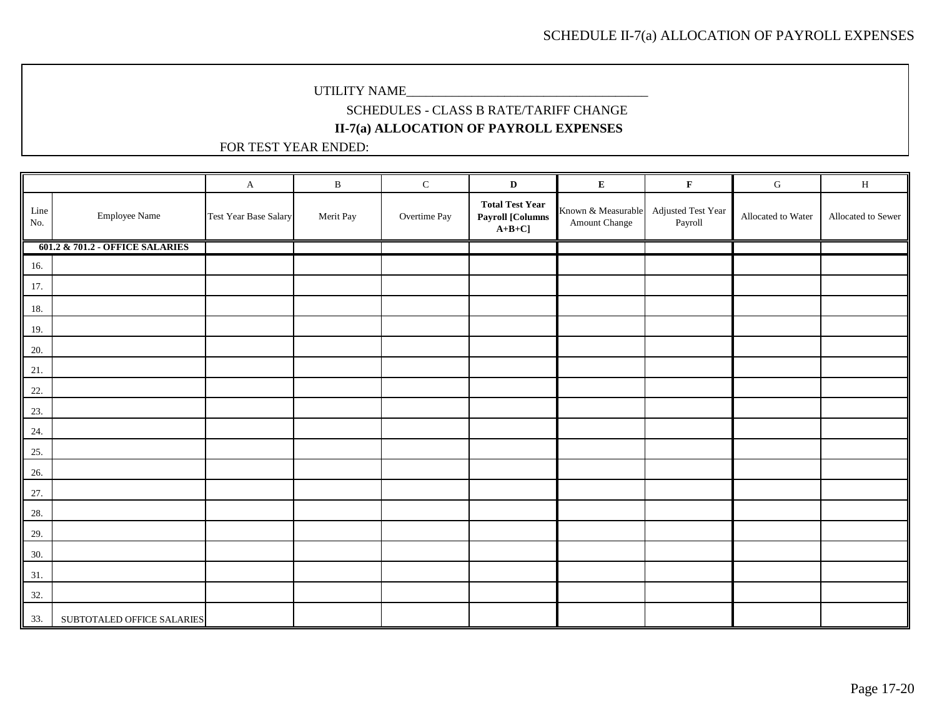# SCHEDULES - CLASS B RATE/TARIFF CHANGE **II-7(a) ALLOCATION OF PAYROLL EXPENSES**

|                                     |                                 | $\mathbf{A}$                 | $\, {\bf B}$ | ${\bf C}$    | $\mathbf D$                                                   | ${\bf E}$                           | $\mathbf F$                   | ${\bf G}$          | $\, {\rm H}$       |
|-------------------------------------|---------------------------------|------------------------------|--------------|--------------|---------------------------------------------------------------|-------------------------------------|-------------------------------|--------------------|--------------------|
| $\mathop{\rm Line}\nolimits$<br>No. | <b>Employee Name</b>            | <b>Test Year Base Salary</b> | Merit Pay    | Overtime Pay | <b>Total Test Year</b><br><b>Payroll [Columns</b><br>$A+B+C]$ | Known & Measurable<br>Amount Change | Adjusted Test Year<br>Payroll | Allocated to Water | Allocated to Sewer |
|                                     | 601.2 & 701.2 - OFFICE SALARIES |                              |              |              |                                                               |                                     |                               |                    |                    |
| 16.                                 |                                 |                              |              |              |                                                               |                                     |                               |                    |                    |
| 17.                                 |                                 |                              |              |              |                                                               |                                     |                               |                    |                    |
| 18.                                 |                                 |                              |              |              |                                                               |                                     |                               |                    |                    |
| 19.                                 |                                 |                              |              |              |                                                               |                                     |                               |                    |                    |
| 20.                                 |                                 |                              |              |              |                                                               |                                     |                               |                    |                    |
| 21.                                 |                                 |                              |              |              |                                                               |                                     |                               |                    |                    |
| 22.                                 |                                 |                              |              |              |                                                               |                                     |                               |                    |                    |
| 23.                                 |                                 |                              |              |              |                                                               |                                     |                               |                    |                    |
| 24.                                 |                                 |                              |              |              |                                                               |                                     |                               |                    |                    |
| 25.                                 |                                 |                              |              |              |                                                               |                                     |                               |                    |                    |
| 26.                                 |                                 |                              |              |              |                                                               |                                     |                               |                    |                    |
| 27.                                 |                                 |                              |              |              |                                                               |                                     |                               |                    |                    |
| 28.                                 |                                 |                              |              |              |                                                               |                                     |                               |                    |                    |
| 29.                                 |                                 |                              |              |              |                                                               |                                     |                               |                    |                    |
| 30.                                 |                                 |                              |              |              |                                                               |                                     |                               |                    |                    |
| 31.                                 |                                 |                              |              |              |                                                               |                                     |                               |                    |                    |
| 32.                                 |                                 |                              |              |              |                                                               |                                     |                               |                    |                    |
| 33.                                 | SUBTOTALED OFFICE SALARIES      |                              |              |              |                                                               |                                     |                               |                    |                    |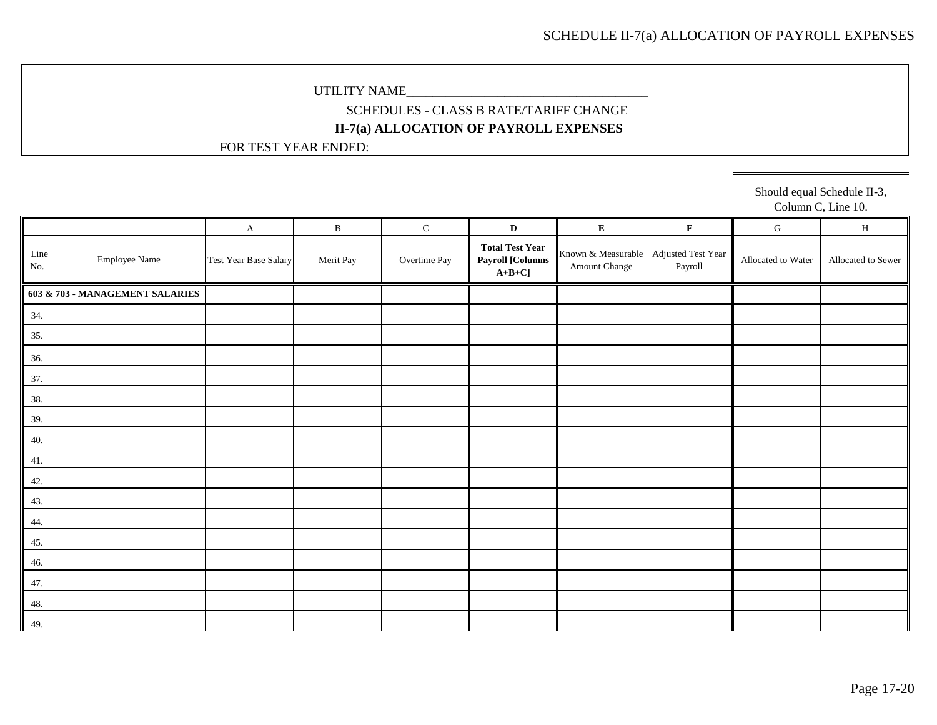## SCHEDULES - CLASS B RATE/TARIFF CHANGE **II-7(a) ALLOCATION OF PAYROLL EXPENSES**

FOR TEST YEAR ENDED:

Should equal Schedule II-3, Column C, Line 10.

|             |                                 | $\mathbf{A}$          | $\, {\bf B}$ | ${\bf C}$    | $\mathbf{D}$                                                  | ${\bf E}$                           | $\mathbf F$                   | ${\bf G}$          | $\, {\rm H}$       |
|-------------|---------------------------------|-----------------------|--------------|--------------|---------------------------------------------------------------|-------------------------------------|-------------------------------|--------------------|--------------------|
| Line<br>No. | <b>Employee Name</b>            | Test Year Base Salary | Merit Pay    | Overtime Pay | <b>Total Test Year</b><br><b>Payroll [Columns</b><br>$A+B+C]$ | Known & Measurable<br>Amount Change | Adjusted Test Year<br>Payroll | Allocated to Water | Allocated to Sewer |
|             | 603 & 703 - MANAGEMENT SALARIES |                       |              |              |                                                               |                                     |                               |                    |                    |
| 34.         |                                 |                       |              |              |                                                               |                                     |                               |                    |                    |
| 35.         |                                 |                       |              |              |                                                               |                                     |                               |                    |                    |
| 36.         |                                 |                       |              |              |                                                               |                                     |                               |                    |                    |
| 37.         |                                 |                       |              |              |                                                               |                                     |                               |                    |                    |
| 38.         |                                 |                       |              |              |                                                               |                                     |                               |                    |                    |
| 39.         |                                 |                       |              |              |                                                               |                                     |                               |                    |                    |
| 40.         |                                 |                       |              |              |                                                               |                                     |                               |                    |                    |
| 41.         |                                 |                       |              |              |                                                               |                                     |                               |                    |                    |
| 42.         |                                 |                       |              |              |                                                               |                                     |                               |                    |                    |
| 43.         |                                 |                       |              |              |                                                               |                                     |                               |                    |                    |
| 44.         |                                 |                       |              |              |                                                               |                                     |                               |                    |                    |
| 45.         |                                 |                       |              |              |                                                               |                                     |                               |                    |                    |
| 46.         |                                 |                       |              |              |                                                               |                                     |                               |                    |                    |
| 47.         |                                 |                       |              |              |                                                               |                                     |                               |                    |                    |
| 48.         |                                 |                       |              |              |                                                               |                                     |                               |                    |                    |
| 49.         |                                 |                       |              |              |                                                               |                                     |                               |                    |                    |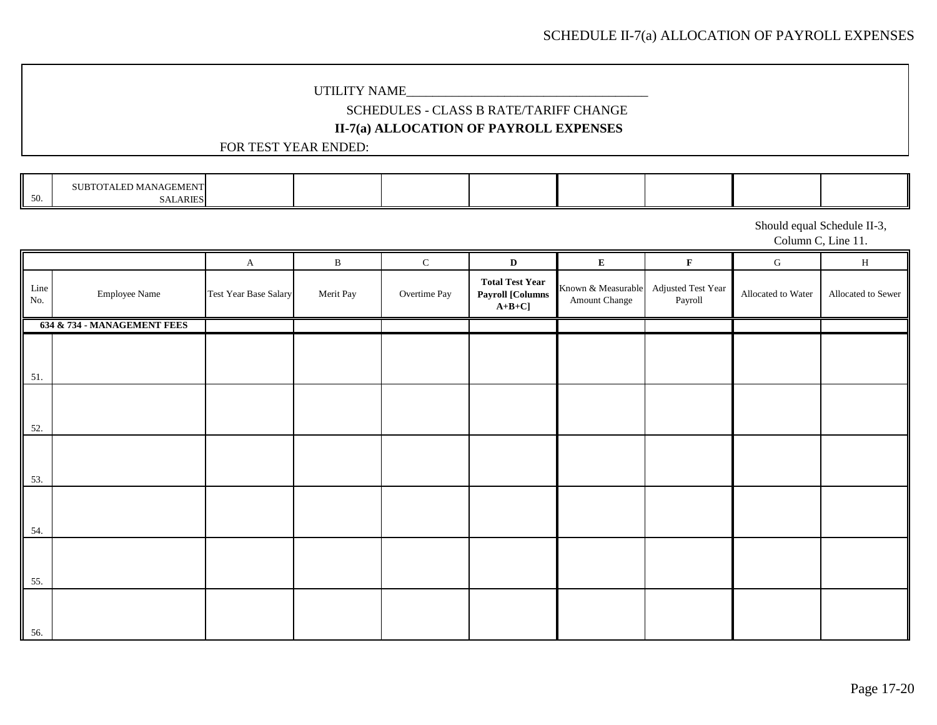# SCHEDULE II-7(a) ALLOCATION OF PAYROLL EXPENSES

### UTILITY NAME\_

## SCHEDULES - CLASS B RATE/TARIFF CHANGE **II-7(a) ALLOCATION OF PAYROLL EXPENSES**

### FOR TEST YEAR ENDED:

|           | <b><i>TALED MANAGEMENT</i></b><br>π |  |  |  |  |
|-----------|-------------------------------------|--|--|--|--|
| 5(<br>Jv. | <b>ARIES</b><br>5AL                 |  |  |  |  |

Should equal Schedule II-3,

Column C, Line 11.

|                   |                             | $\mathbf{A}$          | $\, {\bf B}$ | $\mathbf C$  | $\mathbf{D}$                                                  | $\mathbf E$                         | $\mathbf F$                   | ${\bf G}$          | $\, {\rm H}$       |
|-------------------|-----------------------------|-----------------------|--------------|--------------|---------------------------------------------------------------|-------------------------------------|-------------------------------|--------------------|--------------------|
| Line<br>$\rm No.$ | <b>Employee Name</b>        | Test Year Base Salary | Merit Pay    | Overtime Pay | <b>Total Test Year</b><br><b>Payroll [Columns</b><br>$A+B+C]$ | Known & Measurable<br>Amount Change | Adjusted Test Year<br>Payroll | Allocated to Water | Allocated to Sewer |
|                   | 634 & 734 - MANAGEMENT FEES |                       |              |              |                                                               |                                     |                               |                    |                    |
| 51.               |                             |                       |              |              |                                                               |                                     |                               |                    |                    |
| 52.               |                             |                       |              |              |                                                               |                                     |                               |                    |                    |
| 53.               |                             |                       |              |              |                                                               |                                     |                               |                    |                    |
| 54.               |                             |                       |              |              |                                                               |                                     |                               |                    |                    |
| 55.               |                             |                       |              |              |                                                               |                                     |                               |                    |                    |
| 56.               |                             |                       |              |              |                                                               |                                     |                               |                    |                    |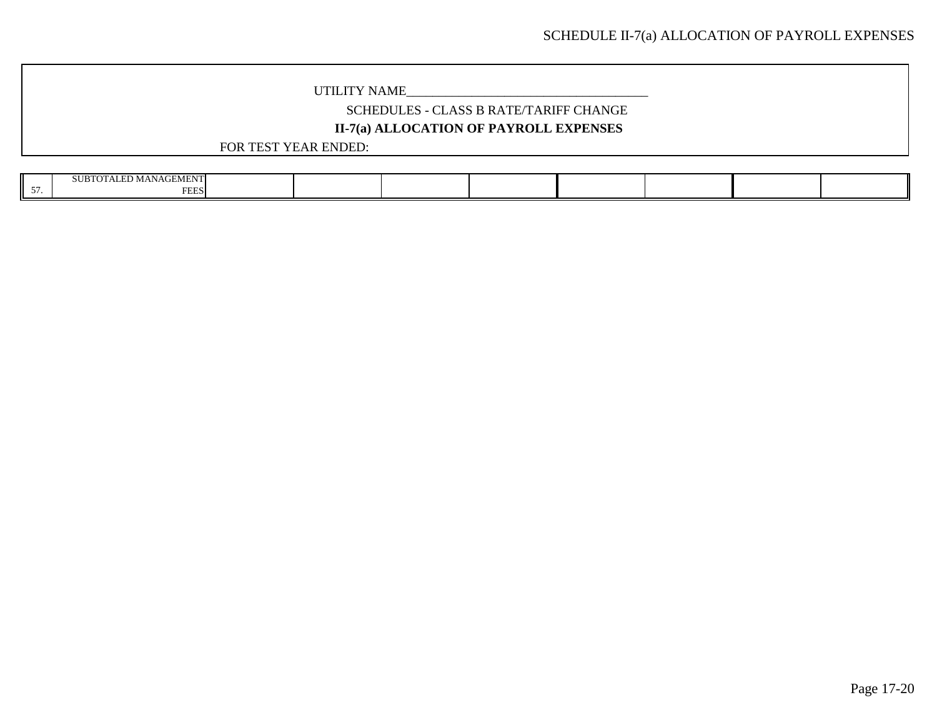## SCHEDULES - CLASS B RATE/TARIFF CHANGE **II-7(a) ALLOCATION OF PAYROLL EXPENSES**

| <b>Contact State Contact State</b><br>SUB7<br>MANAGEMEN |  |  |  |  |
|---------------------------------------------------------|--|--|--|--|
| <b>COLOR</b><br>دخلنا                                   |  |  |  |  |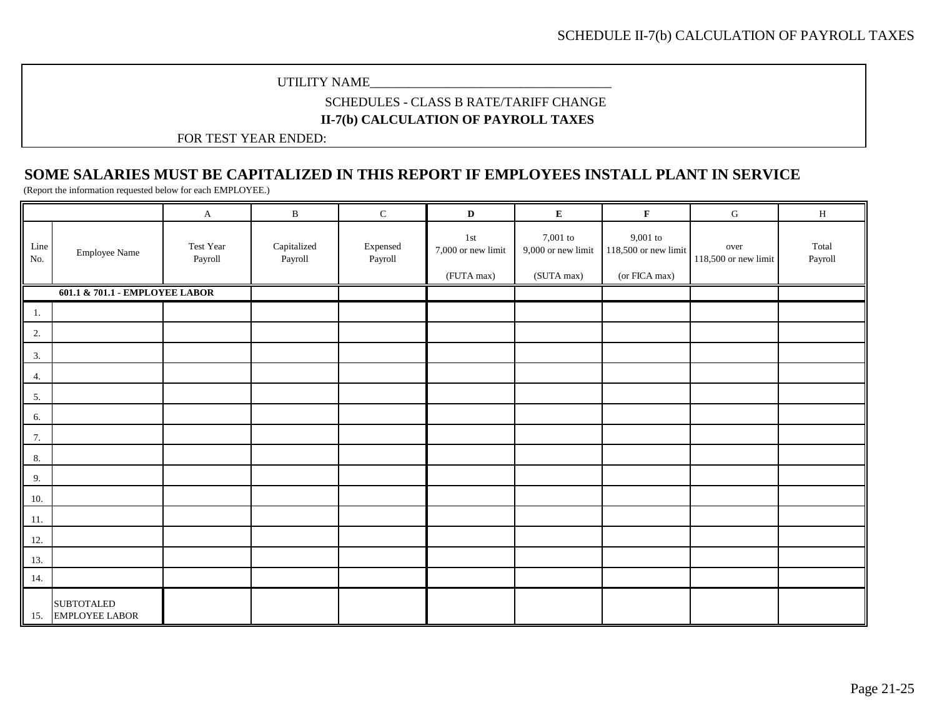### UTILITY NAME\_\_\_\_\_\_\_\_\_\_\_\_\_\_\_\_\_\_\_\_\_\_\_\_\_\_\_\_\_\_\_\_\_\_\_\_\_

### SCHEDULES - CLASS B RATE/TARIFF CHANGE **II-7(b) CALCULATION OF PAYROLL TAXES**

FOR TEST YEAR ENDED:

# **SOME SALARIES MUST BE CAPITALIZED IN THIS REPORT IF EMPLOYEES INSTALL PLANT IN SERVICE**

(Report the information requested below for each EMPLOYEE.)

|             |                                            | A                    | $\, {\bf B}$                                    | ${\bf C}$           | $\mathbf D$                             | ${\bf E}$                                    | $\mathbf F$                                           | ${\bf G}$                    | $\, {\rm H}$     |
|-------------|--------------------------------------------|----------------------|-------------------------------------------------|---------------------|-----------------------------------------|----------------------------------------------|-------------------------------------------------------|------------------------------|------------------|
| Line<br>No. | <b>Employee Name</b>                       | Test Year<br>Payroll | $\label{eq:capitalized} Capitalized$<br>Payroll | Expensed<br>Payroll | 1st<br>7,000 or new limit<br>(FUTA max) | 7,001 to<br>9,000 or new limit<br>(SUTA max) | $9{,}001$ to<br>118,500 or new limit<br>(or FICA max) | over<br>118,500 or new limit | Total<br>Payroll |
|             | 601.1 & 701.1 - EMPLOYEE LABOR             |                      |                                                 |                     |                                         |                                              |                                                       |                              |                  |
| 1.          |                                            |                      |                                                 |                     |                                         |                                              |                                                       |                              |                  |
| 2.          |                                            |                      |                                                 |                     |                                         |                                              |                                                       |                              |                  |
| 3.          |                                            |                      |                                                 |                     |                                         |                                              |                                                       |                              |                  |
| 4.          |                                            |                      |                                                 |                     |                                         |                                              |                                                       |                              |                  |
| 5.          |                                            |                      |                                                 |                     |                                         |                                              |                                                       |                              |                  |
| 6.          |                                            |                      |                                                 |                     |                                         |                                              |                                                       |                              |                  |
| 7.          |                                            |                      |                                                 |                     |                                         |                                              |                                                       |                              |                  |
| 8.          |                                            |                      |                                                 |                     |                                         |                                              |                                                       |                              |                  |
| 9.          |                                            |                      |                                                 |                     |                                         |                                              |                                                       |                              |                  |
| 10.         |                                            |                      |                                                 |                     |                                         |                                              |                                                       |                              |                  |
| 11.         |                                            |                      |                                                 |                     |                                         |                                              |                                                       |                              |                  |
| 12.         |                                            |                      |                                                 |                     |                                         |                                              |                                                       |                              |                  |
| 13.         |                                            |                      |                                                 |                     |                                         |                                              |                                                       |                              |                  |
| 14.         |                                            |                      |                                                 |                     |                                         |                                              |                                                       |                              |                  |
| 15.         | <b>SUBTOTALED</b><br><b>EMPLOYEE LABOR</b> |                      |                                                 |                     |                                         |                                              |                                                       |                              |                  |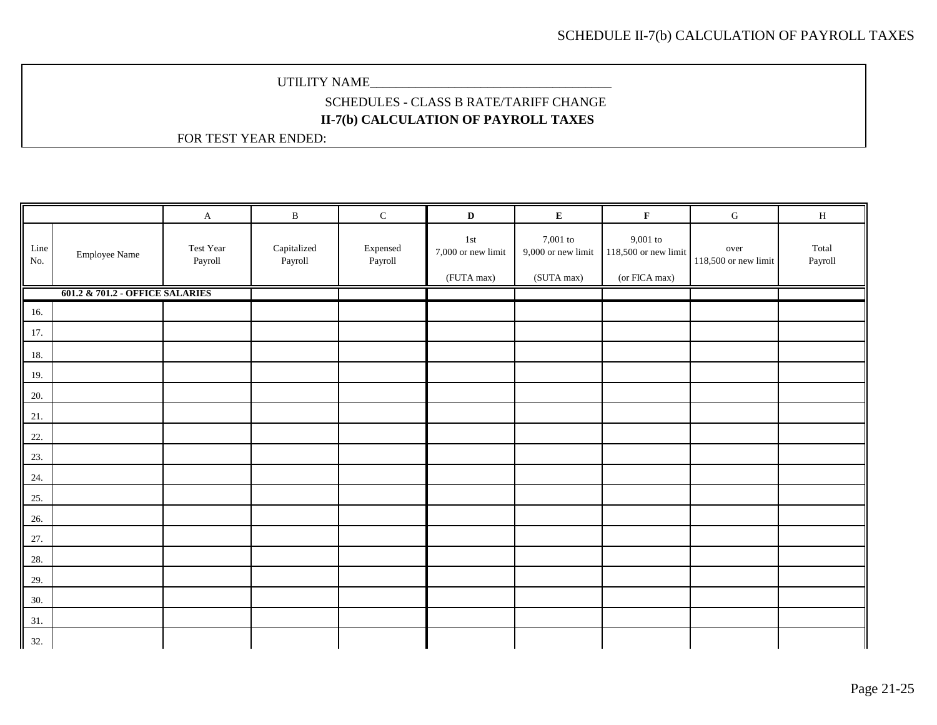# SCHEDULES - CLASS B RATE/TARIFF CHANGE **II-7(b) CALCULATION OF PAYROLL TAXES**

|             |                                 | $\mathbf{A}$         | $\, {\bf B}$           | $\mathbf C$         | $\mathbf{D}$                            | ${\bf E}$                                    | $\mathbf F$                                           | ${\bf G}$                    | $\, {\rm H}$     |
|-------------|---------------------------------|----------------------|------------------------|---------------------|-----------------------------------------|----------------------------------------------|-------------------------------------------------------|------------------------------|------------------|
| Line<br>No. | <b>Employee Name</b>            | Test Year<br>Payroll | Capitalized<br>Payroll | Expensed<br>Payroll | 1st<br>7,000 or new limit<br>(FUTA max) | 7,001 to<br>9,000 or new limit<br>(SUTA max) | $9{,}001$ to<br>118,500 or new limit<br>(or FICA max) | over<br>118,500 or new limit | Total<br>Payroll |
|             | 601.2 & 701.2 - OFFICE SALARIES |                      |                        |                     |                                         |                                              |                                                       |                              |                  |
| 16.         |                                 |                      |                        |                     |                                         |                                              |                                                       |                              |                  |
| 17.         |                                 |                      |                        |                     |                                         |                                              |                                                       |                              |                  |
| 18.         |                                 |                      |                        |                     |                                         |                                              |                                                       |                              |                  |
| 19.         |                                 |                      |                        |                     |                                         |                                              |                                                       |                              |                  |
| 20.         |                                 |                      |                        |                     |                                         |                                              |                                                       |                              |                  |
| 21.         |                                 |                      |                        |                     |                                         |                                              |                                                       |                              |                  |
| 22.         |                                 |                      |                        |                     |                                         |                                              |                                                       |                              |                  |
| 23.         |                                 |                      |                        |                     |                                         |                                              |                                                       |                              |                  |
| 24.         |                                 |                      |                        |                     |                                         |                                              |                                                       |                              |                  |
| 25.         |                                 |                      |                        |                     |                                         |                                              |                                                       |                              |                  |
| 26.         |                                 |                      |                        |                     |                                         |                                              |                                                       |                              |                  |
| 27.         |                                 |                      |                        |                     |                                         |                                              |                                                       |                              |                  |
| 28.         |                                 |                      |                        |                     |                                         |                                              |                                                       |                              |                  |
| 29.         |                                 |                      |                        |                     |                                         |                                              |                                                       |                              |                  |
| 30.         |                                 |                      |                        |                     |                                         |                                              |                                                       |                              |                  |
| 31.         |                                 |                      |                        |                     |                                         |                                              |                                                       |                              |                  |
| 32.         |                                 |                      |                        |                     |                                         |                                              |                                                       |                              |                  |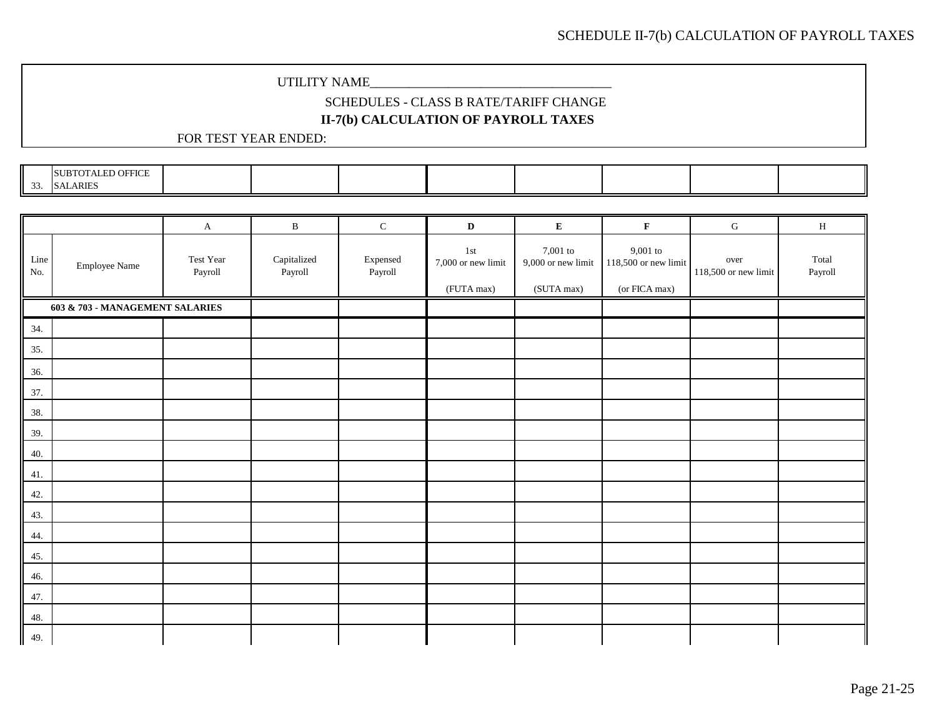# SCHEDULES - CLASS B RATE/TARIFF CHANGE

## **II-7(b) CALCULATION OF PAYROLL TAXES**

| <b>SUBTOTALED OFFICE</b> |
|--------------------------|
| 33. SALARIES             |

|             |                                 | $\mathbf{A}$         | $\, {\bf B}$           | ${\bf C}$                                   | $\mathbf D$                                          | E                                            | $\mathbf F$                                         | ${\bf G}$                    | H                |
|-------------|---------------------------------|----------------------|------------------------|---------------------------------------------|------------------------------------------------------|----------------------------------------------|-----------------------------------------------------|------------------------------|------------------|
| Line<br>No. | <b>Employee Name</b>            | Test Year<br>Payroll | Capitalized<br>Payroll | $\ensuremath{\mathsf{Expensed}}$<br>Payroll | $1\,\mathrm{st}$<br>7,000 or new limit<br>(FUTA max) | 7,001 to<br>9,000 or new limit<br>(SUTA max) | $9,001$ to<br>118,500 or new limit<br>(or FICA max) | over<br>118,500 or new limit | Total<br>Payroll |
|             | 603 & 703 - MANAGEMENT SALARIES |                      |                        |                                             |                                                      |                                              |                                                     |                              |                  |
| 34.         |                                 |                      |                        |                                             |                                                      |                                              |                                                     |                              |                  |
| 35.         |                                 |                      |                        |                                             |                                                      |                                              |                                                     |                              |                  |
| 36.         |                                 |                      |                        |                                             |                                                      |                                              |                                                     |                              |                  |
| 37.         |                                 |                      |                        |                                             |                                                      |                                              |                                                     |                              |                  |
| 38.         |                                 |                      |                        |                                             |                                                      |                                              |                                                     |                              |                  |
| 39.         |                                 |                      |                        |                                             |                                                      |                                              |                                                     |                              |                  |
| 40.         |                                 |                      |                        |                                             |                                                      |                                              |                                                     |                              |                  |
| 41.         |                                 |                      |                        |                                             |                                                      |                                              |                                                     |                              |                  |
| 42.         |                                 |                      |                        |                                             |                                                      |                                              |                                                     |                              |                  |
| 43.         |                                 |                      |                        |                                             |                                                      |                                              |                                                     |                              |                  |
| 44.         |                                 |                      |                        |                                             |                                                      |                                              |                                                     |                              |                  |
| 45.         |                                 |                      |                        |                                             |                                                      |                                              |                                                     |                              |                  |
| 46.         |                                 |                      |                        |                                             |                                                      |                                              |                                                     |                              |                  |
| 47.         |                                 |                      |                        |                                             |                                                      |                                              |                                                     |                              |                  |
| 48.         |                                 |                      |                        |                                             |                                                      |                                              |                                                     |                              |                  |
| 49.         |                                 |                      |                        |                                             |                                                      |                                              |                                                     |                              |                  |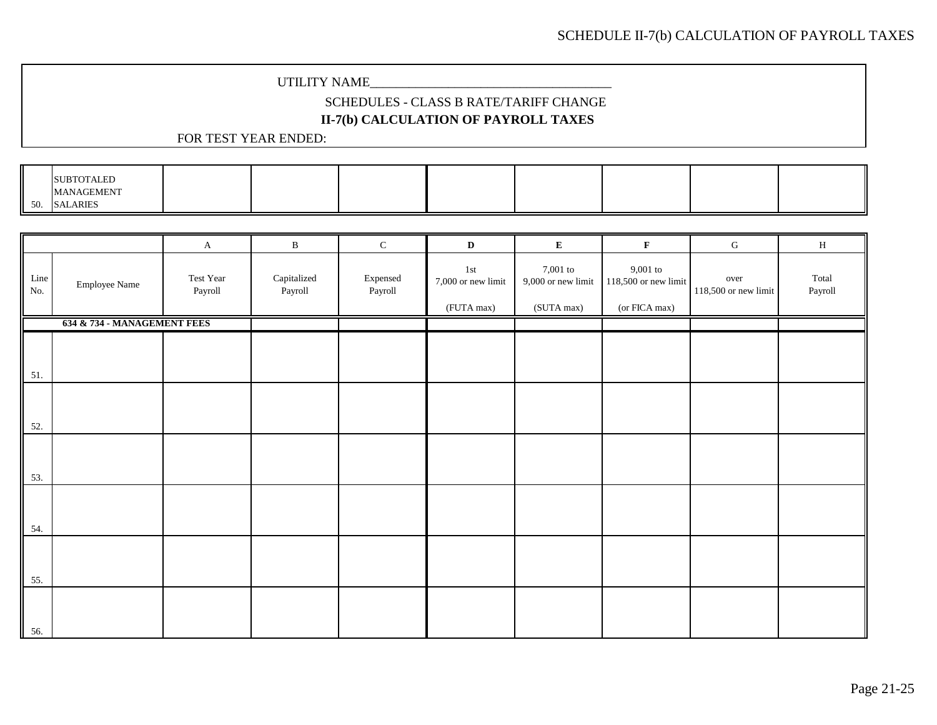# SCHEDULES - CLASS B RATE/TARIFF CHANGE

# **II-7(b) CALCULATION OF PAYROLL TAXES**

|     | <b>SUBTOTALED</b> |  |  |  |  |
|-----|-------------------|--|--|--|--|
|     | <b>MANAGEMENT</b> |  |  |  |  |
| 50. | <b>SALARIES</b>   |  |  |  |  |

|             |                             | $\mathbf A$          | $\, {\bf B}$           | $\mathbf C$         | $\mathbf D$                                          | ${\bf E}$                                        | $\mathbf F$                                           | ${\bf G}$                    | $\, {\rm H}$     |
|-------------|-----------------------------|----------------------|------------------------|---------------------|------------------------------------------------------|--------------------------------------------------|-------------------------------------------------------|------------------------------|------------------|
| Line<br>No. | <b>Employee Name</b>        | Test Year<br>Payroll | Capitalized<br>Payroll | Expensed<br>Payroll | $1\,\mathrm{st}$<br>7,000 or new limit<br>(FUTA max) | 7,001 to<br>$9{,}000$ or new limit<br>(SUTA max) | $9,001$ to<br>$118,500$ or new limit<br>(or FICA max) | over<br>118,500 or new limit | Total<br>Payroll |
|             | 634 & 734 - MANAGEMENT FEES |                      |                        |                     |                                                      |                                                  |                                                       |                              |                  |
| 51.         |                             |                      |                        |                     |                                                      |                                                  |                                                       |                              |                  |
| 52.         |                             |                      |                        |                     |                                                      |                                                  |                                                       |                              |                  |
| 53.         |                             |                      |                        |                     |                                                      |                                                  |                                                       |                              |                  |
| 54.         |                             |                      |                        |                     |                                                      |                                                  |                                                       |                              |                  |
| 55.         |                             |                      |                        |                     |                                                      |                                                  |                                                       |                              |                  |
| 56.         |                             |                      |                        |                     |                                                      |                                                  |                                                       |                              |                  |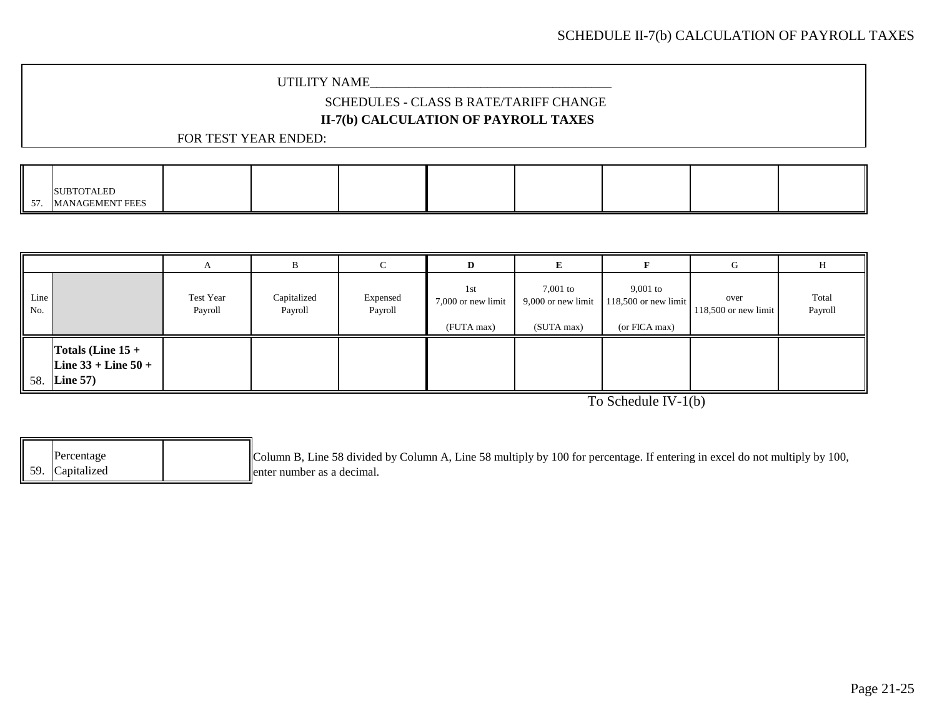### UTILITY NAME\_\_\_\_\_\_\_\_\_\_\_\_\_\_\_\_\_\_\_\_\_\_\_\_\_\_\_\_\_\_\_\_\_\_\_\_\_

# SCHEDULES - CLASS B RATE/TARIFF CHANGE

# **II-7(b) CALCULATION OF PAYROLL TAXES**

### FOR TEST YEAR ENDED:

|           | <b>SUBTOTALED</b>      |  |  |  |  |
|-----------|------------------------|--|--|--|--|
| 57<br>JI. | <b>MANAGEMENT FEES</b> |  |  |  |  |

|             |                                                                  | A                    | D                      |                     | D                                       |                                                |                                                       |                                |                  |
|-------------|------------------------------------------------------------------|----------------------|------------------------|---------------------|-----------------------------------------|------------------------------------------------|-------------------------------------------------------|--------------------------------|------------------|
| Line<br>No. |                                                                  | Test Year<br>Payroll | Capitalized<br>Payroll | Expensed<br>Payroll | 1st<br>7,000 or new limit<br>(FUTA max) | $7,001$ to<br>9,000 or new limit<br>(SUTA max) | $9,001$ to<br>$118,500$ or new limit<br>(or FICA max) | over<br>$118,500$ or new limit | Total<br>Payroll |
|             | Totals (Line $15 +$<br>Line $33 +$ Line $50 +$<br>$58.$ Line 57) |                      |                        |                     |                                         |                                                |                                                       |                                |                  |

To Schedule IV-1(b)

|  | Percentage      | Column B, Line 58 divided by Column A, Line 58 multiply by 100 for percentage. If entering in excel do not multiply by 100, |
|--|-----------------|-----------------------------------------------------------------------------------------------------------------------------|
|  | 59. Capitalized | llenter number as a decimal.                                                                                                |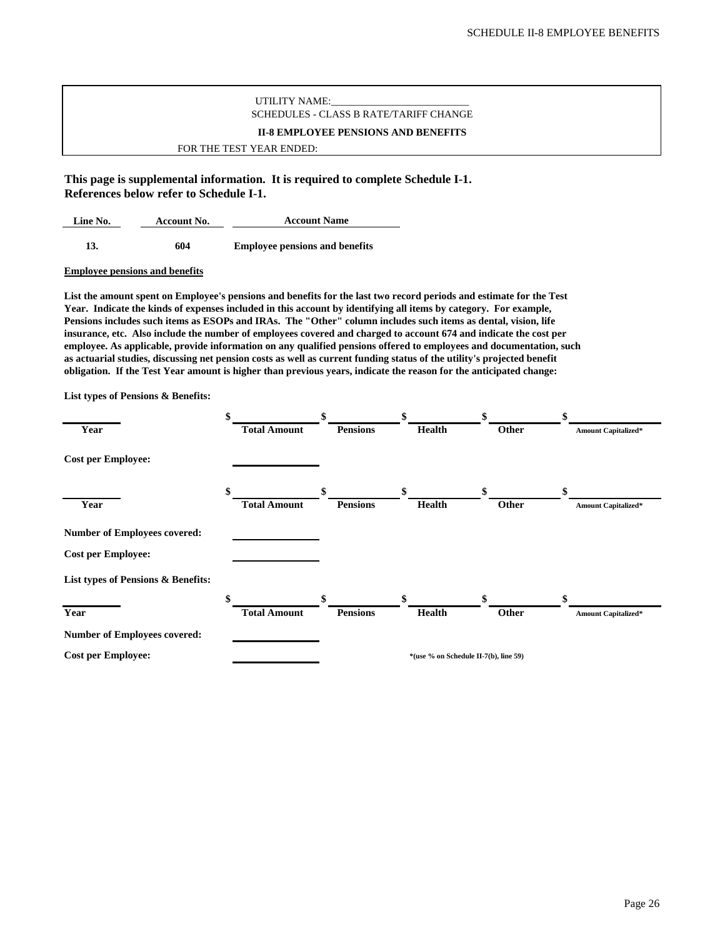### UTILITY NAME: SCHEDULES - CLASS B RATE/TARIFF CHANGE **II-8 EMPLOYEE PENSIONS AND BENEFITS** FOR THE TEST YEAR ENDED:

**This page is supplemental information. It is required to complete Schedule I-1. References below refer to Schedule I-1.**

**Line No. Account No. 13. 604 Employee pensions and benefits Account Name**

#### **Employee pensions and benefits**

**List the amount spent on Employee's pensions and benefits for the last two record periods and estimate for the Test Year. Indicate the kinds of expenses included in this account by identifying all items by category. For example, Pensions includes such items as ESOPs and IRAs. The "Other" column includes such items as dental, vision, life insurance, etc. Also include the number of employees covered and charged to account 674 and indicate the cost per employee. As applicable, provide information on any qualified pensions offered to employees and documentation, such as actuarial studies, discussing net pension costs as well as current funding status of the utility's projected benefit obligation. If the Test Year amount is higher than previous years, indicate the reason for the anticipated change:**

**List types of Pensions & Benefits:**

|                                     | \$                  | \$              | \$            | \$                                    | \$                         |
|-------------------------------------|---------------------|-----------------|---------------|---------------------------------------|----------------------------|
| Year                                | <b>Total Amount</b> | <b>Pensions</b> | <b>Health</b> | Other                                 | Amount Capitalized*        |
| <b>Cost per Employee:</b>           |                     |                 |               |                                       |                            |
|                                     | \$                  | \$              | \$            | \$                                    | \$                         |
| Year                                | <b>Total Amount</b> | <b>Pensions</b> | <b>Health</b> | Other                                 | <b>Amount Capitalized*</b> |
| <b>Number of Employees covered:</b> |                     |                 |               |                                       |                            |
| <b>Cost per Employee:</b>           |                     |                 |               |                                       |                            |
| List types of Pensions & Benefits:  |                     |                 |               |                                       |                            |
|                                     | \$                  | \$              | \$            | \$                                    | \$                         |
| Year                                | <b>Total Amount</b> | <b>Pensions</b> | Health        | Other                                 | <b>Amount Capitalized*</b> |
| <b>Number of Employees covered:</b> |                     |                 |               |                                       |                            |
| <b>Cost per Employee:</b>           |                     |                 |               | *(use % on Schedule II-7(b), line 59) |                            |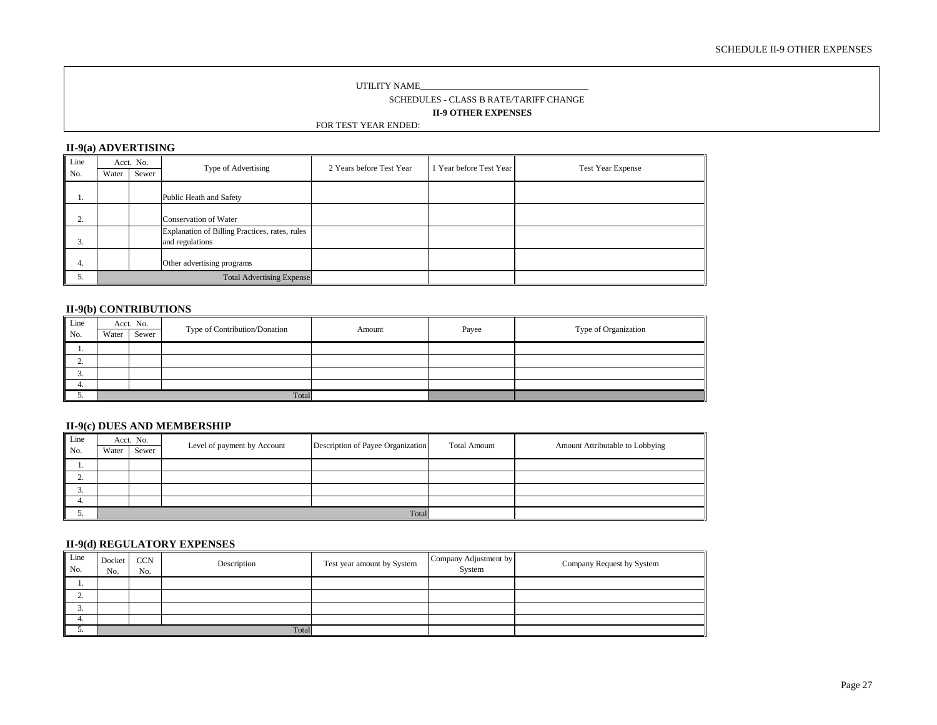#### SCHEDULE II-9 OTHER EXPENSES

#### UTILITY NAME\_\_\_

SCHEDULES - CLASS B RATE/TARIFF CHANGE

**II-9 OTHER EXPENSES**

#### FOR TEST YEAR ENDED:

#### **II-9(a) ADVERTISING**

| Line         |       | Acct. No. | Type of Advertising                            | 2 Years before Test Year | Year before Test Year | <b>Test Year Expense</b> |
|--------------|-------|-----------|------------------------------------------------|--------------------------|-----------------------|--------------------------|
| No.          | Water | Sewer     |                                                |                          |                       |                          |
|              |       |           |                                                |                          |                       |                          |
|              |       |           | Public Heath and Safety                        |                          |                       |                          |
|              |       |           |                                                |                          |                       |                          |
| $\sim$<br>z. |       |           | Conservation of Water                          |                          |                       |                          |
|              |       |           | Explanation of Billing Practices, rates, rules |                          |                       |                          |
| 3.           |       |           | and regulations                                |                          |                       |                          |
|              |       |           |                                                |                          |                       |                          |
| 4.           |       |           | Other advertising programs                     |                          |                       |                          |
| D.           |       |           | <b>Total Advertising Expense</b>               |                          |                       |                          |

#### **II-9(b) CONTRIBUTIONS**

| Line<br>No. | Water | Acct. No.<br>Sewer | Type of Contribution/Donation | Amount | Payee | Type of Organization |
|-------------|-------|--------------------|-------------------------------|--------|-------|----------------------|
|             |       |                    |                               |        |       |                      |
|             |       |                    |                               |        |       |                      |
| <b>L.</b>   |       |                    |                               |        |       |                      |
| <u>.</u>    |       |                    |                               |        |       |                      |
| 4.          |       |                    |                               |        |       |                      |
| <u>.</u>    |       |                    | Total                         |        |       |                      |

#### **II-9(c) DUES AND MEMBERSHIP**

| Line<br>No. | Acct. No.<br>Sewer<br>Water |  | Level of payment by Account | Description of Payee Organization | <b>Total Amount</b> | Amount Attributable to Lobbying |
|-------------|-----------------------------|--|-----------------------------|-----------------------------------|---------------------|---------------------------------|
|             |                             |  |                             |                                   |                     |                                 |
| <u>L.</u>   |                             |  |                             |                                   |                     |                                 |
| <u>.</u>    |                             |  |                             |                                   |                     |                                 |
| 4.          |                             |  |                             |                                   |                     |                                 |
| <u>.</u>    |                             |  |                             | Total                             |                     |                                 |

#### **II-9(d) REGULATORY EXPENSES**

| Line<br>No. | Docket<br>No. | <b>CCN</b><br>No. | Description | Test year amount by System | Company Adjustment by<br>System | Company Request by System |
|-------------|---------------|-------------------|-------------|----------------------------|---------------------------------|---------------------------|
|             |               |                   |             |                            |                                 |                           |
| <b>L.</b>   |               |                   |             |                            |                                 |                           |
| <u>.</u>    |               |                   |             |                            |                                 |                           |
| 4.          |               |                   |             |                            |                                 |                           |
| <u>.</u>    |               |                   | Total       |                            |                                 |                           |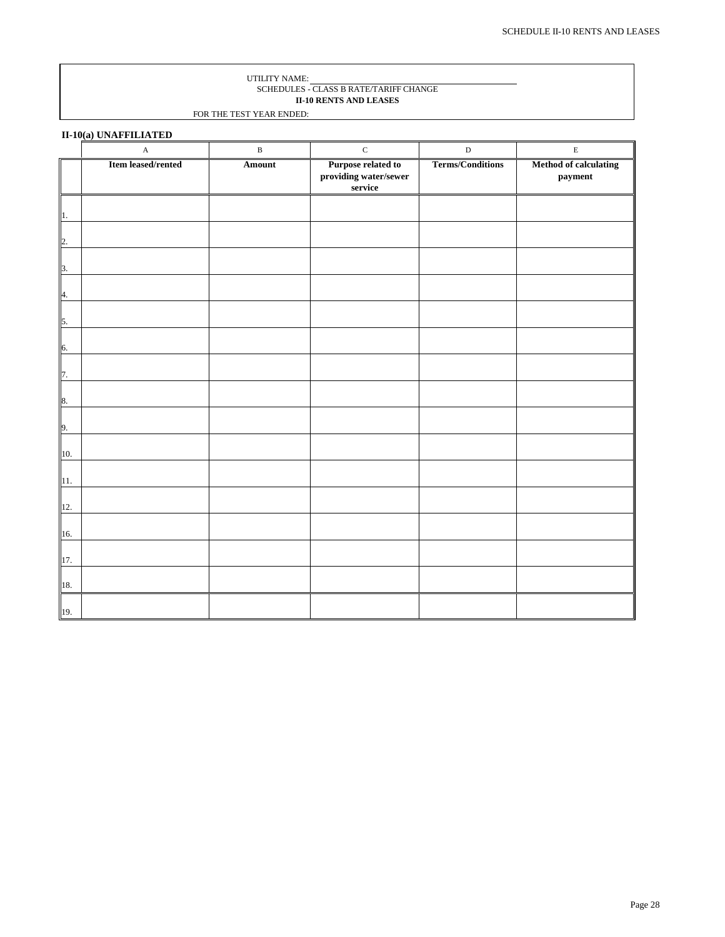#### UTILITY NAME: SCHEDULES - CLASS B RATE/TARIFF CHANGE **II-10 RENTS AND LEASES**

FOR THE TEST YEAR ENDED:

**II-10(a) UNAFFILIATED**

|                           | $\mathbf A$        | $\, {\bf B}$ | $\mathbf C$                                                            | $\, {\bf D}$            | $\mathbf E$                      |
|---------------------------|--------------------|--------------|------------------------------------------------------------------------|-------------------------|----------------------------------|
|                           | Item leased/rented | Amount       | <b>Purpose related to</b><br>providing water/sewer<br>$\mbox{service}$ | <b>Terms/Conditions</b> | Method of calculating<br>payment |
| $\mathbf{1}$ .            |                    |              |                                                                        |                         |                                  |
| 2.                        |                    |              |                                                                        |                         |                                  |
| $\overline{\mathbf{3}}$ . |                    |              |                                                                        |                         |                                  |
| $\overline{4}$ .          |                    |              |                                                                        |                         |                                  |
| $\overline{\phantom{a}}$  |                    |              |                                                                        |                         |                                  |
| 6.                        |                    |              |                                                                        |                         |                                  |
| $\overline{1}$ .          |                    |              |                                                                        |                         |                                  |
| $\frac{8}{1}$             |                    |              |                                                                        |                         |                                  |
| 9.                        |                    |              |                                                                        |                         |                                  |
| 10.                       |                    |              |                                                                        |                         |                                  |
| $\overline{11}$ .         |                    |              |                                                                        |                         |                                  |
| 12.                       |                    |              |                                                                        |                         |                                  |
| 16.                       |                    |              |                                                                        |                         |                                  |
| $\frac{17}{1}$            |                    |              |                                                                        |                         |                                  |
| $\frac{18}{1}$            |                    |              |                                                                        |                         |                                  |
| 19.                       |                    |              |                                                                        |                         |                                  |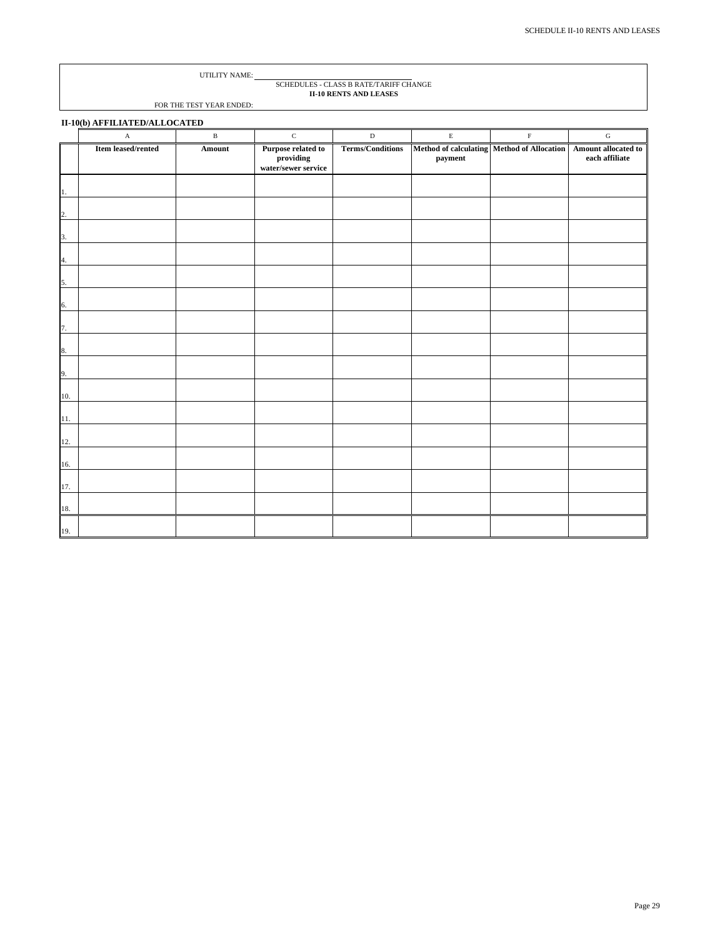# SCHEDULES - CLASS B RATE/TARIFF CHANGE **II-10 RENTS AND LEASES**

|     | II-10(b) AFFILIATED/ALLOCATED |              |                                                                 |                         |             |                                                                    |                |  |  |
|-----|-------------------------------|--------------|-----------------------------------------------------------------|-------------------------|-------------|--------------------------------------------------------------------|----------------|--|--|
|     | $\boldsymbol{\rm{A}}$         | $\, {\bf B}$ | $\mathbf C$                                                     | $\mathbf D$             | $\mathbf E$ | $\mathbf F$                                                        | ${\bf G}$      |  |  |
|     | Item leased/rented            | Amount       | Purpose related to<br>$\bold{providing}$<br>water/sewer service | <b>Terms/Conditions</b> | payment     | Method of calculating   Method of Allocation   Amount allocated to | each affiliate |  |  |
| 1.  |                               |              |                                                                 |                         |             |                                                                    |                |  |  |
| 2.  |                               |              |                                                                 |                         |             |                                                                    |                |  |  |
| 3.  |                               |              |                                                                 |                         |             |                                                                    |                |  |  |
| 4.  |                               |              |                                                                 |                         |             |                                                                    |                |  |  |
| 5.  |                               |              |                                                                 |                         |             |                                                                    |                |  |  |
| 6.  |                               |              |                                                                 |                         |             |                                                                    |                |  |  |
| 7.  |                               |              |                                                                 |                         |             |                                                                    |                |  |  |
| 8.  |                               |              |                                                                 |                         |             |                                                                    |                |  |  |
| 9.  |                               |              |                                                                 |                         |             |                                                                    |                |  |  |
| 10. |                               |              |                                                                 |                         |             |                                                                    |                |  |  |
| 11. |                               |              |                                                                 |                         |             |                                                                    |                |  |  |
| 12. |                               |              |                                                                 |                         |             |                                                                    |                |  |  |
| 16. |                               |              |                                                                 |                         |             |                                                                    |                |  |  |
| 17. |                               |              |                                                                 |                         |             |                                                                    |                |  |  |
| 18. |                               |              |                                                                 |                         |             |                                                                    |                |  |  |
| 19. |                               |              |                                                                 |                         |             |                                                                    |                |  |  |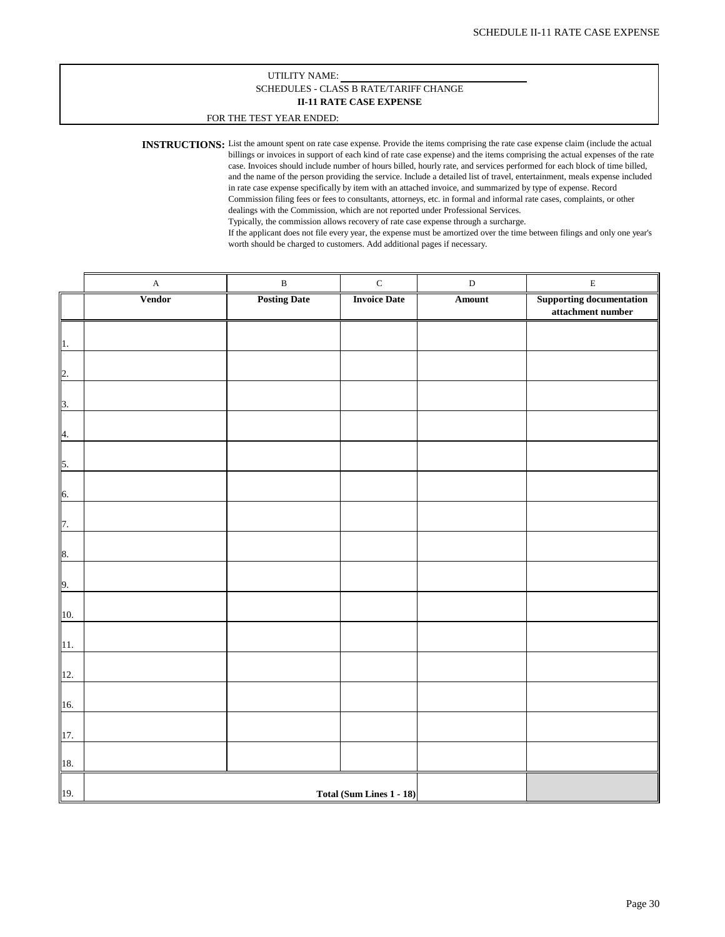#### UTILITY NAME: **II-11 RATE CASE EXPENSE** SCHEDULES - CLASS B RATE/TARIFF CHANGE

#### FOR THE TEST YEAR ENDED:

**INSTRUCTIONS:** List the amount spent on rate case expense. Provide the items comprising the rate case expense claim (include the actual billings or invoices in support of each kind of rate case expense) and the items comprising the actual expenses of the rate case. Invoices should include number of hours billed, hourly rate, and services performed for each block of time billed, and the name of the person providing the service. Include a detailed list of travel, entertainment, meals expense included in rate case expense specifically by item with an attached invoice, and summarized by type of expense. Record Commission filing fees or fees to consultants, attorneys, etc. in formal and informal rate cases, complaints, or other dealings with the Commission, which are not reported under Professional Services. Typically, the commission allows recovery of rate case expense through a surcharge.

If the applicant does not file every year, the expense must be amortized over the time between filings and only one year's worth should be charged to customers. Add additional pages if necessary.

|                           | $\mathbf A$   | $\, {\bf B}$        | $\mathbf C$              | $\label{eq:1} \mathbf{D}$ | $\mathbf E$                                          |
|---------------------------|---------------|---------------------|--------------------------|---------------------------|------------------------------------------------------|
|                           | <b>Vendor</b> | <b>Posting Date</b> | <b>Invoice Date</b>      | Amount                    | <b>Supporting documentation</b><br>attachment number |
| 1.                        |               |                     |                          |                           |                                                      |
| 2.                        |               |                     |                          |                           |                                                      |
| $\overline{\mathbf{3}}$ . |               |                     |                          |                           |                                                      |
| $\overline{4}$ .          |               |                     |                          |                           |                                                      |
| 5.                        |               |                     |                          |                           |                                                      |
| 6.                        |               |                     |                          |                           |                                                      |
| 7.                        |               |                     |                          |                           |                                                      |
| 8.                        |               |                     |                          |                           |                                                      |
| 9.                        |               |                     |                          |                           |                                                      |
| $10. \,$                  |               |                     |                          |                           |                                                      |
| 11.                       |               |                     |                          |                           |                                                      |
| 12.                       |               |                     |                          |                           |                                                      |
| 16.                       |               |                     |                          |                           |                                                      |
| 17.                       |               |                     |                          |                           |                                                      |
| 18.                       |               |                     |                          |                           |                                                      |
| 19.                       |               |                     | Total (Sum Lines 1 - 18) |                           |                                                      |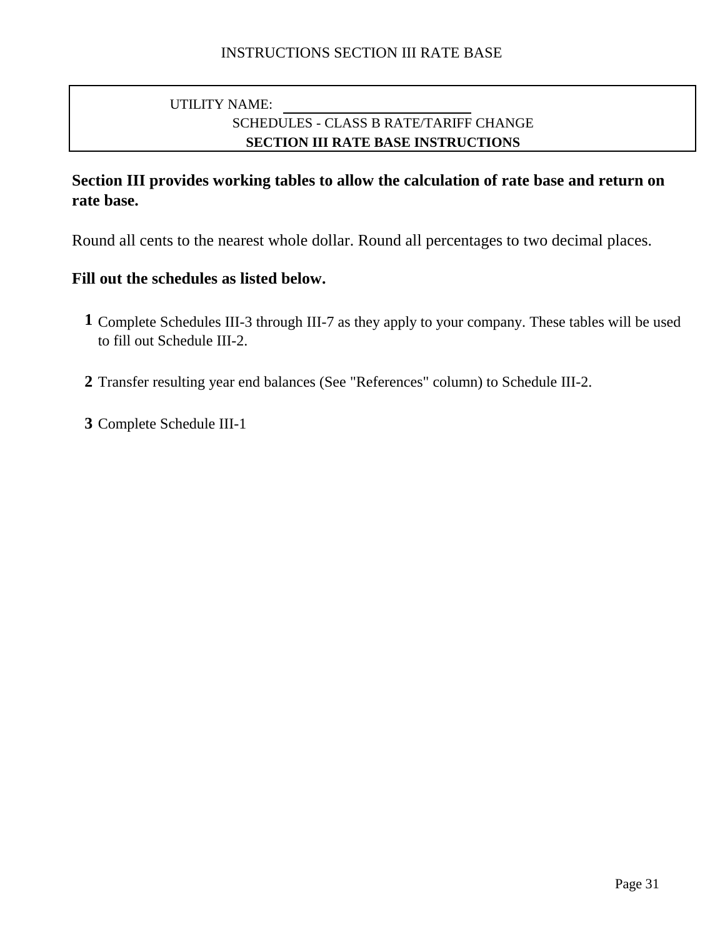# SCHEDULES - CLASS B RATE/TARIFF CHANGE **SECTION III RATE BASE INSTRUCTIONS** UTILITY NAME:

# **Section III provides working tables to allow the calculation of rate base and return on rate base.**

Round all cents to the nearest whole dollar. Round all percentages to two decimal places.

# **Fill out the schedules as listed below.**

- **1** Complete Schedules III-3 through III-7 as they apply to your company. These tables will be used to fill out Schedule III-2.
- **2** Transfer resulting year end balances (See "References" column) to Schedule III-2.

**3** Complete Schedule III-1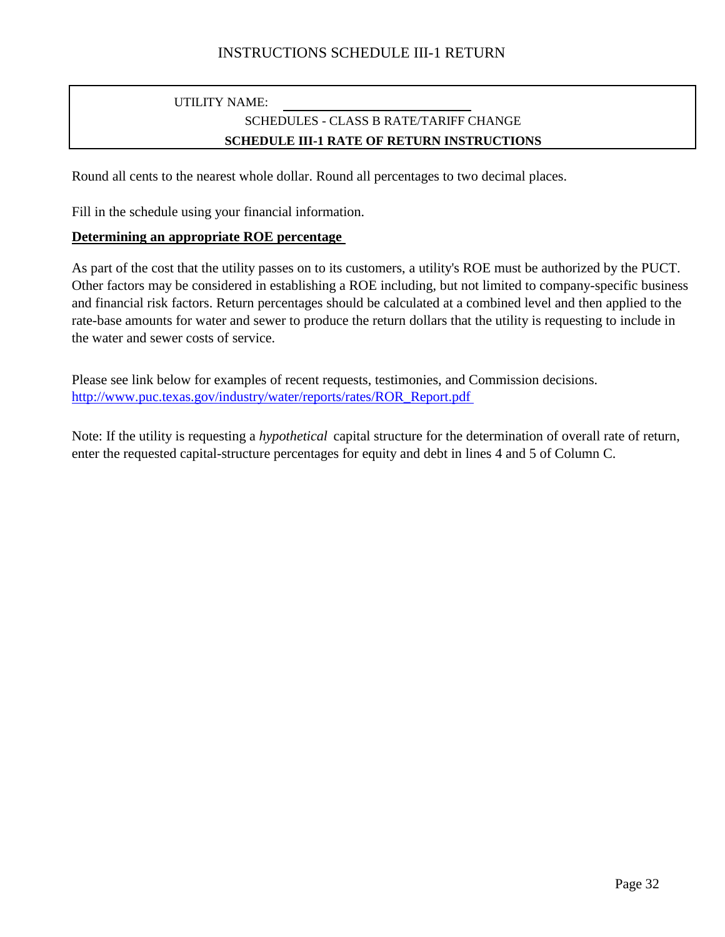# UTILITY NAME: SCHEDULES - CLASS B RATE/TARIFF CHANGE **SCHEDULE III-1 RATE OF RETURN INSTRUCTIONS**

Round all cents to the nearest whole dollar. Round all percentages to two decimal places.

Fill in the schedule using your financial information.

### **Determining an appropriate ROE percentage**

As part of the cost that the utility passes on to its customers, a utility's ROE must be authorized by the PUCT. Other factors may be considered in establishing a ROE including, but not limited to company-specific business and financial risk factors. Return percentages should be calculated at a combined level and then applied to the rate-base amounts for water and sewer to produce the return dollars that the utility is requesting to include in the water and sewer costs of service.

Please see link below for examples of recent requests, testimonies, and Commission decisions. http://www.puc.texas.gov/industry/water/reports/rates/ROR\_Report.pdf

Note: If the utility is requesting a *hypothetical* capital structure for the determination of overall rate of return, enter the requested capital-structure percentages for equity and debt in lines 4 and 5 of Column C.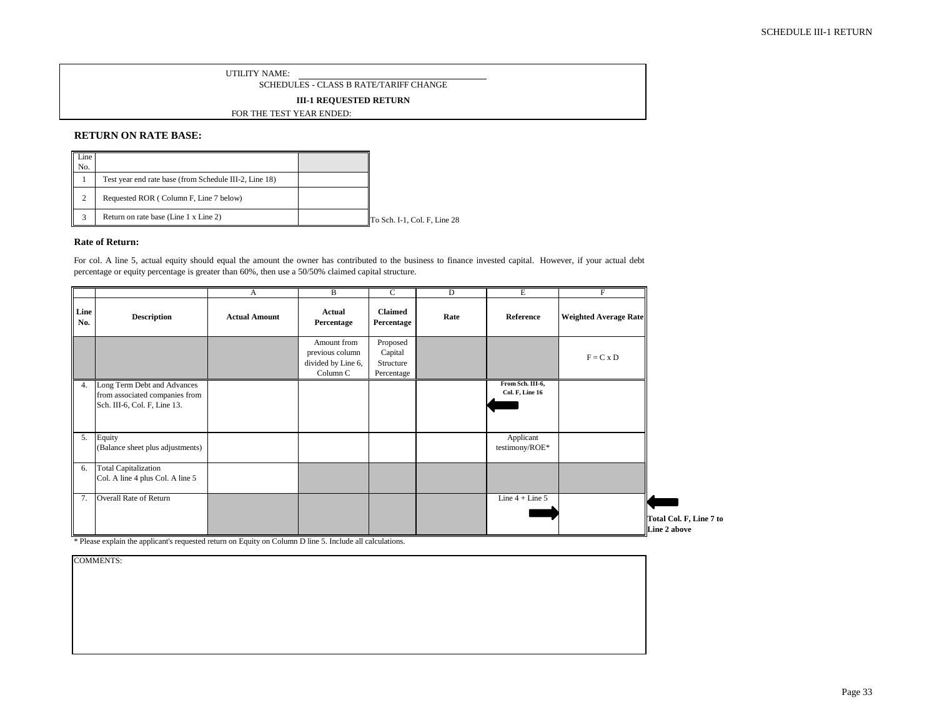SCHEDULES - CLASS B RATE/TARIFF CHANGE

**III-1 REQUESTED RETURN**

FOR THE TEST YEAR ENDED:

#### **RETURN ON RATE BASE:**

| Line<br>No. |                                                        |                              |
|-------------|--------------------------------------------------------|------------------------------|
|             | Test year end rate base (from Schedule III-2, Line 18) |                              |
| ◠<br>∼      | Requested ROR (Column F, Line 7 below)                 |                              |
|             | Return on rate base (Line 1 x Line 2)                  | To Sch. I-1, Col. F, Line 28 |

#### **Rate of Return:**

For col. A line 5, actual equity should equal the amount the owner has contributed to the business to finance invested capital. However, if your actual debt percentage or equity percentage is greater than 60%, then use a 50/50% claimed capital structure.

|             |                                                                                               | A                    | B                                                                | $\mathsf{C}$                                   | D    | Е                                          | F                            |                                         |
|-------------|-----------------------------------------------------------------------------------------------|----------------------|------------------------------------------------------------------|------------------------------------------------|------|--------------------------------------------|------------------------------|-----------------------------------------|
| Line<br>No. | <b>Description</b>                                                                            | <b>Actual Amount</b> | Actual<br>Percentage                                             | <b>Claimed</b><br>Percentage                   | Rate | Reference                                  | <b>Weighted Average Rate</b> |                                         |
|             |                                                                                               |                      | Amount from<br>previous column<br>divided by Line 6,<br>Column C | Proposed<br>Capital<br>Structure<br>Percentage |      |                                            | $F = C x D$                  |                                         |
| 4.          | Long Term Debt and Advances<br>from associated companies from<br>Sch. III-6, Col. F, Line 13. |                      |                                                                  |                                                |      | From Sch. III-6,<br><b>Col. F, Line 16</b> |                              |                                         |
| 5.          | Equity<br>(Balance sheet plus adjustments)                                                    |                      |                                                                  |                                                |      | Applicant<br>testimony/ROE*                |                              |                                         |
| 6.          | <b>Total Capitalization</b><br>Col. A line 4 plus Col. A line 5                               |                      |                                                                  |                                                |      |                                            |                              |                                         |
| 7.          | Overall Rate of Return                                                                        |                      |                                                                  |                                                |      | Line $4 +$ Line $5$                        |                              | Total Col. F, Line 7 to<br>Line 2 above |

\* Please explain the applicant's requested return on Equity on Column D line 5. Include all calculations.

| <b>COMMENTS:</b> |
|------------------|
|------------------|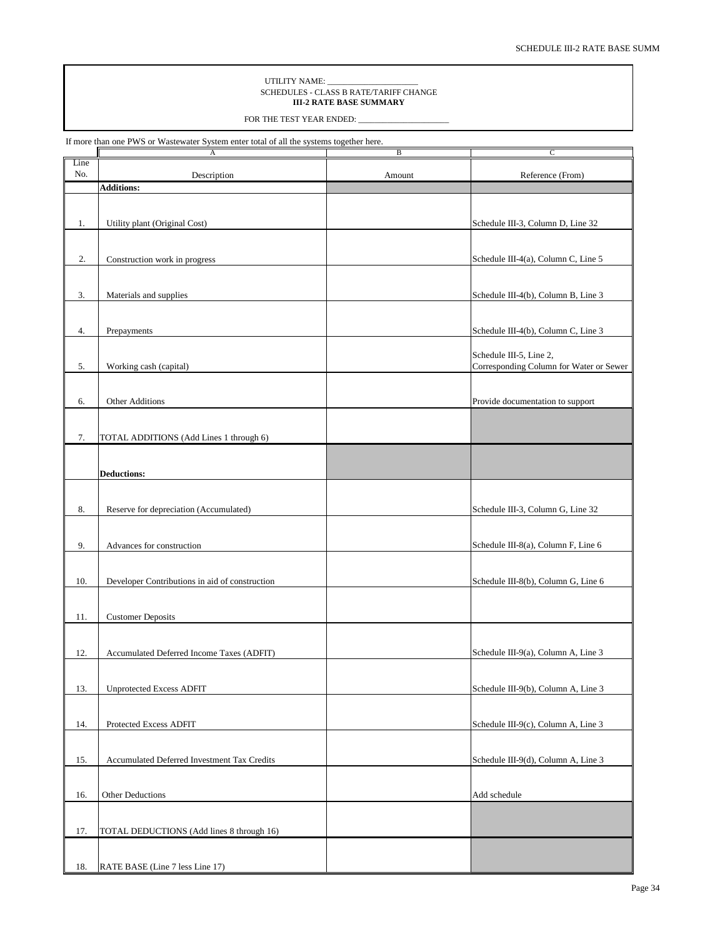#### UTILITY NAME: SCHEDULES - CLASS B RATE/TARIFF CHANGE **III-2 RATE BASE SUMMARY**

FOR THE TEST YEAR ENDED: \_

If more than one PWS or Wastewater System enter total of all the systems together here.

|             | А                                              | B      | $\mathsf{C}$                                                       |
|-------------|------------------------------------------------|--------|--------------------------------------------------------------------|
| Line<br>No. | Description                                    | Amount | Reference (From)                                                   |
|             | <b>Additions:</b>                              |        |                                                                    |
|             |                                                |        |                                                                    |
|             |                                                |        |                                                                    |
| 1.          | Utility plant (Original Cost)                  |        | Schedule III-3, Column D, Line 32                                  |
|             |                                                |        |                                                                    |
|             |                                                |        |                                                                    |
| 2.          | Construction work in progress                  |        | Schedule III-4(a), Column C, Line 5                                |
|             |                                                |        |                                                                    |
| 3.          | Materials and supplies                         |        | Schedule III-4(b), Column B, Line 3                                |
|             |                                                |        |                                                                    |
|             |                                                |        |                                                                    |
| 4.          | Prepayments                                    |        | Schedule III-4(b), Column C, Line 3                                |
|             |                                                |        |                                                                    |
|             |                                                |        | Schedule III-5, Line 2,<br>Corresponding Column for Water or Sewer |
| 5.          | Working cash (capital)                         |        |                                                                    |
|             |                                                |        |                                                                    |
| 6.          | Other Additions                                |        | Provide documentation to support                                   |
|             |                                                |        |                                                                    |
|             |                                                |        |                                                                    |
| 7.          | TOTAL ADDITIONS (Add Lines 1 through 6)        |        |                                                                    |
|             |                                                |        |                                                                    |
|             | <b>Deductions:</b>                             |        |                                                                    |
|             |                                                |        |                                                                    |
|             |                                                |        |                                                                    |
| $\bf 8.$    | Reserve for depreciation (Accumulated)         |        | Schedule III-3, Column G, Line 32                                  |
|             |                                                |        |                                                                    |
| 9.          | Advances for construction                      |        | Schedule III-8(a), Column F, Line 6                                |
|             |                                                |        |                                                                    |
|             |                                                |        |                                                                    |
| 10.         | Developer Contributions in aid of construction |        | Schedule III-8(b), Column G, Line 6                                |
|             |                                                |        |                                                                    |
|             |                                                |        |                                                                    |
| 11.         | <b>Customer Deposits</b>                       |        |                                                                    |
|             |                                                |        |                                                                    |
| 12.         | Accumulated Deferred Income Taxes (ADFIT)      |        | Schedule III-9(a), Column A, Line 3                                |
|             |                                                |        |                                                                    |
|             |                                                |        |                                                                    |
| 13.         | <b>Unprotected Excess ADFIT</b>                |        | Schedule III-9(b), Column A, Line 3                                |
|             |                                                |        |                                                                    |
| 14.         | Protected Excess ADFIT                         |        | Schedule III-9(c), Column A, Line 3                                |
|             |                                                |        |                                                                    |
|             |                                                |        |                                                                    |
| 15.         | Accumulated Deferred Investment Tax Credits    |        | Schedule III-9(d), Column A, Line 3                                |
|             |                                                |        |                                                                    |
|             | Other Deductions                               |        |                                                                    |
| 16.         |                                                |        | Add schedule                                                       |
|             |                                                |        |                                                                    |
| 17.         | TOTAL DEDUCTIONS (Add lines 8 through 16)      |        |                                                                    |
|             |                                                |        |                                                                    |
|             |                                                |        |                                                                    |
| 18.         | RATE BASE (Line 7 less Line 17)                |        |                                                                    |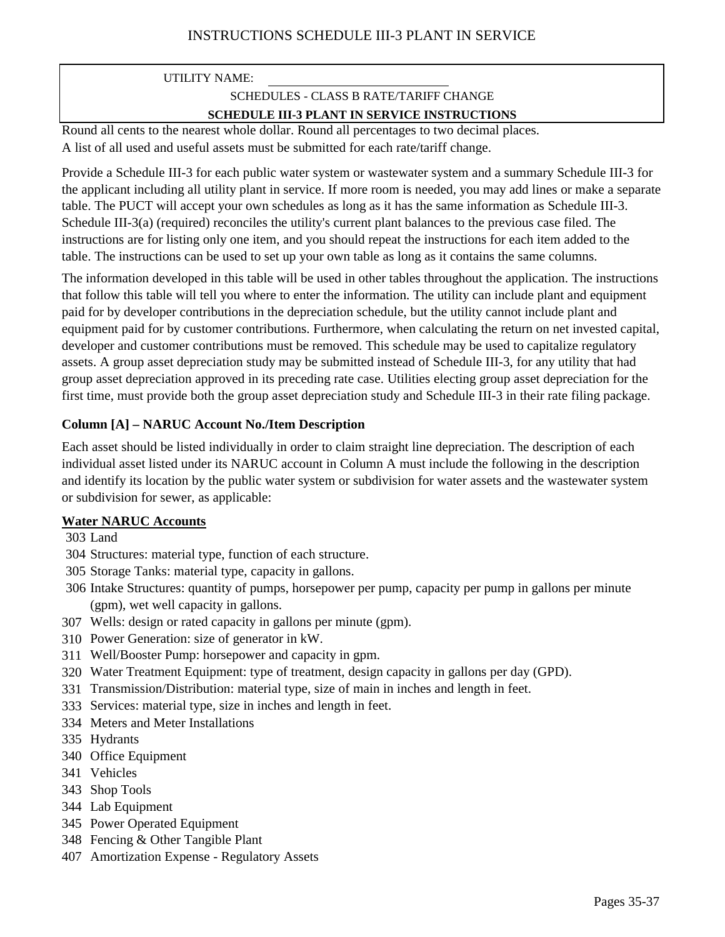# UTILITY NAME: SCHEDULES - CLASS B RATE/TARIFF CHANGE **SCHEDULE III-3 PLANT IN SERVICE INSTRUCTIONS**

A list of all used and useful assets must be submitted for each rate/tariff change. Round all cents to the nearest whole dollar. Round all percentages to two decimal places.

Provide a Schedule III-3 for each public water system or wastewater system and a summary Schedule III-3 for the applicant including all utility plant in service. If more room is needed, you may add lines or make a separate table. The PUCT will accept your own schedules as long as it has the same information as Schedule III-3. Schedule III-3(a) (required) reconciles the utility's current plant balances to the previous case filed. The instructions are for listing only one item, and you should repeat the instructions for each item added to the table. The instructions can be used to set up your own table as long as it contains the same columns.

The information developed in this table will be used in other tables throughout the application. The instructions that follow this table will tell you where to enter the information. The utility can include plant and equipment paid for by developer contributions in the depreciation schedule, but the utility cannot include plant and equipment paid for by customer contributions. Furthermore, when calculating the return on net invested capital, developer and customer contributions must be removed. This schedule may be used to capitalize regulatory assets. A group asset depreciation study may be submitted instead of Schedule III-3, for any utility that had group asset depreciation approved in its preceding rate case. Utilities electing group asset depreciation for the first time, must provide both the group asset depreciation study and Schedule III-3 in their rate filing package.

### **Column [A] – NARUC Account No./Item Description**

Each asset should be listed individually in order to claim straight line depreciation. The description of each individual asset listed under its NARUC account in Column A must include the following in the description and identify its location by the public water system or subdivision for water assets and the wastewater system or subdivision for sewer, as applicable:

### **Water NARUC Accounts**

303 Land

- 304 Structures: material type, function of each structure.
- 305 Storage Tanks: material type, capacity in gallons.
- 306 Intake Structures: quantity of pumps, horsepower per pump, capacity per pump in gallons per minute (gpm), wet well capacity in gallons.
- 307 Wells: design or rated capacity in gallons per minute (gpm).
- 310 Power Generation: size of generator in kW.
- 311 Well/Booster Pump: horsepower and capacity in gpm.
- 320 Water Treatment Equipment: type of treatment, design capacity in gallons per day (GPD).
- 331 Transmission/Distribution: material type, size of main in inches and length in feet.
- 333 Services: material type, size in inches and length in feet.
- 334 Meters and Meter Installations
- 335 Hydrants
- 340 Office Equipment
- 341 Vehicles
- 343 Shop Tools
- 344 Lab Equipment
- 345 Power Operated Equipment
- 348 Fencing & Other Tangible Plant
- 407 Amortization Expense Regulatory Assets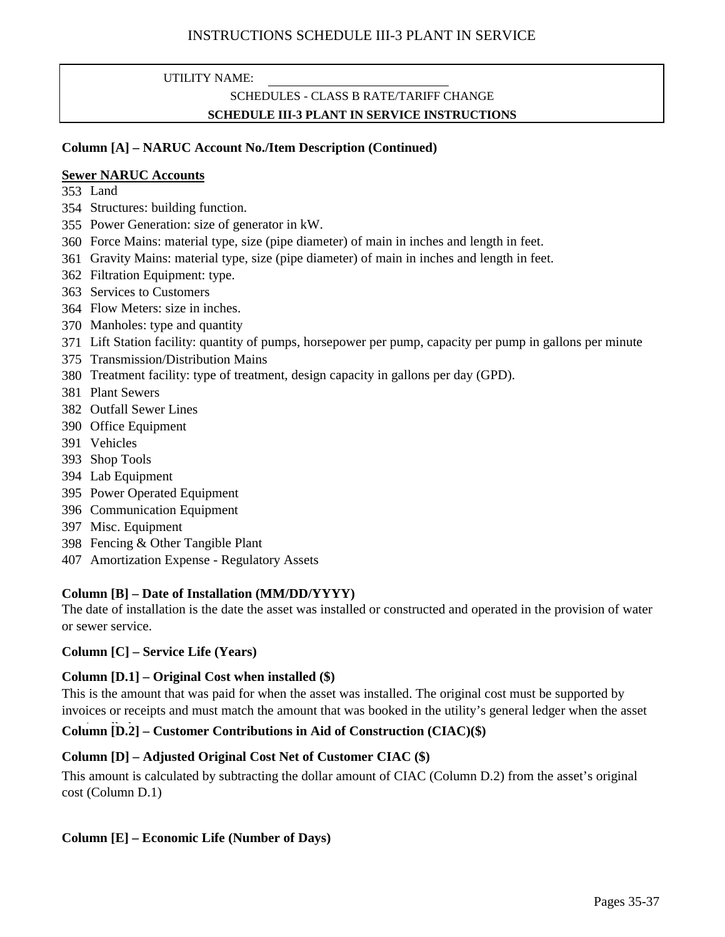### UTILITY NAME:

## SCHEDULES - CLASS B RATE/TARIFF CHANGE **SCHEDULE III-3 PLANT IN SERVICE INSTRUCTIONS**

### **Column [A] – NARUC Account No./Item Description (Continued)**

### **Sewer NARUC Accounts**

- 353 Land
- 354 Structures: building function.
- 355 Power Generation: size of generator in kW.
- 360 Force Mains: material type, size (pipe diameter) of main in inches and length in feet.
- 361 Gravity Mains: material type, size (pipe diameter) of main in inches and length in feet.
- 362 Filtration Equipment: type.
- 363 Services to Customers
- 364 Flow Meters: size in inches.
- 370 Manholes: type and quantity
- 371 Lift Station facility: quantity of pumps, horsepower per pump, capacity per pump in gallons per minute
- 375 Transmission/Distribution Mains
- 380 Treatment facility: type of treatment, design capacity in gallons per day (GPD).
- 381 Plant Sewers
- 382 Outfall Sewer Lines
- 390 Office Equipment
- 391 Vehicles
- 393 Shop Tools
- 394 Lab Equipment
- 395 Power Operated Equipment
- 396 Communication Equipment
- 397 Misc. Equipment
- 398 Fencing & Other Tangible Plant
- 407 Amortization Expense Regulatory Assets

### **Column [B] – Date of Installation (MM/DD/YYYY)**

The date of installation is the date the asset was installed or constructed and operated in the provision of water or sewer service.

### **Column [C] – Service Life (Years)**

### **Column [D.1] – Original Cost when installed (\$)**

This is the amount that was paid for when the asset was installed. The original cost must be supported by invoices or receipts and must match the amount that was booked in the utility's general ledger when the asset

## Column [D.2] – Customer Contributions in Aid of Construction (CIAC)(\$)

### **Column [D] – Adjusted Original Cost Net of Customer CIAC (\$)**

This amount is calculated by subtracting the dollar amount of CIAC (Column D.2) from the asset's original cost (Column D.1)

### **Column [E] – Economic Life (Number of Days)**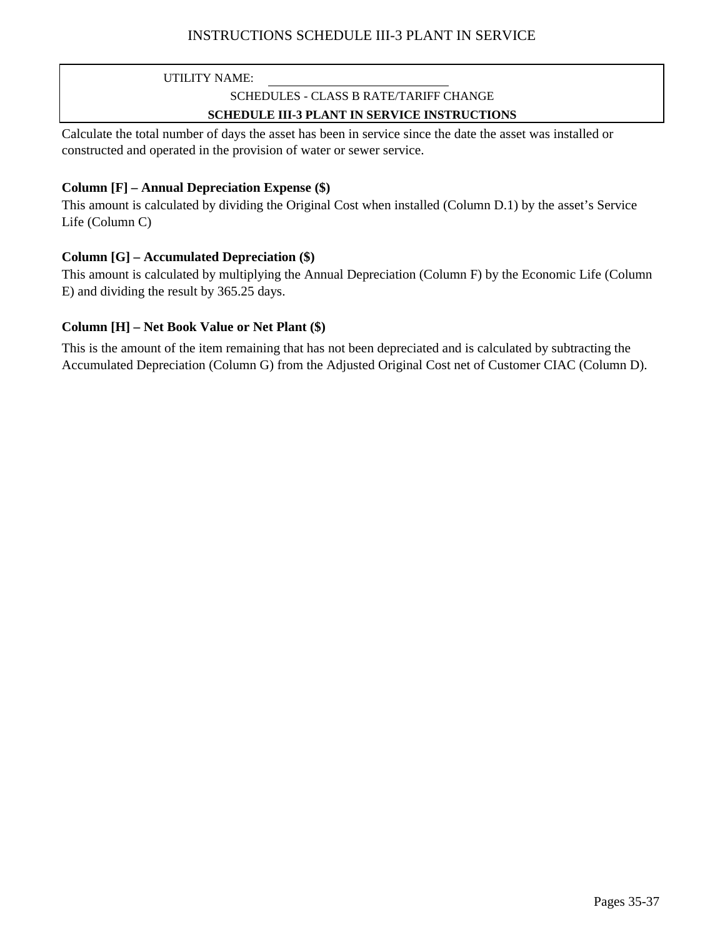## INSTRUCTIONS SCHEDULE III-3 PLANT IN SERVICE

UTILITY NAME:

# SCHEDULES - CLASS B RATE/TARIFF CHANGE

### **SCHEDULE III-3 PLANT IN SERVICE INSTRUCTIONS**

Calculate the total number of days the asset has been in service since the date the asset was installed or constructed and operated in the provision of water or sewer service.

### **Column [F] – Annual Depreciation Expense (\$)**

This amount is calculated by dividing the Original Cost when installed (Column D.1) by the asset's Service Life (Column C)

### **Column [G] – Accumulated Depreciation (\$)**

This amount is calculated by multiplying the Annual Depreciation (Column F) by the Economic Life (Column E) and dividing the result by 365.25 days.

### **Column [H] – Net Book Value or Net Plant (\$)**

This is the amount of the item remaining that has not been depreciated and is calculated by subtracting the Accumulated Depreciation (Column G) from the Adjusted Original Cost net of Customer CIAC (Column D).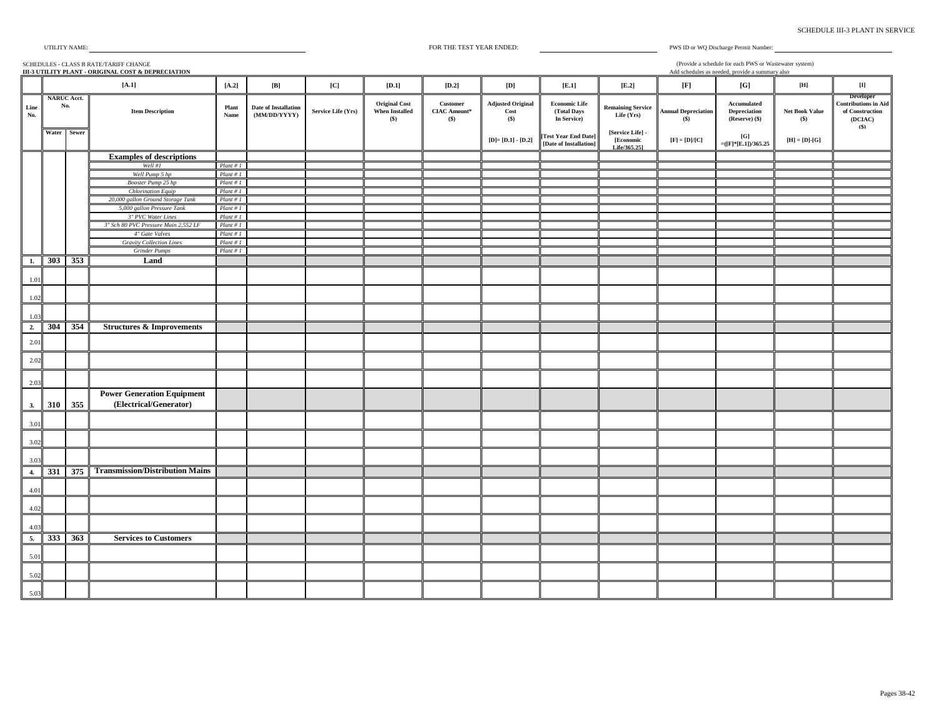| UTILITY NAME: |
|---------------|
|---------------|

FOR THE TEST YEAR ENDED:

PWS ID or WQ Discharge Permit Number:

SCHEDULES - CLASS B RATE/TARIFF CHANGE **III-3 UTILITY PLANT - ORIGINAL COST & DEPRECIATION** Add schedules as needed, provide a summary also **[A.2] [B] [C] [D.1] [D.2] [D] [E.1] [E.2] [F] [G] [H] [I] Line No. Item Description Plant Name Date of Installation (MM/DD/YYYY) Service Life (Yrs) Original Cost When Installed (\$) Customer CIAC Amount\* (\$) Adjusted Original Cost (\$) Economic Life (Total Days In Service) Remaining Service Life (Yrs) Annual Depreciation (\$) Accumulated Depreciation (Reserve) (\$) Net Book Value (\$) Developer Contributions in Aid of Construction (DCIAC) (\$) Water Sewer [D]= [D.1] - [D.2] [Test Year End Date] - [Date of Installation] [Service Life] - [Economic Life/365.25]**  $[F] = [D]/[C]$   $[G]$  $\begin{bmatrix} [G] \\ [1mm] \end{bmatrix}$  **[H]** = [D]-[G] **Examples of descriptions** *Well #1 Plant # 1 Well Pump 5 hp Booster Pump 25 hp Plant # 1 Chlorination Equip Plant # 1 20,000 gallon Ground Storage Tank Plant # 1 5,000 gallon Pressure Tank Plant # 1 3" PVC Water Lines Plant # 1 3" Sch 80 PVC Pressure Main 2,552 LF Plant # 1 4" Gate Valves Plant # 1 Gravity Collection Lines Plant # 1 Grinder Pumps Plant # 1* **1. 303 353 Land** 1.01 1.02 1.03 **2. 304 354 Structures & Improvements** 2.01 2.02  $2.0$ **3. 310 355 Power Generation Equipment (Electrical/Generator)** 3.01 3.02 3.03 **4. 331 375 Transmission/Distribution Mains** 4.01 4.02 4.03 **5. 333 363 Services to Customers** 5.01 5.02 5.03 **[A.1] NARUC Acct. No.** (Provide a schedule for each PWS or Wastewater system)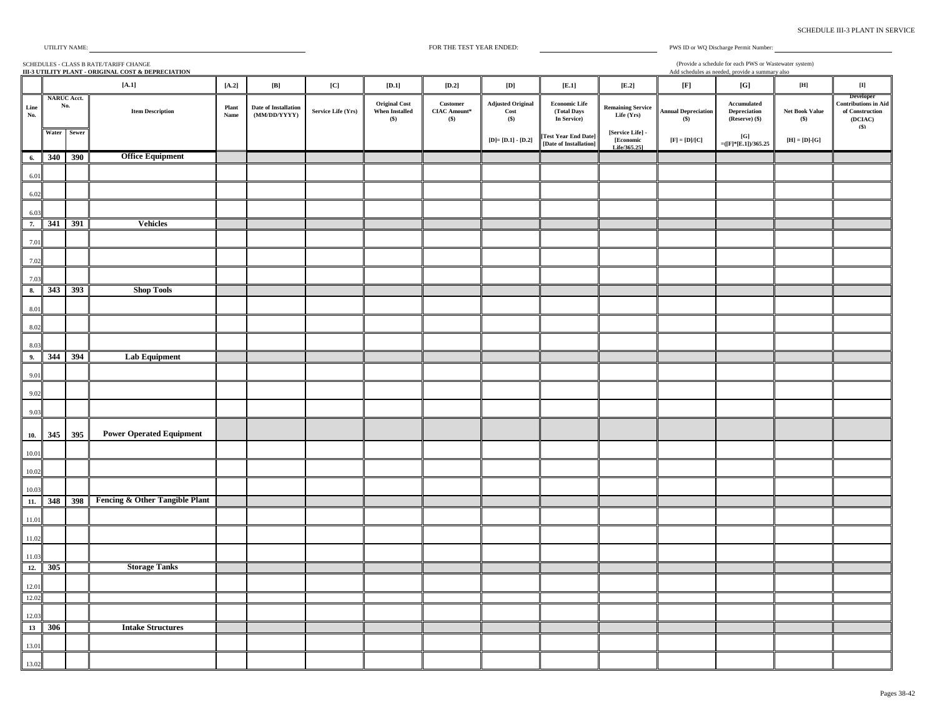| <b>SCHEDULE III-3 PLANT IN SERVICE</b> |  |  |  |
|----------------------------------------|--|--|--|
|----------------------------------------|--|--|--|

(Provide a schedule for each PWS or Wastewater system)

PWS ID or WQ Discharge Permit Number:

#### SCHEDULES - CLASS B RATE/TARIFF CHANGE **III-3 UTILITY PLANT - ORIGINAL COST & DEPRECIATION** Add schedules as needed, provide a summary also **[A.2] [B] [C] [D.1] [D.2] [D] [E.1] [E.2] [F] [G] [H] [I] Line No. Item Description Plant**<br> **No. Name Name Date of Installation (MM/DD/YYYY) Service Life (Yrs) Original Cost When Installed (\$) Customer CIAC Amount\* (\$) Adjusted Original Cost (\$) Economic Life (Total Days In Service) Remaining Service Life (Yrs) Annual Depreciation (\$) Accumulated Depreciation (Reserve) (\$) Net Book Value (\$) Developer Contributions in Aid of Construction (DCIAC) (\$) Water Sewer [D]= [D.1] - [D.2] [Test Year End Date] - [Date of Installation] [Service Life] - [Economic Life/365.25]**  $[\mathbf{F}] = [\mathbf{D}]/[\mathbf{C}]$   $[\mathbf{G}]$   $[\mathbf{F}] = [\mathbf{D}]\cdot[\mathbf{G}]$ **[A.1] NARUC Acct. No. 6. 340 390 Office Equipment** 6.01 6.02 6.03 **7. 341 391 Vehicles** 7.01 7.02 7.03 **8. 343 393 Shop Tools** 8.0 8.02 8.03 **9. 344 394 Lab Equipment** 9.01 9.02 9.03 **10. 345 395 Power Operated Equipment** 10.01 10.02 10.03 **11. 348 398 Fencing & Other Tangible Plant** 11.01 11.02 11.03 **12. 305 Storage Tanks** 12.01 12.02 12.03 **13 306 Intake Structures** 13.01 13.02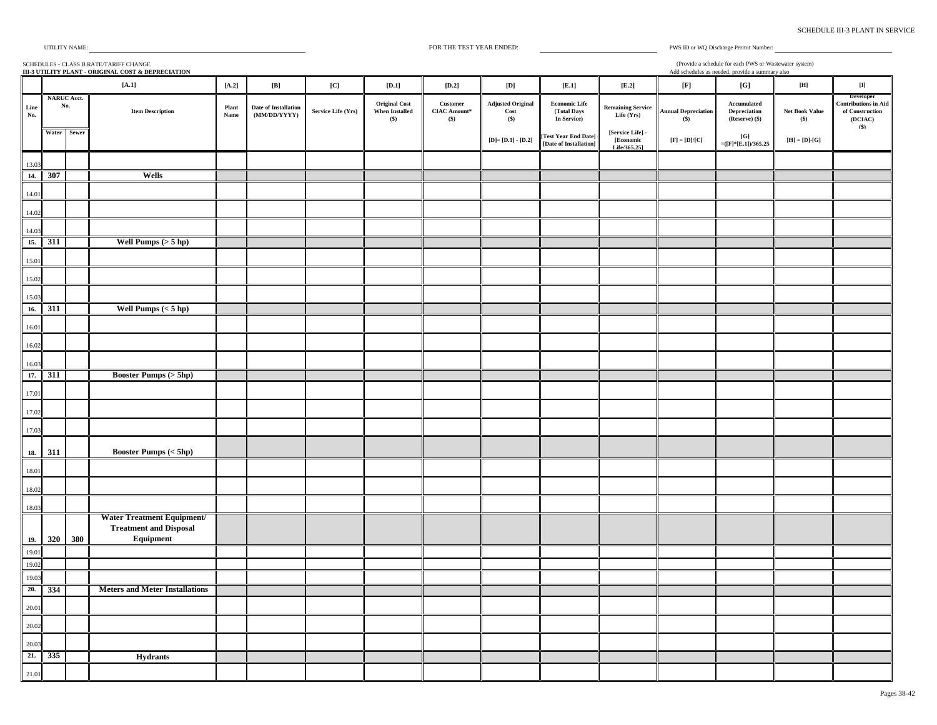| UTILITY NAME |  |
|--------------|--|
|              |  |

SCHEDULES - CLASS B RATE/TARIFF CHANGE **III-3 UTILITY PLANT - ORIGINAL COST & DEPRECIATION**

Add schedules as needed, provide a summary also (Provide a schedule for each PWS or Wastewater system)

PWS ID or WQ Discharge Permit Number:

|             |                           |     | $[A.1]$                                                                  | $[A.2]$       | $\left[ \mathbf{B}\right]$           | $\left[ \mathrm{C} \right]$ | $[D.1]$                                                | $\left[ \textbf{D.2}\right]$                     | $\left[ \mathbf{D}\right]$                  | [E.1]                                              | $\left[ \mathrm{E.2}\right]$                  | $[{\bf F}]$                                                             | [G]                                                                        | $\left[ \mathbf{H} \right]$                     | $\begin{bmatrix} \Pi \end{bmatrix}$                                    |
|-------------|---------------------------|-----|--------------------------------------------------------------------------|---------------|--------------------------------------|-----------------------------|--------------------------------------------------------|--------------------------------------------------|---------------------------------------------|----------------------------------------------------|-----------------------------------------------|-------------------------------------------------------------------------|----------------------------------------------------------------------------|-------------------------------------------------|------------------------------------------------------------------------|
| Line<br>No. | <b>NARUC Acct.</b><br>No. |     | <b>Item Description</b>                                                  | Plant<br>Name | Date of Installation<br>(MM/DD/YYYY) | Service Life (Yrs)          | <b>Original Cost</b><br><b>When Installed</b><br>$($)$ | $\bf Customer$<br><b>CIAC Amount*</b><br>$($ \$) | <b>Adjusted Original</b><br>Cost<br>$($)$   | <b>Economic Life</b><br>(Total Days<br>In Service) | <b>Remaining Service</b><br>Life (Yrs)        | <b>Annual Depreciation</b><br>$($)$                                     | $\bf{{\color{red}Accumulated}}$<br>$\bold{Depreciation}$<br>(Reserve) (\$) | Net Book Value<br>$($)$                         | Developer<br><b>Contributions in Aid</b><br>of Construction<br>(DCIAC) |
|             | Water Sewer               |     |                                                                          |               |                                      |                             |                                                        |                                                  | ${\bf [D]}$ = ${\bf [D.1]}$ - ${\bf [D.2]}$ | [Test Year End Date]<br>[Date of Installation]     | [Service Life] -<br>[Economic<br>Life/365.251 | $\left[ \mathbf{F}\right] =\left[ \mathbf{D}]/\left[ \mathbf{C}\right]$ | $\left[{\bf G}\right]$<br>$=($ [F]*[E.1])/365.25                           | $[\mathbf{H}]=[\mathbf{D}]\text{-}\mathbf{[G]}$ | (S)                                                                    |
| 13.03       |                           |     |                                                                          |               |                                      |                             |                                                        |                                                  |                                             |                                                    |                                               |                                                                         |                                                                            |                                                 |                                                                        |
| 14.         | 307                       |     | Wells                                                                    |               |                                      |                             |                                                        |                                                  |                                             |                                                    |                                               |                                                                         |                                                                            |                                                 |                                                                        |
| 14.01       |                           |     |                                                                          |               |                                      |                             |                                                        |                                                  |                                             |                                                    |                                               |                                                                         |                                                                            |                                                 |                                                                        |
| 14.02       |                           |     |                                                                          |               |                                      |                             |                                                        |                                                  |                                             |                                                    |                                               |                                                                         |                                                                            |                                                 |                                                                        |
| 14.03       |                           |     |                                                                          |               |                                      |                             |                                                        |                                                  |                                             |                                                    |                                               |                                                                         |                                                                            |                                                 |                                                                        |
| 15.         | 311                       |     | Well Pumps $(> 5$ hp)                                                    |               |                                      |                             |                                                        |                                                  |                                             |                                                    |                                               |                                                                         |                                                                            |                                                 |                                                                        |
| 15.01       |                           |     |                                                                          |               |                                      |                             |                                                        |                                                  |                                             |                                                    |                                               |                                                                         |                                                                            |                                                 |                                                                        |
| 15.02       |                           |     |                                                                          |               |                                      |                             |                                                        |                                                  |                                             |                                                    |                                               |                                                                         |                                                                            |                                                 |                                                                        |
| 15.03       |                           |     |                                                                          |               |                                      |                             |                                                        |                                                  |                                             |                                                    |                                               |                                                                         |                                                                            |                                                 |                                                                        |
| 16.         | 311                       |     | Well Pumps $(< 5$ hp)                                                    |               |                                      |                             |                                                        |                                                  |                                             |                                                    |                                               |                                                                         |                                                                            |                                                 |                                                                        |
| 16.01       |                           |     |                                                                          |               |                                      |                             |                                                        |                                                  |                                             |                                                    |                                               |                                                                         |                                                                            |                                                 |                                                                        |
| 16.02       |                           |     |                                                                          |               |                                      |                             |                                                        |                                                  |                                             |                                                    |                                               |                                                                         |                                                                            |                                                 |                                                                        |
| 16.03       |                           |     |                                                                          |               |                                      |                             |                                                        |                                                  |                                             |                                                    |                                               |                                                                         |                                                                            |                                                 |                                                                        |
| 17.         | 311                       |     | <b>Booster Pumps (&gt; 5hp)</b>                                          |               |                                      |                             |                                                        |                                                  |                                             |                                                    |                                               |                                                                         |                                                                            |                                                 |                                                                        |
| 17.01       |                           |     |                                                                          |               |                                      |                             |                                                        |                                                  |                                             |                                                    |                                               |                                                                         |                                                                            |                                                 |                                                                        |
| 17.02       |                           |     |                                                                          |               |                                      |                             |                                                        |                                                  |                                             |                                                    |                                               |                                                                         |                                                                            |                                                 |                                                                        |
| 17.03       |                           |     |                                                                          |               |                                      |                             |                                                        |                                                  |                                             |                                                    |                                               |                                                                         |                                                                            |                                                 |                                                                        |
| 18.         | 311                       |     | Booster Pumps $(<5\mbox{hp})$                                            |               |                                      |                             |                                                        |                                                  |                                             |                                                    |                                               |                                                                         |                                                                            |                                                 |                                                                        |
| 18.01       |                           |     |                                                                          |               |                                      |                             |                                                        |                                                  |                                             |                                                    |                                               |                                                                         |                                                                            |                                                 |                                                                        |
| 18.02       |                           |     |                                                                          |               |                                      |                             |                                                        |                                                  |                                             |                                                    |                                               |                                                                         |                                                                            |                                                 |                                                                        |
| 18.03       |                           |     |                                                                          |               |                                      |                             |                                                        |                                                  |                                             |                                                    |                                               |                                                                         |                                                                            |                                                 |                                                                        |
| 19.         | 320                       | 380 | Water Treatment Equipment/<br><b>Treatment and Disposal</b><br>Equipment |               |                                      |                             |                                                        |                                                  |                                             |                                                    |                                               |                                                                         |                                                                            |                                                 |                                                                        |
| 19.01       |                           |     |                                                                          |               |                                      |                             |                                                        |                                                  |                                             |                                                    |                                               |                                                                         |                                                                            |                                                 |                                                                        |
| 19.02       |                           |     |                                                                          |               |                                      |                             |                                                        |                                                  |                                             |                                                    |                                               |                                                                         |                                                                            |                                                 |                                                                        |
| 19.03       |                           |     |                                                                          |               |                                      |                             |                                                        |                                                  |                                             |                                                    |                                               |                                                                         |                                                                            |                                                 |                                                                        |
| 20.         | 334                       |     | <b>Meters and Meter Installations</b>                                    |               |                                      |                             |                                                        |                                                  |                                             |                                                    |                                               |                                                                         |                                                                            |                                                 |                                                                        |
| 20.01       |                           |     |                                                                          |               |                                      |                             |                                                        |                                                  |                                             |                                                    |                                               |                                                                         |                                                                            |                                                 |                                                                        |
| 20.02       |                           |     |                                                                          |               |                                      |                             |                                                        |                                                  |                                             |                                                    |                                               |                                                                         |                                                                            |                                                 |                                                                        |
| 20.03       |                           |     |                                                                          |               |                                      |                             |                                                        |                                                  |                                             |                                                    |                                               |                                                                         |                                                                            |                                                 |                                                                        |
| 21.         | 335                       |     | <b>Hydrants</b>                                                          |               |                                      |                             |                                                        |                                                  |                                             |                                                    |                                               |                                                                         |                                                                            |                                                 |                                                                        |
| 21.01       |                           |     |                                                                          |               |                                      |                             |                                                        |                                                  |                                             |                                                    |                                               |                                                                         |                                                                            |                                                 |                                                                        |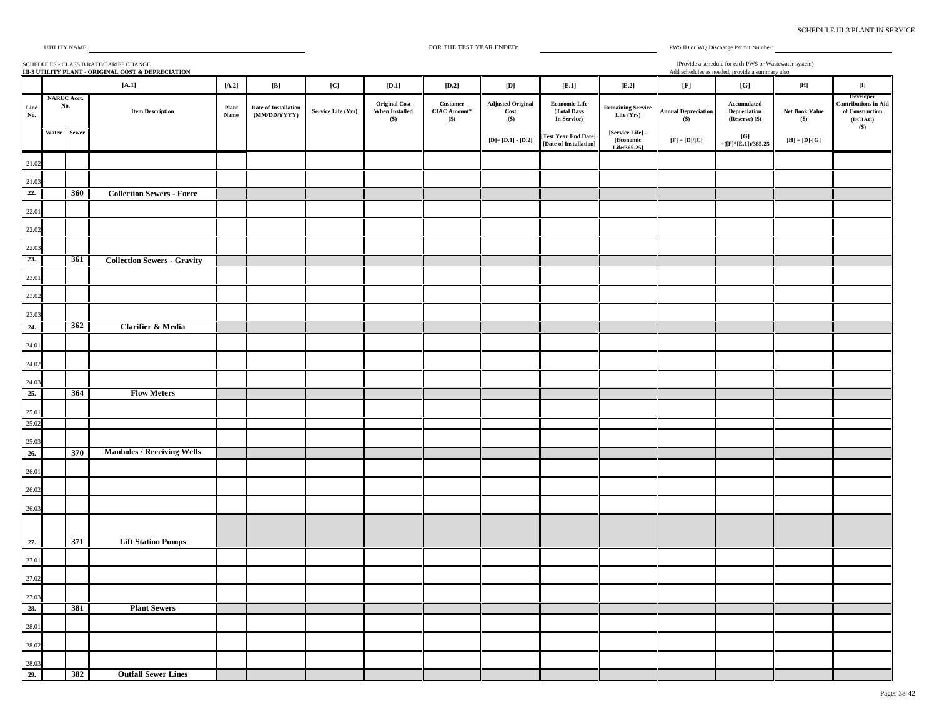| UTILITY NAME: |  |  |  |
|---------------|--|--|--|
|---------------|--|--|--|

|             | (Provide a schedule for each PWS or Wastewater system)<br>SCHEDULES - CLASS B RATE/TARIFF CHANGE<br>III-3 UTILITY PLANT - ORIGINAL COST & DEPRECIATION<br>Add schedules as needed, provide a summary also |     |                                    |               |                                      |                    |                                                        |                                          |                                         |                                                    |                                               |                                          |                                                |                                                                                       |                                                                               |
|-------------|-----------------------------------------------------------------------------------------------------------------------------------------------------------------------------------------------------------|-----|------------------------------------|---------------|--------------------------------------|--------------------|--------------------------------------------------------|------------------------------------------|-----------------------------------------|----------------------------------------------------|-----------------------------------------------|------------------------------------------|------------------------------------------------|---------------------------------------------------------------------------------------|-------------------------------------------------------------------------------|
|             |                                                                                                                                                                                                           |     | $[A,1]$                            | $[A.2]$       | $[{\bf B}]$                          | [C]                | $[D.1]$                                                | $[D.2]$                                  | $[{\bf D}]$                             | [E.1]                                              | $[E.2]$                                       | $[{\bf F}]$                              | [G]                                            | $\left[ \mathbf{H} \right]$                                                           | $\left[ \Pi \right]$                                                          |
| Line<br>No. | <b>NARUC Acct.</b><br>No.                                                                                                                                                                                 |     | <b>Item Description</b>            | Plant<br>Name | Date of Installation<br>(MM/DD/YYYY) | Service Life (Yrs) | <b>Original Cost</b><br><b>When Installed</b><br>$($)$ | Customer<br><b>CIAC Amount*</b><br>$($)$ | <b>Adjusted Original</b><br>Cost<br>(S) | <b>Economic Life</b><br>(Total Days<br>In Service) | <b>Remaining Service</b><br>Life (Yrs)        | <b>Annual Depreciation</b><br>$($)$      | Accumulated<br>Depreciation<br>(Reserve) (\$)  | Net Book Value<br>$($)$                                                               | Developer<br><b>Contributions in Aid</b><br>of Construction<br>(DCIAC)<br>(S) |
|             | Water Sewer                                                                                                                                                                                               |     |                                    |               |                                      |                    |                                                        |                                          | $[D] = [D.1] - [D.2]$                   | [Test Year End Date]<br>[Date of Installation]     | [Service Life] -<br>[Economic<br>Life/365.251 | $[\mathrm{F}]=[\mathrm{D}]/[\mathrm{C}]$ | $[\![\mathrm{G}]\!]$<br>$=([F]^*[E.1])/365.25$ | $\left[ \mathbf{H} \right] = \left[ \mathbf{D} \right]$ - $\left[ \mathbf{G} \right]$ |                                                                               |
| 21.02       |                                                                                                                                                                                                           |     |                                    |               |                                      |                    |                                                        |                                          |                                         |                                                    |                                               |                                          |                                                |                                                                                       |                                                                               |
| 21.03       |                                                                                                                                                                                                           |     |                                    |               |                                      |                    |                                                        |                                          |                                         |                                                    |                                               |                                          |                                                |                                                                                       |                                                                               |
| 22.         |                                                                                                                                                                                                           | 360 | <b>Collection Sewers - Force</b>   |               |                                      |                    |                                                        |                                          |                                         |                                                    |                                               |                                          |                                                |                                                                                       |                                                                               |
| 22.01       |                                                                                                                                                                                                           |     |                                    |               |                                      |                    |                                                        |                                          |                                         |                                                    |                                               |                                          |                                                |                                                                                       |                                                                               |
| 22.02       |                                                                                                                                                                                                           |     |                                    |               |                                      |                    |                                                        |                                          |                                         |                                                    |                                               |                                          |                                                |                                                                                       |                                                                               |
| 22.03       |                                                                                                                                                                                                           |     |                                    |               |                                      |                    |                                                        |                                          |                                         |                                                    |                                               |                                          |                                                |                                                                                       |                                                                               |
| 23.         |                                                                                                                                                                                                           | 361 | <b>Collection Sewers - Gravity</b> |               |                                      |                    |                                                        |                                          |                                         |                                                    |                                               |                                          |                                                |                                                                                       |                                                                               |
| 23.01       |                                                                                                                                                                                                           |     |                                    |               |                                      |                    |                                                        |                                          |                                         |                                                    |                                               |                                          |                                                |                                                                                       |                                                                               |
| 23.02       |                                                                                                                                                                                                           |     |                                    |               |                                      |                    |                                                        |                                          |                                         |                                                    |                                               |                                          |                                                |                                                                                       |                                                                               |
| 23.03       |                                                                                                                                                                                                           |     |                                    |               |                                      |                    |                                                        |                                          |                                         |                                                    |                                               |                                          |                                                |                                                                                       |                                                                               |
| 24.         |                                                                                                                                                                                                           | 362 | Clarifier & Media                  |               |                                      |                    |                                                        |                                          |                                         |                                                    |                                               |                                          |                                                |                                                                                       |                                                                               |
| 24.01       |                                                                                                                                                                                                           |     |                                    |               |                                      |                    |                                                        |                                          |                                         |                                                    |                                               |                                          |                                                |                                                                                       |                                                                               |
| 24.02       |                                                                                                                                                                                                           |     |                                    |               |                                      |                    |                                                        |                                          |                                         |                                                    |                                               |                                          |                                                |                                                                                       |                                                                               |
| 24.03       |                                                                                                                                                                                                           |     |                                    |               |                                      |                    |                                                        |                                          |                                         |                                                    |                                               |                                          |                                                |                                                                                       |                                                                               |
| 25.         |                                                                                                                                                                                                           | 364 | <b>Flow Meters</b>                 |               |                                      |                    |                                                        |                                          |                                         |                                                    |                                               |                                          |                                                |                                                                                       |                                                                               |
| 25.01       |                                                                                                                                                                                                           |     |                                    |               |                                      |                    |                                                        |                                          |                                         |                                                    |                                               |                                          |                                                |                                                                                       |                                                                               |
| 25.02       |                                                                                                                                                                                                           |     |                                    |               |                                      |                    |                                                        |                                          |                                         |                                                    |                                               |                                          |                                                |                                                                                       |                                                                               |
| 25.03       |                                                                                                                                                                                                           |     |                                    |               |                                      |                    |                                                        |                                          |                                         |                                                    |                                               |                                          |                                                |                                                                                       |                                                                               |
| 26.         |                                                                                                                                                                                                           | 370 | <b>Manholes / Receiving Wells</b>  |               |                                      |                    |                                                        |                                          |                                         |                                                    |                                               |                                          |                                                |                                                                                       |                                                                               |
| 26.01       |                                                                                                                                                                                                           |     |                                    |               |                                      |                    |                                                        |                                          |                                         |                                                    |                                               |                                          |                                                |                                                                                       |                                                                               |
| 26.02       |                                                                                                                                                                                                           |     |                                    |               |                                      |                    |                                                        |                                          |                                         |                                                    |                                               |                                          |                                                |                                                                                       |                                                                               |
| 26.03       |                                                                                                                                                                                                           |     |                                    |               |                                      |                    |                                                        |                                          |                                         |                                                    |                                               |                                          |                                                |                                                                                       |                                                                               |
|             |                                                                                                                                                                                                           |     |                                    |               |                                      |                    |                                                        |                                          |                                         |                                                    |                                               |                                          |                                                |                                                                                       |                                                                               |
| 27.         |                                                                                                                                                                                                           | 371 | <b>Lift Station Pumps</b>          |               |                                      |                    |                                                        |                                          |                                         |                                                    |                                               |                                          |                                                |                                                                                       |                                                                               |
| 27.01       |                                                                                                                                                                                                           |     |                                    |               |                                      |                    |                                                        |                                          |                                         |                                                    |                                               |                                          |                                                |                                                                                       |                                                                               |
| 27.02       |                                                                                                                                                                                                           |     |                                    |               |                                      |                    |                                                        |                                          |                                         |                                                    |                                               |                                          |                                                |                                                                                       |                                                                               |
| 27.03       |                                                                                                                                                                                                           |     |                                    |               |                                      |                    |                                                        |                                          |                                         |                                                    |                                               |                                          |                                                |                                                                                       |                                                                               |
| 28.         |                                                                                                                                                                                                           | 381 | <b>Plant Sewers</b>                |               |                                      |                    |                                                        |                                          |                                         |                                                    |                                               |                                          |                                                |                                                                                       |                                                                               |
| 28.01       |                                                                                                                                                                                                           |     |                                    |               |                                      |                    |                                                        |                                          |                                         |                                                    |                                               |                                          |                                                |                                                                                       |                                                                               |
| 28.02       |                                                                                                                                                                                                           |     |                                    |               |                                      |                    |                                                        |                                          |                                         |                                                    |                                               |                                          |                                                |                                                                                       |                                                                               |
| 28.03       |                                                                                                                                                                                                           |     |                                    |               |                                      |                    |                                                        |                                          |                                         |                                                    |                                               |                                          |                                                |                                                                                       |                                                                               |
| 29.         |                                                                                                                                                                                                           | 382 | <b>Outfall Sewer Lines</b>         |               |                                      |                    |                                                        |                                          |                                         |                                                    |                                               |                                          |                                                |                                                                                       |                                                                               |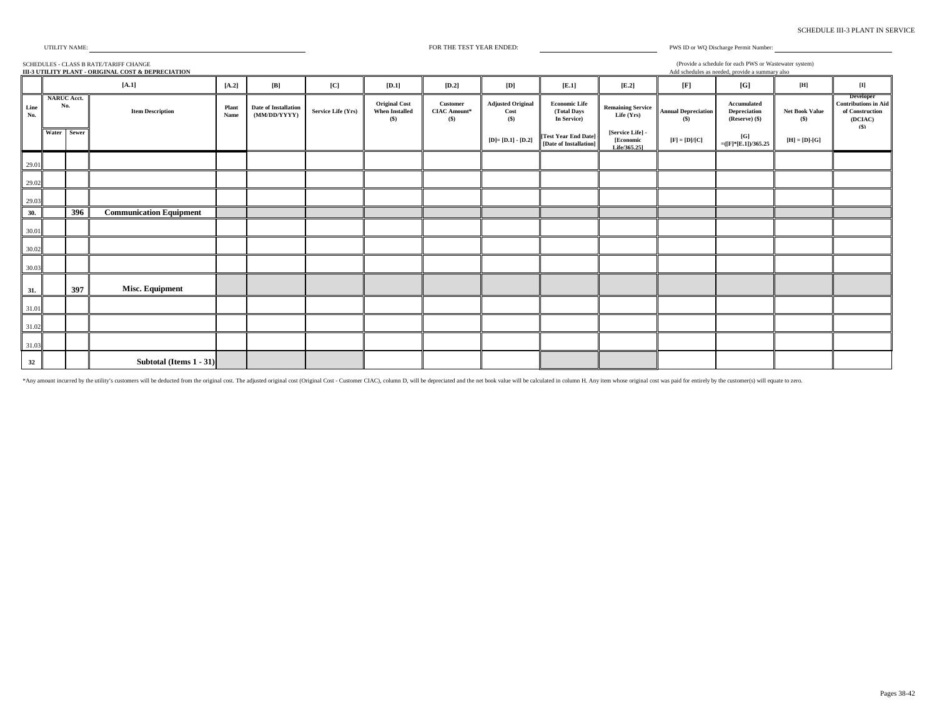| <b>SCHEDULE III-3 PLANT IN SERVICE</b> |
|----------------------------------------|
|----------------------------------------|

FOR THE TEST YEAR ENDED:

SCHEDULES - CLASS B RATE/TARIFF CHANGE

(Provide a schedule for each PWS or Wastewater system)

PWS ID or WQ Discharge Permit Number:

|                                 | III-3 UTILITY PLANT - ORIGINAL COST & DEPRECIATION<br>Add schedules as needed, provide a summary also |     |                                |               |                                      |                    |                                                        |                                            |                                           |                                                    |                                               |                                            |                                               |                                |                                                                               |
|---------------------------------|-------------------------------------------------------------------------------------------------------|-----|--------------------------------|---------------|--------------------------------------|--------------------|--------------------------------------------------------|--------------------------------------------|-------------------------------------------|----------------------------------------------------|-----------------------------------------------|--------------------------------------------|-----------------------------------------------|--------------------------------|-------------------------------------------------------------------------------|
|                                 |                                                                                                       |     | $[A,1]$                        | $[A.2]$       | $[{\bf B}]$                          | [C]                | $\left[  \right]$                                      | $\left[ \text{D.2}\right]$                 | [D]                                       | [E.1]                                              | $\left[ \operatorname{E.2}\right]$            | [F]                                        | [G]                                           | $[{\bf H}]$                    |                                                                               |
| $\mathop{\mathsf{Line}}$<br>No. | <b>NARUC Acct.</b>                                                                                    | No. | <b>Item Description</b>        | Plant<br>Name | Date of Installation<br>(MM/DD/YYYY) | Service Life (Yrs) | <b>Original Cost</b><br><b>When Installed</b><br>$($)$ | Customer<br><b>CIAC Amount*</b><br>$($ \$) | <b>Adjusted Original</b><br>Cost<br>$($)$ | <b>Economic Life</b><br>(Total Days<br>In Service) | <b>Remaining Service</b><br>Life (Yrs)        | <b>Annual Depreciation</b><br>(S)          | Accumulated<br>Depreciation<br>(Reserve) (\$) | <b>Net Book Value</b><br>$($)$ | Developer<br><b>Contributions in Aid</b><br>of Construction<br>(DCIAC)<br>(S) |
|                                 | Water Sewer                                                                                           |     |                                |               |                                      |                    |                                                        |                                            | $[D] = [D.1] - [D.2]$                     | [Test Year End Date]<br>[Date of Installation]     | [Service Life] -<br>[Economic<br>Life/365.251 | $[\mathbf{F}] = [\mathbf{D}]/[\mathbf{C}]$ | [G]<br>$=(F*E.1)/365.25$                      | $[H] = [D]$ -[G]               |                                                                               |
| 29.01                           |                                                                                                       |     |                                |               |                                      |                    |                                                        |                                            |                                           |                                                    |                                               |                                            |                                               |                                |                                                                               |
| 29.02                           |                                                                                                       |     |                                |               |                                      |                    |                                                        |                                            |                                           |                                                    |                                               |                                            |                                               |                                |                                                                               |
| 29.03                           |                                                                                                       |     |                                |               |                                      |                    |                                                        |                                            |                                           |                                                    |                                               |                                            |                                               |                                |                                                                               |
| 30.                             |                                                                                                       | 396 | <b>Communication Equipment</b> |               |                                      |                    |                                                        |                                            |                                           |                                                    |                                               |                                            |                                               |                                |                                                                               |
| 30.01                           |                                                                                                       |     |                                |               |                                      |                    |                                                        |                                            |                                           |                                                    |                                               |                                            |                                               |                                |                                                                               |
| 30.02                           |                                                                                                       |     |                                |               |                                      |                    |                                                        |                                            |                                           |                                                    |                                               |                                            |                                               |                                |                                                                               |
| 30.03                           |                                                                                                       |     |                                |               |                                      |                    |                                                        |                                            |                                           |                                                    |                                               |                                            |                                               |                                |                                                                               |
| 31.                             |                                                                                                       | 397 | Misc. Equipment                |               |                                      |                    |                                                        |                                            |                                           |                                                    |                                               |                                            |                                               |                                |                                                                               |
| 31.01                           |                                                                                                       |     |                                |               |                                      |                    |                                                        |                                            |                                           |                                                    |                                               |                                            |                                               |                                |                                                                               |
| 31.02                           |                                                                                                       |     |                                |               |                                      |                    |                                                        |                                            |                                           |                                                    |                                               |                                            |                                               |                                |                                                                               |
| 31.03                           |                                                                                                       |     |                                |               |                                      |                    |                                                        |                                            |                                           |                                                    |                                               |                                            |                                               |                                |                                                                               |
| 32                              |                                                                                                       |     | Subtotal (Items 1 - 31)        |               |                                      |                    |                                                        |                                            |                                           |                                                    |                                               |                                            |                                               |                                |                                                                               |

\*Any amount incurred by the utility's customers will be deducted from the original cost. The adjusted original cost (Original Cost - Customer CIAC), column D, will be depreciated and the net book value will be calculated i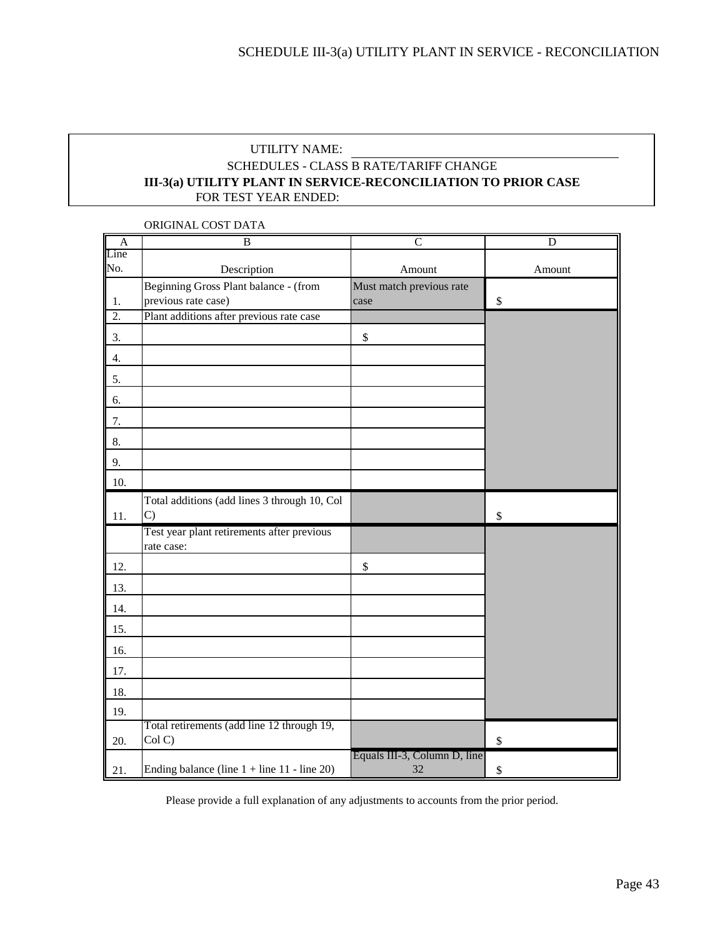### UTILITY NAME: FOR TEST YEAR ENDED: SCHEDULES - CLASS B RATE/TARIFF CHANGE **III-3(a) UTILITY PLANT IN SERVICE-RECONCILIATION TO PRIOR CASE**

| A                | B                                                        | $\overline{C}$               | D            |
|------------------|----------------------------------------------------------|------------------------------|--------------|
| Line             |                                                          |                              |              |
| No.              | Description                                              | Amount                       | Amount       |
|                  | Beginning Gross Plant balance - (from                    | Must match previous rate     |              |
| 1.               | previous rate case)                                      | case                         | \$           |
| $\overline{2}$ . | Plant additions after previous rate case                 |                              |              |
| 3.               |                                                          | $\$$                         |              |
| 4.               |                                                          |                              |              |
| 5.               |                                                          |                              |              |
| 6.               |                                                          |                              |              |
| 7.               |                                                          |                              |              |
| 8.               |                                                          |                              |              |
| 9.               |                                                          |                              |              |
| 10.              |                                                          |                              |              |
|                  | Total additions (add lines 3 through 10, Col             |                              |              |
| 11.              | $\mathcal{C}$                                            |                              | \$           |
|                  | Test year plant retirements after previous<br>rate case: |                              |              |
| 12.              |                                                          | $\$$                         |              |
| 13.              |                                                          |                              |              |
| 14.              |                                                          |                              |              |
| 15.              |                                                          |                              |              |
| 16.              |                                                          |                              |              |
| 17.              |                                                          |                              |              |
| 18.              |                                                          |                              |              |
| 19.              |                                                          |                              |              |
|                  | Total retirements (add line 12 through 19,               |                              |              |
| 20.              | Col C)                                                   | Equals III-3, Column D, line | $\mathbb{S}$ |
| 21.              | Ending balance (line $1 +$ line $11 -$ line 20)          | 32                           | \$           |

ORIGINAL COST DATA

Please provide a full explanation of any adjustments to accounts from the prior period.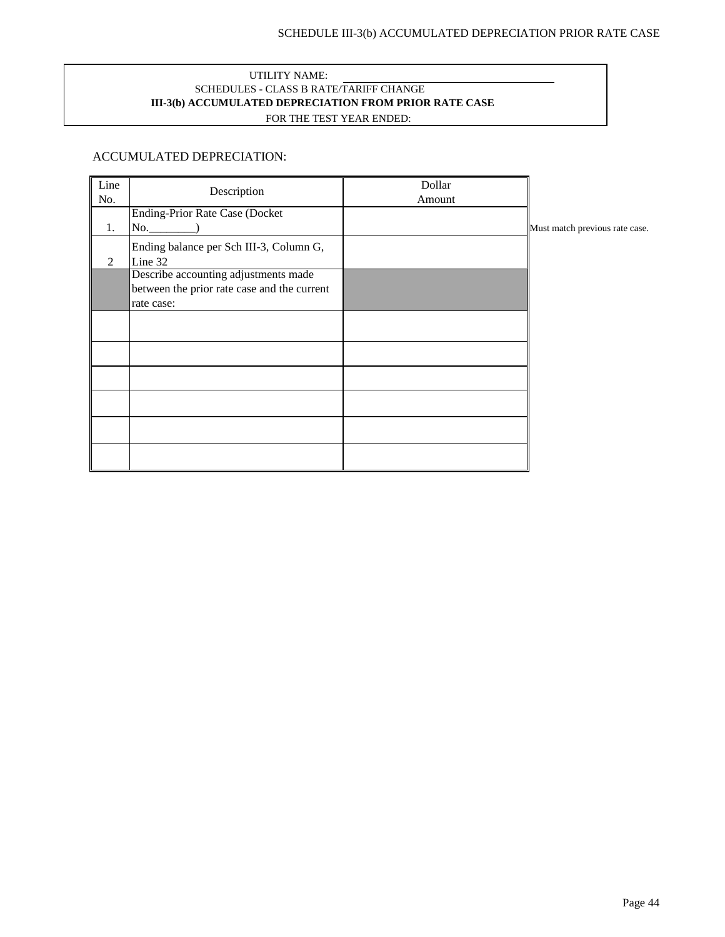#### UTILITY NAME: SCHEDULES - CLASS B RATE/TARIFF CHANGE FOR THE TEST YEAR ENDED: **III-3(b) ACCUMULATED DEPRECIATION FROM PRIOR RATE CASE**

### ACCUMULATED DEPRECIATION:

| Line |                                             | Dollar |                                |
|------|---------------------------------------------|--------|--------------------------------|
| No.  | Description                                 | Amount |                                |
|      | <b>Ending-Prior Rate Case (Docket</b>       |        |                                |
| 1.   | No.                                         |        | Must match previous rate case. |
|      | Ending balance per Sch III-3, Column G,     |        |                                |
| 2    | Line 32                                     |        |                                |
|      | Describe accounting adjustments made        |        |                                |
|      | between the prior rate case and the current |        |                                |
|      | rate case:                                  |        |                                |
|      |                                             |        |                                |
|      |                                             |        |                                |
|      |                                             |        |                                |
|      |                                             |        |                                |
|      |                                             |        |                                |
|      |                                             |        |                                |
|      |                                             |        |                                |
|      |                                             |        |                                |
|      |                                             |        |                                |
|      |                                             |        |                                |
|      |                                             |        |                                |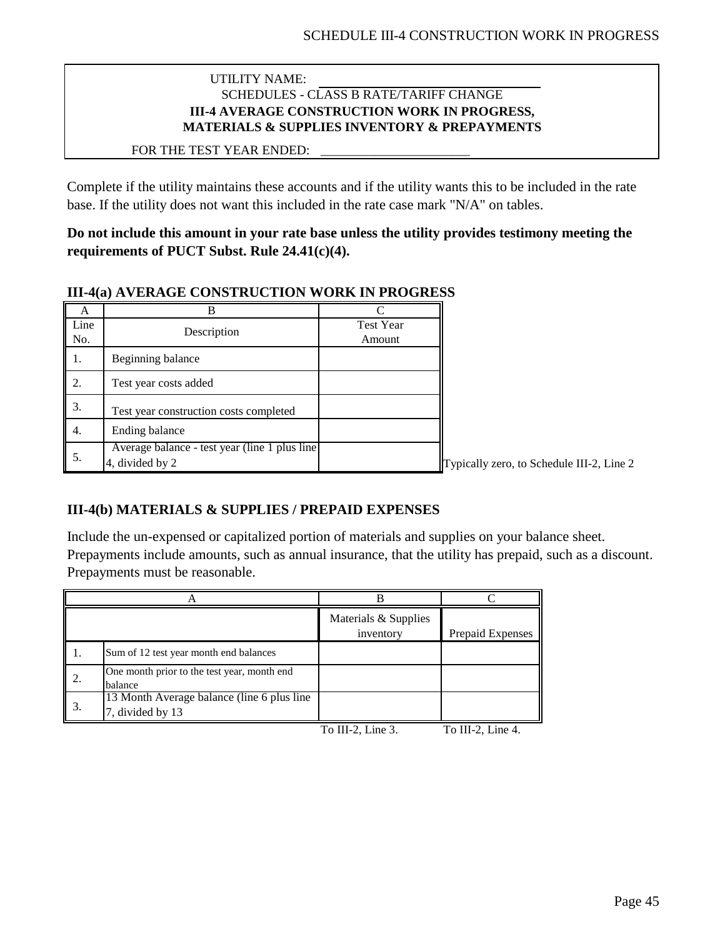### UTILITY NAME: SCHEDULES - CLASS B RATE/TARIFF CHANGE **III-4 AVERAGE CONSTRUCTION WORK IN PROGRESS, MATERIALS & SUPPLIES INVENTORY & PREPAYMENTS**

\_\_\_\_\_\_\_\_\_\_\_\_\_\_\_\_\_\_\_\_\_\_\_\_\_

### FOR THE TEST YEAR ENDED:

Complete if the utility maintains these accounts and if the utility wants this to be included in the rate base. If the utility does not want this included in the rate case mark "N/A" on tables.

**Do not include this amount in your rate base unless the utility provides testimony meeting the requirements of PUCT Subst. Rule 24.41(c)(4).**

### **III-4(a) AVERAGE CONSTRUCTION WORK IN PROGRESS**

| A           |                                                                               |                            |    |
|-------------|-------------------------------------------------------------------------------|----------------------------|----|
| Line<br>No. | Description                                                                   | <b>Test Year</b><br>Amount |    |
|             | Beginning balance                                                             |                            |    |
| 2.          | Test year costs added                                                         |                            |    |
| 3.          | Test year construction costs completed                                        |                            |    |
|             | Ending balance                                                                |                            |    |
| 5.          | Average balance - test year (line $\overline{1}$ plus line<br>4, divided by 2 |                            | Тy |

pically zero, to Schedule III-2, Line 2

## **III-4(b) MATERIALS & SUPPLIES / PREPAID EXPENSES**

Include the un-expensed or capitalized portion of materials and supplies on your balance sheet. Prepayments include amounts, such as annual insurance, that the utility has prepaid, such as a discount. Prepayments must be reasonable.

|    |                                                                 | Materials & Supplies<br>inventory                   | Prepaid Expenses                 |
|----|-----------------------------------------------------------------|-----------------------------------------------------|----------------------------------|
|    | Sum of 12 test year month end balances                          |                                                     |                                  |
| 2. | One month prior to the test year, month end<br>balance          |                                                     |                                  |
| 3. | 13 Month Average balance (line 6 plus line)<br>7, divided by 13 |                                                     |                                  |
|    |                                                                 | $T_{\alpha}$ III $\gamma$ I $\mu_{\alpha}$ $\gamma$ | $T_{\alpha}$ III $\Omega$ Line 4 |

To III-2, Line 3. To III-2, Line 4.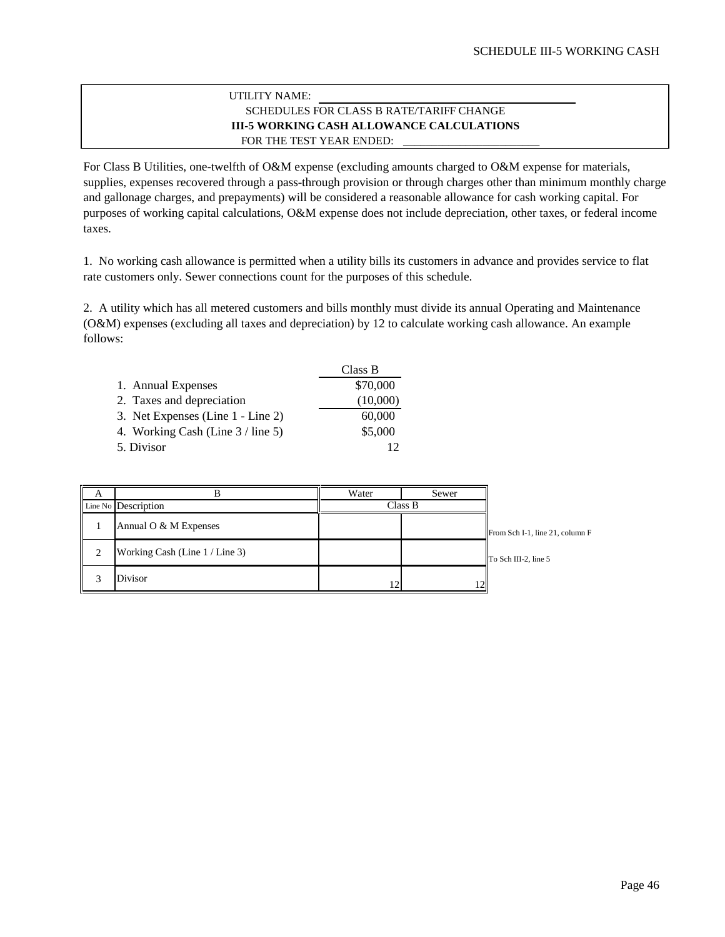#### **III-5 WORKING CASH ALLOWANCE CALCULATIONS** \_\_\_\_\_\_\_\_\_\_\_\_\_\_\_\_\_\_\_\_\_\_\_\_ FOR THE TEST YEAR ENDED: UTILITY NAME: SCHEDULES FOR CLASS B RATE/TARIFF CHANGE

For Class B Utilities, one-twelfth of O&M expense (excluding amounts charged to O&M expense for materials, supplies, expenses recovered through a pass-through provision or through charges other than minimum monthly charge and gallonage charges, and prepayments) will be considered a reasonable allowance for cash working capital. For purposes of working capital calculations, O&M expense does not include depreciation, other taxes, or federal income taxes.

1. No working cash allowance is permitted when a utility bills its customers in advance and provides service to flat rate customers only. Sewer connections count for the purposes of this schedule.

2. A utility which has all metered customers and bills monthly must divide its annual Operating and Maintenance (O&M) expenses (excluding all taxes and depreciation) by 12 to calculate working cash allowance. An example follows:

|                                   | Class B  |
|-----------------------------------|----------|
| 1. Annual Expenses                | \$70,000 |
| 2. Taxes and depreciation         | (10,000) |
| 3. Net Expenses (Line 1 - Line 2) | 60,000   |
| 4. Working Cash (Line 3 / line 5) | \$5,000  |
| 5. Divisor                        |          |

| A |                                | Water   | Sewer |                                 |
|---|--------------------------------|---------|-------|---------------------------------|
|   | Line No Description            | Class B |       |                                 |
|   | Annual O $&$ M Expenses        |         |       | From Sch I-1, line 21, column F |
| 2 | Working Cash (Line 1 / Line 3) |         |       | To Sch III-2, line 5            |
| 3 | <b>Divisor</b>                 | 12      |       |                                 |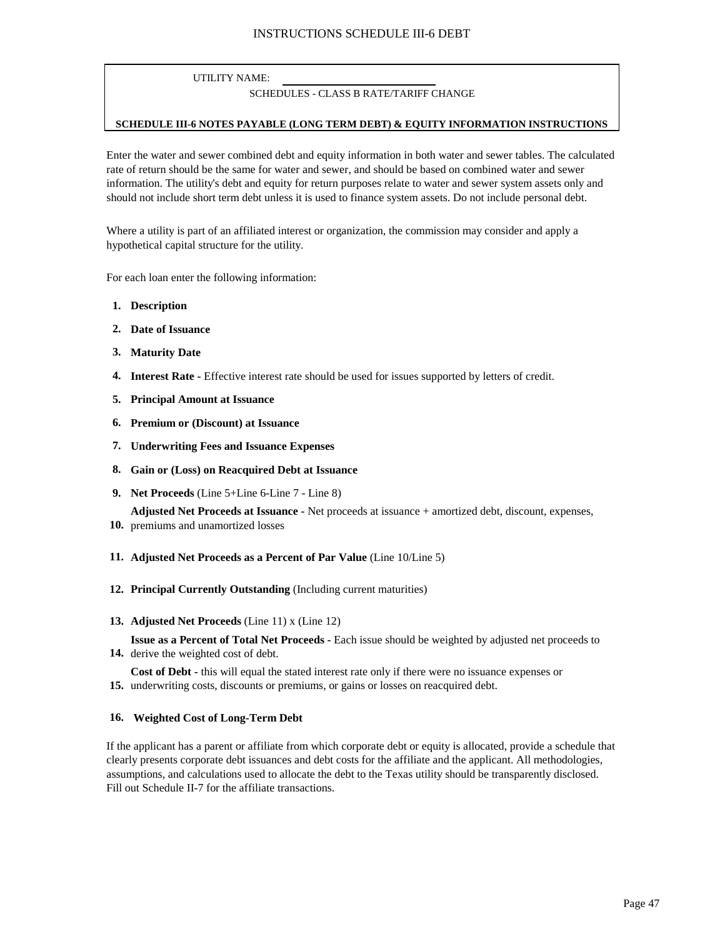### UTILITY NAME:

#### SCHEDULES - CLASS B RATE/TARIFF CHANGE

#### **SCHEDULE III-6 NOTES PAYABLE (LONG TERM DEBT) & EQUITY INFORMATION INSTRUCTIONS**

Enter the water and sewer combined debt and equity information in both water and sewer tables. The calculated rate of return should be the same for water and sewer, and should be based on combined water and sewer information. The utility's debt and equity for return purposes relate to water and sewer system assets only and should not include short term debt unless it is used to finance system assets. Do not include personal debt.

Where a utility is part of an affiliated interest or organization, the commission may consider and apply a hypothetical capital structure for the utility.

For each loan enter the following information:

- **1. Description**
- **2. Date of Issuance**
- **3. Maturity Date**
- **4. Interest Rate -** Effective interest rate should be used for issues supported by letters of credit.
- **5. Principal Amount at Issuance**
- **6. Premium or (Discount) at Issuance**
- **7. Underwriting Fees and Issuance Expenses**
- **8. Gain or (Loss) on Reacquired Debt at Issuance**
- **9. Net Proceeds** (Line 5+Line 6-Line 7 Line 8)

**Adjusted Net Proceeds at Issuance -** Net proceeds at issuance + amortized debt, discount, expenses,

- **10.** premiums and unamortized losses
- **11. Adjusted Net Proceeds as a Percent of Par Value** (Line 10/Line 5)
- **12. Principal Currently Outstanding** (Including current maturities)

#### **13. Adjusted Net Proceeds** (Line 11) x (Line 12)

**14.** derive the weighted cost of debt. **Issue as a Percent of Total Net Proceeds -** Each issue should be weighted by adjusted net proceeds to

**15.** underwriting costs, discounts or premiums, or gains or losses on reacquired debt. **Cost of Debt -** this will equal the stated interest rate only if there were no issuance expenses or

#### **16. Weighted Cost of Long-Term Debt**

If the applicant has a parent or affiliate from which corporate debt or equity is allocated, provide a schedule that clearly presents corporate debt issuances and debt costs for the affiliate and the applicant. All methodologies, assumptions, and calculations used to allocate the debt to the Texas utility should be transparently disclosed. Fill out Schedule II-7 for the affiliate transactions.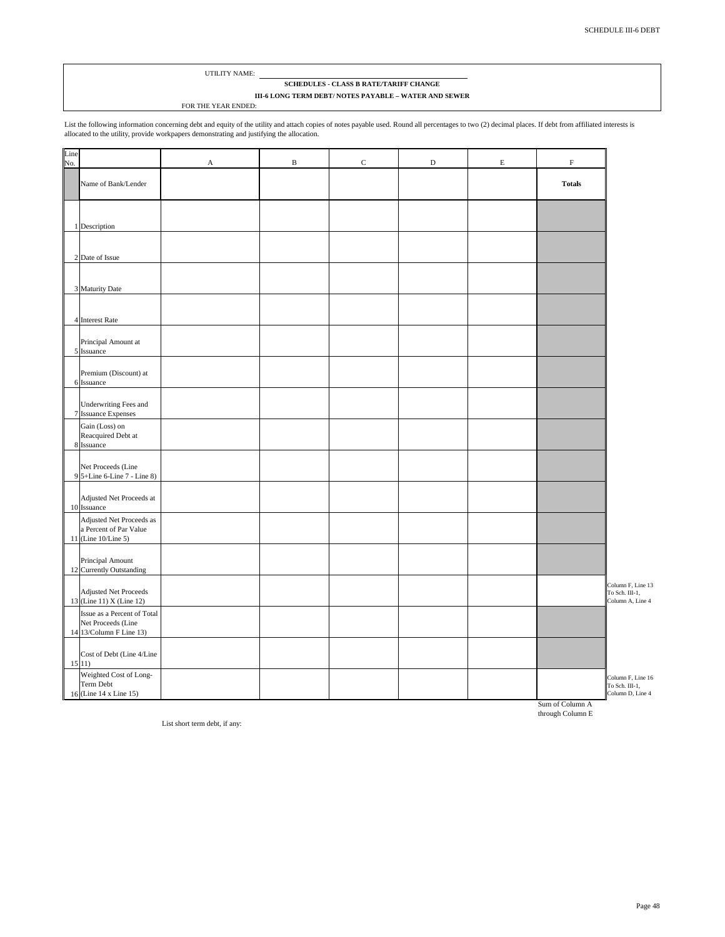#### UTILITY NAME:

#### **SCHEDULES - CLASS B RATE/TARIFF CHANGE III-6 LONG TERM DEBT/ NOTES PAYABLE – WATER AND SEWER**

FOR THE YEAR ENDED:

List the following information concerning debt and equity of the utility and attach copies of notes payable used. Round all percentages to two (2) decimal places. If debt from affiliated interests is<br>allocated to the utili

| Name of Bank/Lender<br>1 Description<br>2 Date of Issue<br>3 Maturity Date<br>4 Interest Rate<br>Principal Amount at<br>5 Issuance<br>Premium (Discount) at<br>6 Issuance<br>Underwriting Fees and<br>7 Issuance Expenses<br>Gain (Loss) on<br>Reacquired Debt at<br>8 Issuance<br>Net Proceeds (Line<br>9 5+Line 6-Line 7 - Line 8)<br>Adjusted Net Proceeds at<br>10 Issuance<br>Adjusted Net Proceeds as<br>a Percent of Par Value<br>11 (Line 10/Line 5)<br>Principal Amount<br>12 Currently Outstanding<br><b>Adjusted Net Proceeds</b><br>13 (Line 11) X (Line 12)<br>Issue as a Percent of Total<br>Net Proceeds (Line<br>14 13/Column F Line 13) | Line<br>No. | $\mathbf A$ | $\, {\bf B}$ | $\mathbf C$ | $\mathbf D$ | $\mathbf E$ | $\mathbf F$                         |
|----------------------------------------------------------------------------------------------------------------------------------------------------------------------------------------------------------------------------------------------------------------------------------------------------------------------------------------------------------------------------------------------------------------------------------------------------------------------------------------------------------------------------------------------------------------------------------------------------------------------------------------------------------|-------------|-------------|--------------|-------------|-------------|-------------|-------------------------------------|
|                                                                                                                                                                                                                                                                                                                                                                                                                                                                                                                                                                                                                                                          |             |             |              |             |             |             | <b>Totals</b>                       |
|                                                                                                                                                                                                                                                                                                                                                                                                                                                                                                                                                                                                                                                          |             |             |              |             |             |             |                                     |
|                                                                                                                                                                                                                                                                                                                                                                                                                                                                                                                                                                                                                                                          |             |             |              |             |             |             |                                     |
|                                                                                                                                                                                                                                                                                                                                                                                                                                                                                                                                                                                                                                                          |             |             |              |             |             |             |                                     |
|                                                                                                                                                                                                                                                                                                                                                                                                                                                                                                                                                                                                                                                          |             |             |              |             |             |             |                                     |
|                                                                                                                                                                                                                                                                                                                                                                                                                                                                                                                                                                                                                                                          |             |             |              |             |             |             |                                     |
|                                                                                                                                                                                                                                                                                                                                                                                                                                                                                                                                                                                                                                                          |             |             |              |             |             |             |                                     |
|                                                                                                                                                                                                                                                                                                                                                                                                                                                                                                                                                                                                                                                          |             |             |              |             |             |             |                                     |
|                                                                                                                                                                                                                                                                                                                                                                                                                                                                                                                                                                                                                                                          |             |             |              |             |             |             |                                     |
|                                                                                                                                                                                                                                                                                                                                                                                                                                                                                                                                                                                                                                                          |             |             |              |             |             |             |                                     |
|                                                                                                                                                                                                                                                                                                                                                                                                                                                                                                                                                                                                                                                          |             |             |              |             |             |             |                                     |
|                                                                                                                                                                                                                                                                                                                                                                                                                                                                                                                                                                                                                                                          |             |             |              |             |             |             | Column F, Line 13                   |
|                                                                                                                                                                                                                                                                                                                                                                                                                                                                                                                                                                                                                                                          |             |             |              |             |             |             | Column A, Line 4                    |
|                                                                                                                                                                                                                                                                                                                                                                                                                                                                                                                                                                                                                                                          |             |             |              |             |             |             |                                     |
| Cost of Debt (Line 4/Line<br>15(11)<br>Weighted Cost of Long-<br>Term Debt                                                                                                                                                                                                                                                                                                                                                                                                                                                                                                                                                                               |             |             |              |             |             |             | Column F, Line 16<br>To Sch. III-1, |

Sum of Column A through Column E

List short term debt, if any: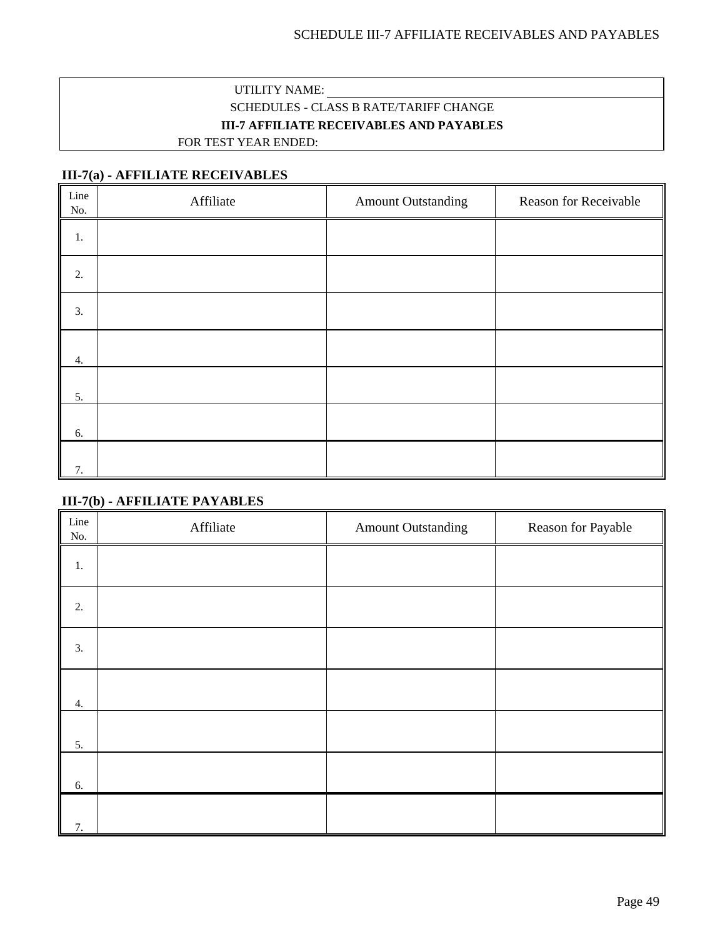## UTILITY NAME: SCHEDULES - CLASS B RATE/TARIFF CHANGE **III-7 AFFILIATE RECEIVABLES AND PAYABLES** FOR TEST YEAR ENDED:

## **III-7(a) - AFFILIATE RECEIVABLES**

| Line<br>No. | Affiliate | <b>Amount Outstanding</b> | <b>Reason for Receivable</b> |
|-------------|-----------|---------------------------|------------------------------|
| 1.          |           |                           |                              |
| 2.          |           |                           |                              |
| 3.          |           |                           |                              |
| 4.          |           |                           |                              |
| 5.          |           |                           |                              |
| 6.          |           |                           |                              |
| 7.          |           |                           |                              |

## **III-7(b) - AFFILIATE PAYABLES**

| Line<br>No. | Affiliate | <b>Amount Outstanding</b> | Reason for Payable |
|-------------|-----------|---------------------------|--------------------|
| 1.          |           |                           |                    |
| 2.          |           |                           |                    |
| 3.          |           |                           |                    |
| 4.          |           |                           |                    |
| 5.          |           |                           |                    |
| 6.          |           |                           |                    |
| 7.          |           |                           |                    |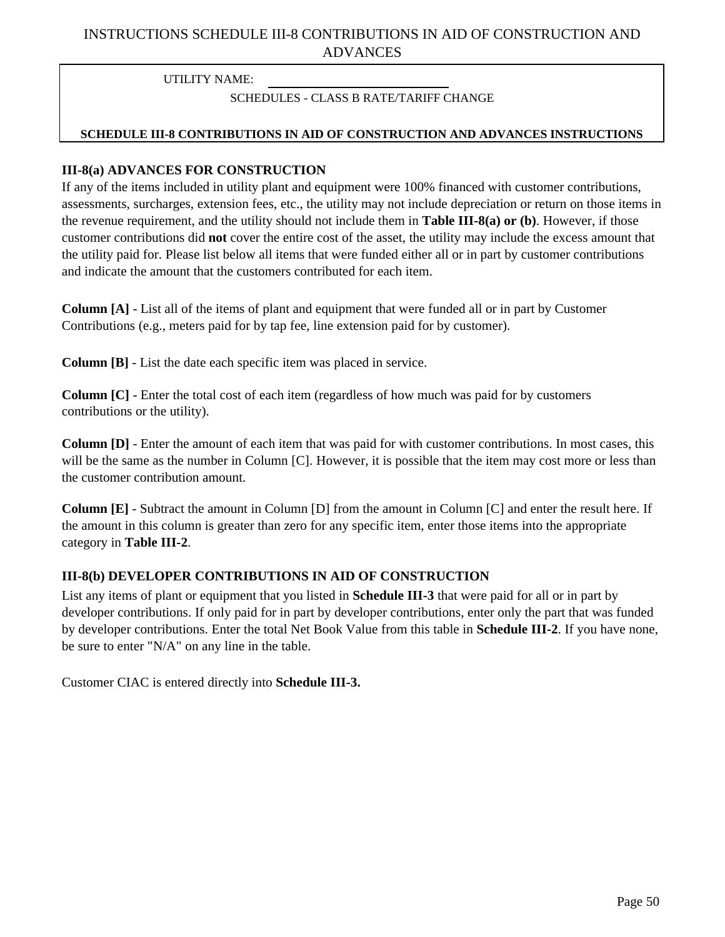## INSTRUCTIONS SCHEDULE III-8 CONTRIBUTIONS IN AID OF CONSTRUCTION AND ADVANCES

UTILITY NAME:

### SCHEDULES - CLASS B RATE/TARIFF CHANGE

### **SCHEDULE III-8 CONTRIBUTIONS IN AID OF CONSTRUCTION AND ADVANCES INSTRUCTIONS**

### **III-8(a) ADVANCES FOR CONSTRUCTION**

If any of the items included in utility plant and equipment were 100% financed with customer contributions, assessments, surcharges, extension fees, etc., the utility may not include depreciation or return on those items in the revenue requirement, and the utility should not include them in **Table III-8(a) or (b)**. However, if those customer contributions did **not** cover the entire cost of the asset, the utility may include the excess amount that the utility paid for. Please list below all items that were funded either all or in part by customer contributions and indicate the amount that the customers contributed for each item.

**Column [A]** - List all of the items of plant and equipment that were funded all or in part by Customer Contributions (e.g., meters paid for by tap fee, line extension paid for by customer).

**Column [B]** - List the date each specific item was placed in service.

**Column [C]** - Enter the total cost of each item (regardless of how much was paid for by customers contributions or the utility).

**Column [D]** - Enter the amount of each item that was paid for with customer contributions. In most cases, this will be the same as the number in Column [C]. However, it is possible that the item may cost more or less than the customer contribution amount.

**Column [E]** - Subtract the amount in Column [D] from the amount in Column [C] and enter the result here. If the amount in this column is greater than zero for any specific item, enter those items into the appropriate category in **Table III-2**.

### **III-8(b) DEVELOPER CONTRIBUTIONS IN AID OF CONSTRUCTION**

List any items of plant or equipment that you listed in **Schedule III-3** that were paid for all or in part by developer contributions. If only paid for in part by developer contributions, enter only the part that was funded by developer contributions. Enter the total Net Book Value from this table in **Schedule III-2**. If you have none, be sure to enter "N/A" on any line in the table.

Customer CIAC is entered directly into **Schedule III-3.**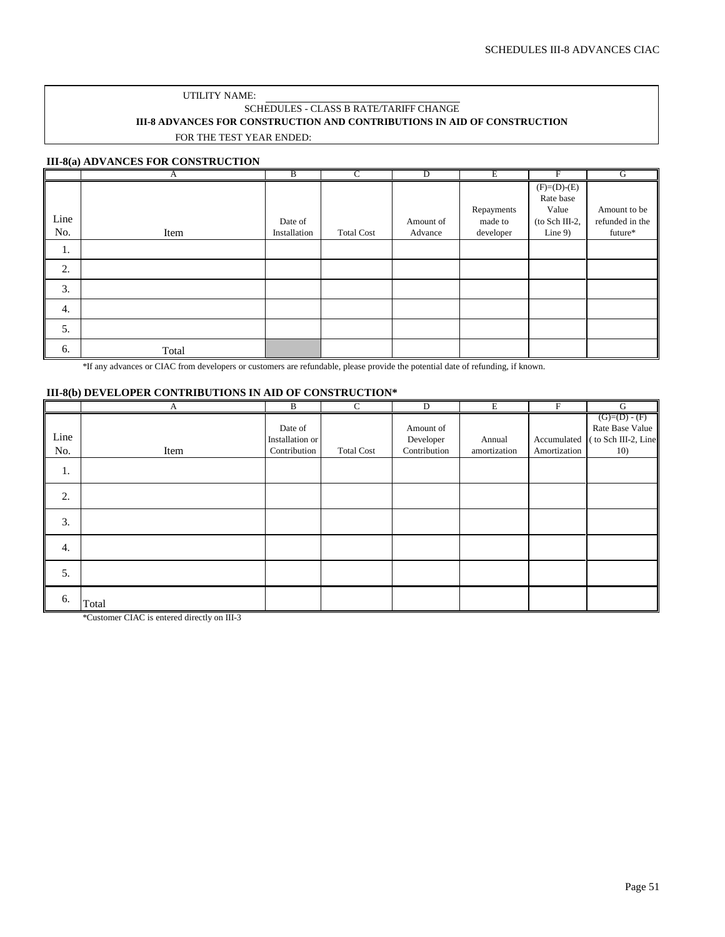#### UTILITY NAME: SCHEDULES - CLASS B RATE/TARIFF CHANGE **III-8 ADVANCES FOR CONSTRUCTION AND CONTRIBUTIONS IN AID OF CONSTRUCTION** FOR THE TEST YEAR ENDED:

#### **III-8(a) ADVANCES FOR CONSTRUCTION**

|      | А     | B            | C                 | D         | Ε          | F              | G               |
|------|-------|--------------|-------------------|-----------|------------|----------------|-----------------|
|      |       |              |                   |           |            | $(F)= (D)-(E)$ |                 |
|      |       |              |                   |           |            | Rate base      |                 |
|      |       |              |                   |           | Repayments | Value          | Amount to be    |
| Line |       | Date of      |                   | Amount of | made to    | (to Sch III-2, | refunded in the |
| No.  | Item  | Installation | <b>Total Cost</b> | Advance   | developer  | Line $9$ )     | future*         |
| 1.   |       |              |                   |           |            |                |                 |
| 2.   |       |              |                   |           |            |                |                 |
| 3.   |       |              |                   |           |            |                |                 |
| 4.   |       |              |                   |           |            |                |                 |
| 5.   |       |              |                   |           |            |                |                 |
| 6.   | Total |              |                   |           |            |                |                 |

\*If any advances or CIAC from developers or customers are refundable, please provide the potential date of refunding, if known.

#### **III-8(b) DEVELOPER CONTRIBUTIONS IN AID OF CONSTRUCTION\***

|             | A     | B                                          | $\mathbf C$       | $\mathbf D$                            | $\mathbf E$            | $\boldsymbol{\mathrm{F}}$   | ${\bf G}$                                                     |
|-------------|-------|--------------------------------------------|-------------------|----------------------------------------|------------------------|-----------------------------|---------------------------------------------------------------|
| Line<br>No. | Item  | Date of<br>Installation or<br>Contribution | <b>Total Cost</b> | Amount of<br>Developer<br>Contribution | Annual<br>amortization | Accumulated<br>Amortization | $(G)=(D)-(F)$<br>Rate Base Value<br>to Sch III-2, Line<br>10) |
| 1.          |       |                                            |                   |                                        |                        |                             |                                                               |
| 2.          |       |                                            |                   |                                        |                        |                             |                                                               |
| 3.          |       |                                            |                   |                                        |                        |                             |                                                               |
| 4.          |       |                                            |                   |                                        |                        |                             |                                                               |
| 5.          |       |                                            |                   |                                        |                        |                             |                                                               |
| 6.          | Total |                                            |                   |                                        |                        |                             |                                                               |

\*Customer CIAC is entered directly on III-3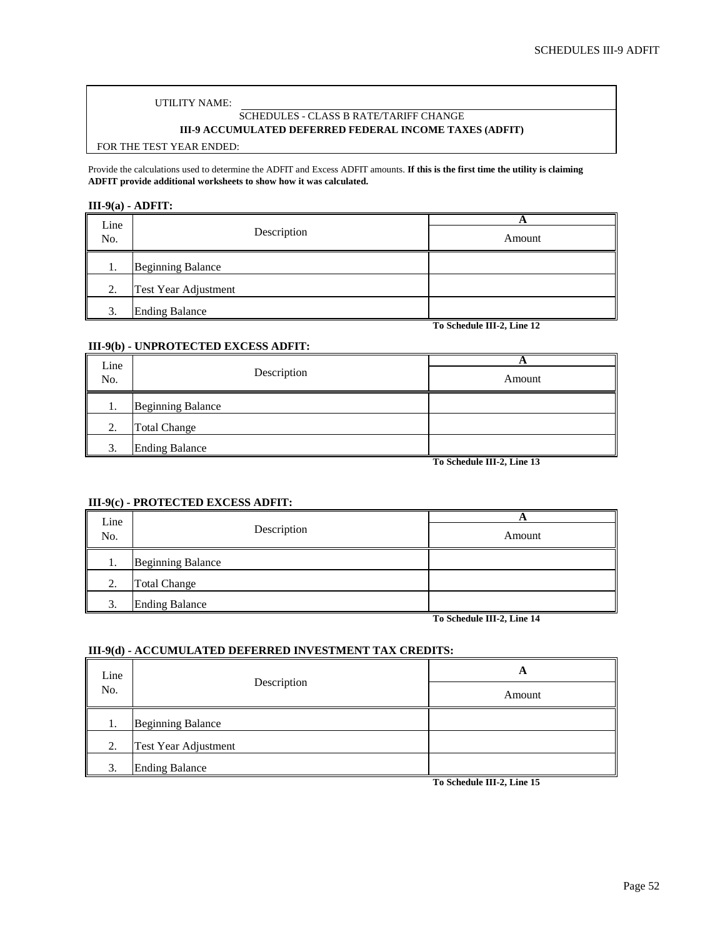#### UTILITY NAME:

## SCHEDULES - CLASS B RATE/TARIFF CHANGE

### **III-9 ACCUMULATED DEFERRED FEDERAL INCOME TAXES (ADFIT)**

#### FOR THE TEST YEAR ENDED:

Provide the calculations used to determine the ADFIT and Excess ADFIT amounts. **If this is the first time the utility is claiming ADFIT provide additional worksheets to show how it was calculated.**

#### **III-9(a) - ADFIT:**

| Line<br>No. | Description              | Α<br>Amount                |
|-------------|--------------------------|----------------------------|
|             | <b>Beginning Balance</b> |                            |
| 2.          | Test Year Adjustment     |                            |
| 3.          | <b>Ending Balance</b>    |                            |
|             |                          | To Schedule III-2, Line 12 |

#### **III-9(b) - UNPROTECTED EXCESS ADFIT:**

| Line |                          |        |
|------|--------------------------|--------|
| No.  | Description              | Amount |
| I.   | <b>Beginning Balance</b> |        |
| 2.   | <b>Total Change</b>      |        |
| 3.   | <b>Ending Balance</b>    |        |

**To Schedule III-2, Line 13**

#### **III-9(c) - PROTECTED EXCESS ADFIT:**

| Line<br>No.       | Description              | $\rightarrow$<br>Amount |
|-------------------|--------------------------|-------------------------|
|                   |                          |                         |
| .,                | <b>Beginning Balance</b> |                         |
| 2.                | <b>Total Change</b>      |                         |
| $\mathbf{\Omega}$ | <b>Ending Balance</b>    |                         |

**To Schedule III-2, Line 14**

#### **III-9(d) - ACCUMULATED DEFERRED INVESTMENT TAX CREDITS:**

| Line<br>No. | Description              | А                                                   |
|-------------|--------------------------|-----------------------------------------------------|
|             |                          | Amount                                              |
|             | <b>Beginning Balance</b> |                                                     |
| 2.          | Test Year Adjustment     |                                                     |
| 3.          | <b>Ending Balance</b>    | $T$ $(1, 1, 1, 1)$ $T$ $(1, 1, 1)$<br>$\rightarrow$ |

**To Schedule III-2, Line 15**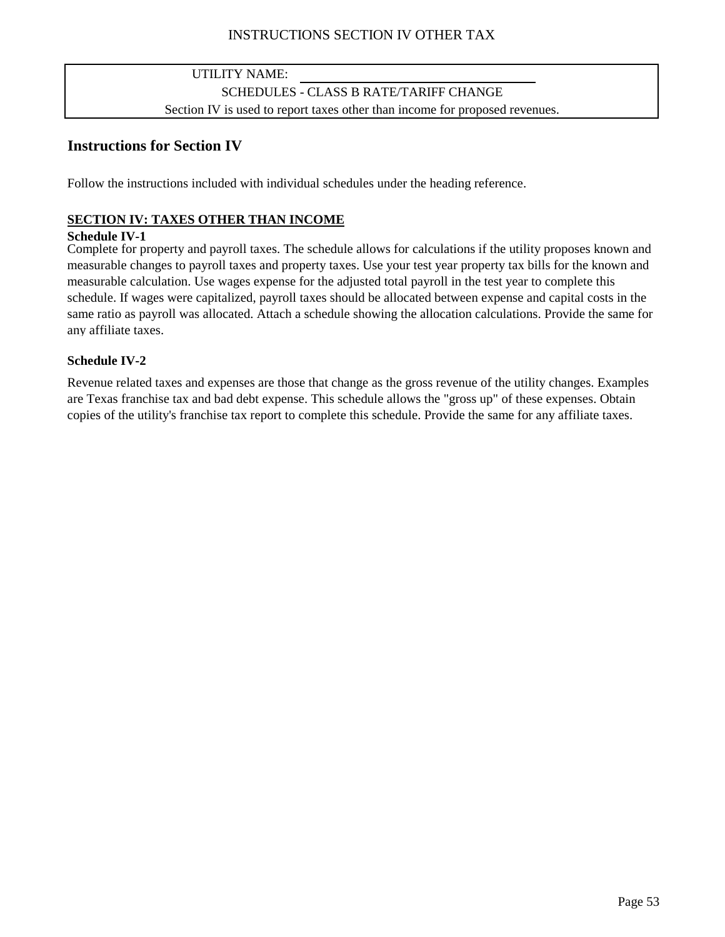## INSTRUCTIONS SECTION IV OTHER TAX

## UTILITY NAME: SCHEDULES - CLASS B RATE/TARIFF CHANGE Section IV is used to report taxes other than income for proposed revenues.

## **Instructions for Section IV**

Follow the instructions included with individual schedules under the heading reference.

### **SECTION IV: TAXES OTHER THAN INCOME**

### **Schedule IV-1**

Complete for property and payroll taxes. The schedule allows for calculations if the utility proposes known and measurable changes to payroll taxes and property taxes. Use your test year property tax bills for the known and measurable calculation. Use wages expense for the adjusted total payroll in the test year to complete this schedule. If wages were capitalized, payroll taxes should be allocated between expense and capital costs in the same ratio as payroll was allocated. Attach a schedule showing the allocation calculations. Provide the same for any affiliate taxes.

### **Schedule IV-2**

Revenue related taxes and expenses are those that change as the gross revenue of the utility changes. Examples are Texas franchise tax and bad debt expense. This schedule allows the "gross up" of these expenses. Obtain copies of the utility's franchise tax report to complete this schedule. Provide the same for any affiliate taxes.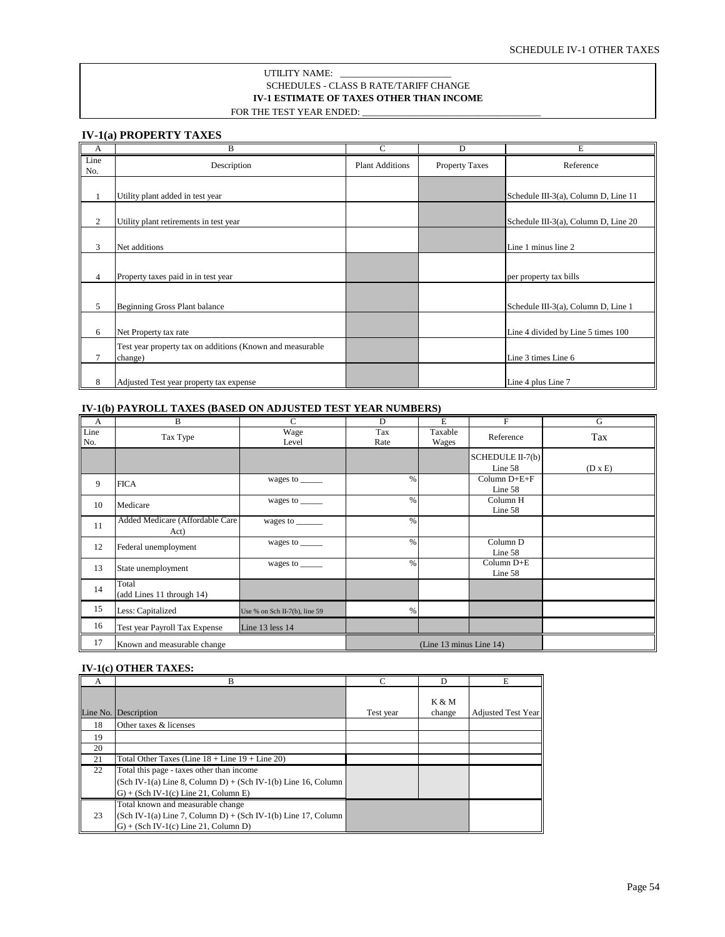#### **IV-1 ESTIMATE OF TAXES OTHER THAN INCOME** SCHEDULES - CLASS B RATE/TARIFF CHANGE UTILITY NAME: FOR THE TEST YEAR ENDED:

#### **IV-1(a) PROPERTY TAXES**

| A              | B                                                                    | C                      | D              | Ē                                    |
|----------------|----------------------------------------------------------------------|------------------------|----------------|--------------------------------------|
| Line<br>No.    | Description                                                          | <b>Plant Additions</b> | Property Taxes | Reference                            |
| 1              | Utility plant added in test year                                     |                        |                | Schedule III-3(a), Column D, Line 11 |
| 2              | Utility plant retirements in test year                               |                        |                | Schedule III-3(a), Column D, Line 20 |
| 3              | Net additions                                                        |                        |                | Line 1 minus line 2                  |
| $\overline{4}$ | Property taxes paid in in test year                                  |                        |                | per property tax bills               |
| 5              | Beginning Gross Plant balance                                        |                        |                | Schedule III-3(a), Column D, Line 1  |
| 6              | Net Property tax rate                                                |                        |                | Line 4 divided by Line 5 times 100   |
| 7              | Test year property tax on additions (Known and measurable<br>change) |                        |                | Line 3 times Line 6                  |
| 8              | Adjusted Test year property tax expense                              |                        |                | Line 4 plus Line 7                   |

#### **IV-1(b) PAYROLL TAXES (BASED ON ADJUSTED TEST YEAR NUMBERS)**

| $\mathbf{A}$ | B                                       | C                             | D           | E                       | F                           | G              |
|--------------|-----------------------------------------|-------------------------------|-------------|-------------------------|-----------------------------|----------------|
| Line<br>No.  | Tax Type                                | Wage<br>Level                 | Tax<br>Rate | Taxable<br>Wages        | Reference                   | Tax            |
|              |                                         |                               |             |                         | SCHEDULE II-7(b)<br>Line 58 | $(D \times E)$ |
| 9            | <b>FICA</b>                             | wages to _____                | $\%$        |                         | Column $D+E+F$<br>Line 58   |                |
| 10           | Medicare                                | wages to $\_\_$               | $\%$        |                         | Column H<br>Line 58         |                |
| 11           | Added Medicare (Affordable Care<br>Act) | wages to $\_\_$               | %           |                         |                             |                |
| 12           | Federal unemployment                    | wages to ______               | $\%$        |                         | Column D<br>Line 58         |                |
| 13           | State unemployment                      | wages to ______               | $\%$        |                         | Column D+E<br>Line 58       |                |
| 14           | Total<br>(add Lines 11 through 14)      |                               |             |                         |                             |                |
| 15           | Less: Capitalized                       | Use % on Sch II-7(b), line 59 | %           |                         |                             |                |
| 16           | Test year Payroll Tax Expense           | Line 13 less 14               |             |                         |                             |                |
| 17           | Known and measurable change             |                               |             | (Line 13 minus Line 14) |                             |                |

#### **IV-1(c) OTHER TAXES:**

| A  | B                                                                                                                                               | $\mathcal{C}$ | D               | Е                         |
|----|-------------------------------------------------------------------------------------------------------------------------------------------------|---------------|-----------------|---------------------------|
|    | Line No. Description                                                                                                                            | Test year     | K & M<br>change | <b>Adjusted Test Year</b> |
| 18 | Other taxes & licenses                                                                                                                          |               |                 |                           |
| 19 |                                                                                                                                                 |               |                 |                           |
| 20 |                                                                                                                                                 |               |                 |                           |
| 21 | Total Other Taxes (Line $18 +$ Line $19 +$ Line 20)                                                                                             |               |                 |                           |
| 22 | Total this page - taxes other than income                                                                                                       |               |                 |                           |
|    | $(Sch IV-1(a) Line 8, Column D) + (Sch IV-1(b) Line 16, Column$                                                                                 |               |                 |                           |
|    | $G$ ) + (Sch IV-1(c) Line 21, Column E)                                                                                                         |               |                 |                           |
| 23 | Total known and measurable change<br>$(Sch IV-1(a) Line 7, Column D) + (Sch IV-1(b) Line 17, Column$<br>$G$ ) + (Sch IV-1(c) Line 21, Column D) |               |                 |                           |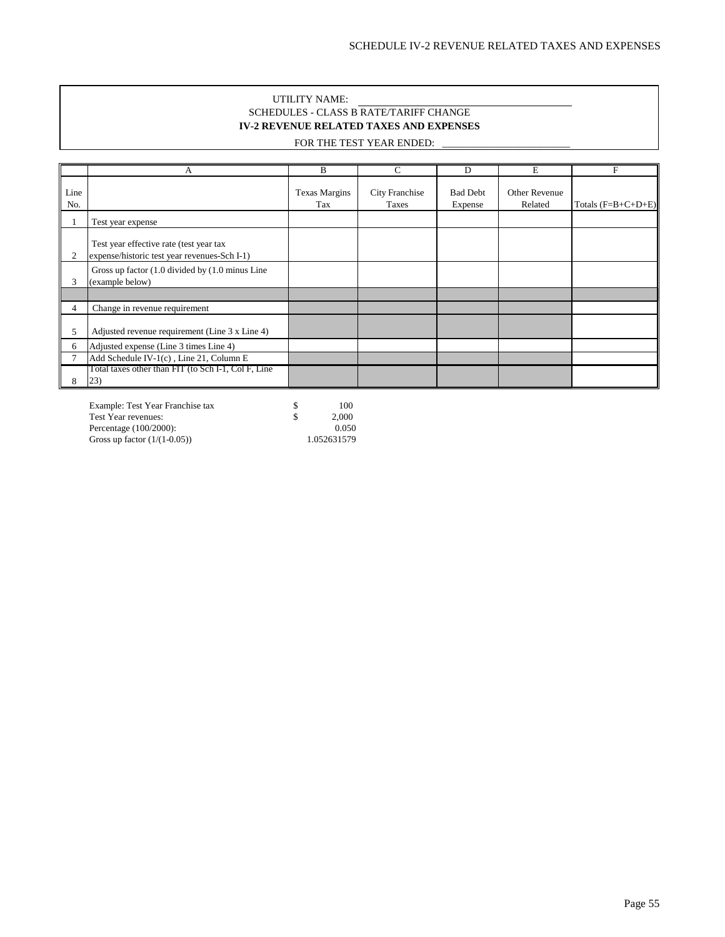#### UTILITY NAME: SCHEDULES - CLASS B RATE/TARIFF CHANGE **IV-2 REVENUE RELATED TAXES AND EXPENSES**

### FOR THE TEST YEAR ENDED:

|             | А                                                                                       | B                           | C                       | D                          | E                        | F                    |
|-------------|-----------------------------------------------------------------------------------------|-----------------------------|-------------------------|----------------------------|--------------------------|----------------------|
| Line<br>No. |                                                                                         | <b>Texas Margins</b><br>Tax | City Franchise<br>Taxes | <b>Bad Debt</b><br>Expense | Other Revenue<br>Related | Totals $(F=B+C+D+E)$ |
|             | Test year expense                                                                       |                             |                         |                            |                          |                      |
| 2           | Test year effective rate (test year tax<br>expense/historic test year revenues-Sch I-1) |                             |                         |                            |                          |                      |
| 3           | Gross up factor (1.0 divided by (1.0 minus Line<br>(example below)                      |                             |                         |                            |                          |                      |
|             |                                                                                         |                             |                         |                            |                          |                      |
| 4           | Change in revenue requirement                                                           |                             |                         |                            |                          |                      |
| C           | Adjusted revenue requirement (Line 3 x Line 4)                                          |                             |                         |                            |                          |                      |
| 6           | Adjusted expense (Line 3 times Line 4)                                                  |                             |                         |                            |                          |                      |
|             | Add Schedule IV-1(c), Line 21, Column E                                                 |                             |                         |                            |                          |                      |
|             | Total taxes other than FIT (to Sch I-1, Col F, Line<br>(23)                             |                             |                         |                            |                          |                      |

Example: Test Year Franchise tax  $\begin{array}{ccc} 8 & 100 \\ 5 & 2,000 \end{array}$ Test Year revenues:  $\qquad \qquad$  \$ 2,000<br>Percentage (100/2000): 0.050 Percentage (100/2000): 0.050<br>
Gross up factor (1/(1-0.05)) 1.052631579 Gross up factor  $(1/(1-0.05))$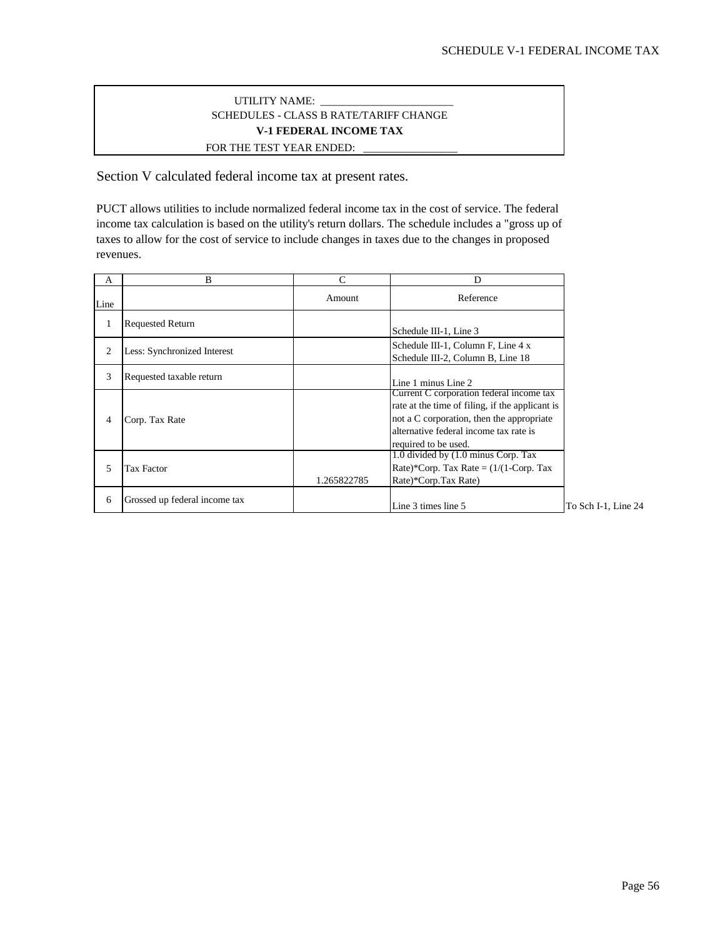### SCHEDULES - CLASS B RATE/TARIFF CHANGE FOR THE TEST YEAR ENDED: UTILITY NAME: **V-1 FEDERAL INCOME TAX**

Section V calculated federal income tax at present rates.

PUCT allows utilities to include normalized federal income tax in the cost of service. The federal income tax calculation is based on the utility's return dollars. The schedule includes a "gross up of taxes to allow for the cost of service to include changes in taxes due to the changes in proposed revenues.

| A    | B                             | C           | D                                                                                                                                                                                                          |                     |
|------|-------------------------------|-------------|------------------------------------------------------------------------------------------------------------------------------------------------------------------------------------------------------------|---------------------|
| Line |                               | Amount      | Reference                                                                                                                                                                                                  |                     |
|      | <b>Requested Return</b>       |             | Schedule III-1, Line 3                                                                                                                                                                                     |                     |
| 2    | Less: Synchronized Interest   |             | Schedule III-1, Column F, Line 4 x<br>Schedule III-2, Column B, Line 18                                                                                                                                    |                     |
| 3    | Requested taxable return      |             | Line 1 minus Line 2                                                                                                                                                                                        |                     |
| 4    | Corp. Tax Rate                |             | Current C corporation federal income tax<br>rate at the time of filing, if the applicant is<br>not a C corporation, then the appropriate<br>alternative federal income tax rate is<br>required to be used. |                     |
| 5    | <b>Tax Factor</b>             | 1.265822785 | 1.0 divided by (1.0 minus Corp. Tax<br>Rate)*Corp. Tax Rate = $(1/(1-Corp. Tax$<br>Rate)*Corp.Tax Rate)                                                                                                    |                     |
| 6    | Grossed up federal income tax |             | Line 3 times line 5                                                                                                                                                                                        | To Sch I-1, Line 24 |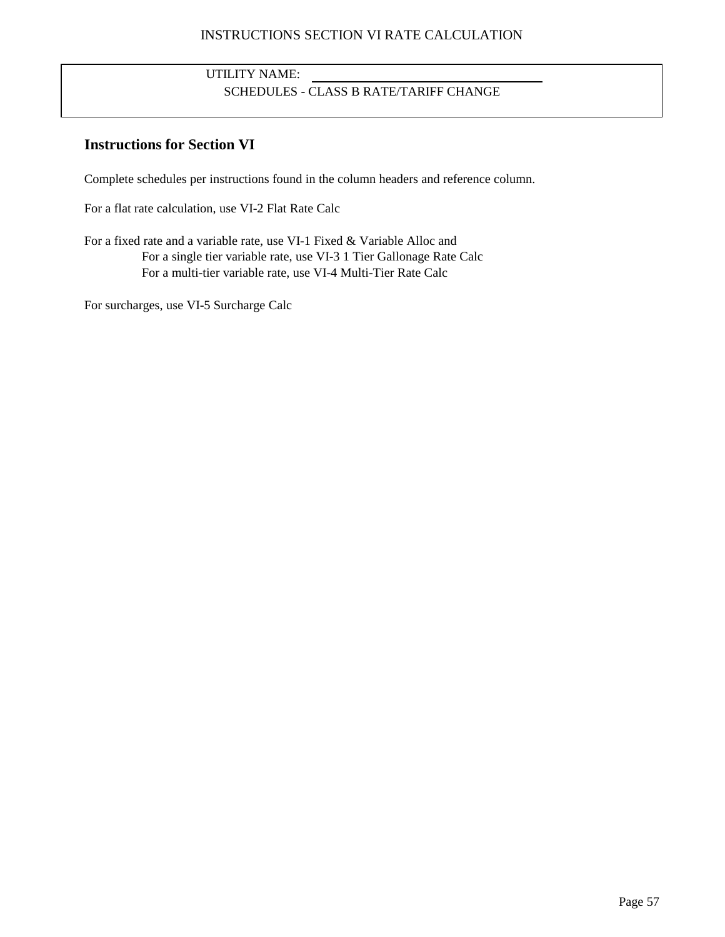### INSTRUCTIONS SECTION VI RATE CALCULATION

## UTILITY NAME: SCHEDULES - CLASS B RATE/TARIFF CHANGE

## **Instructions for Section VI**

Complete schedules per instructions found in the column headers and reference column.

For a flat rate calculation, use VI-2 Flat Rate Calc

For a fixed rate and a variable rate, use VI-1 Fixed & Variable Alloc and For a single tier variable rate, use VI-3 1 Tier Gallonage Rate Calc For a multi-tier variable rate, use VI-4 Multi-Tier Rate Calc

For surcharges, use VI-5 Surcharge Calc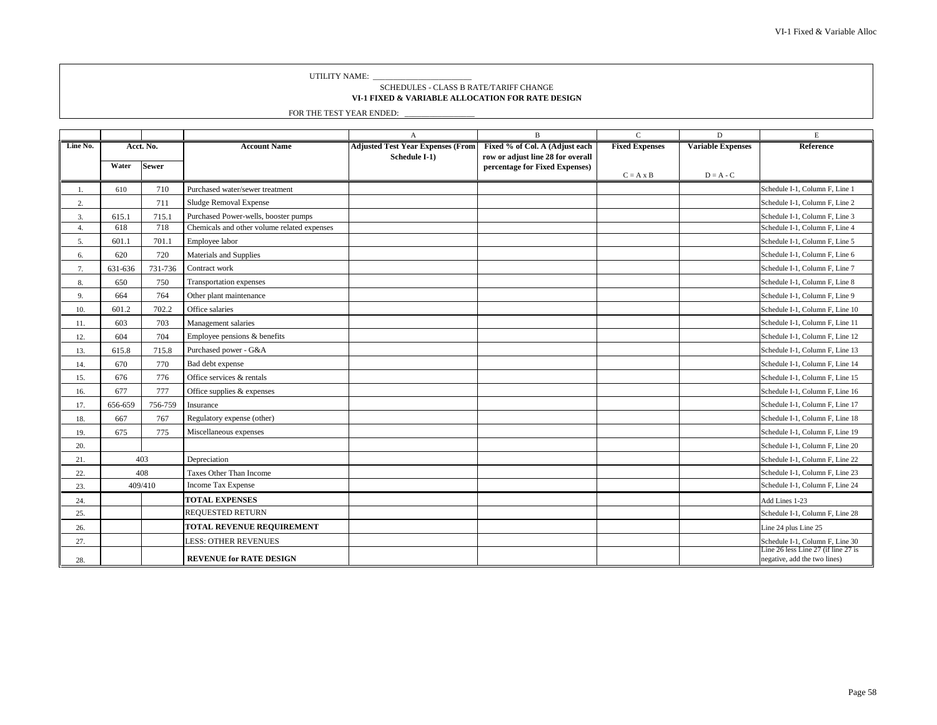UTILITY NAME: \_

#### **VI-1 FIXED & VARIABLE ALLOCATION FOR RATE DESIGN** SCHEDULES - CLASS B RATE/TARIFF CHANGE

|          |         |              |                                             | A                                        | $\, {\bf B}$                                                        | $\mathsf C$           | $\mathbf D$              | $\mathbf E$                                                         |
|----------|---------|--------------|---------------------------------------------|------------------------------------------|---------------------------------------------------------------------|-----------------------|--------------------------|---------------------------------------------------------------------|
| Line No. |         | Acct. No.    | <b>Account Name</b>                         | <b>Adjusted Test Year Expenses (From</b> | Fixed % of Col. A (Adjust each                                      | <b>Fixed Expenses</b> | <b>Variable Expenses</b> | <b>Reference</b>                                                    |
|          | Water   | <b>Sewer</b> |                                             | Schedule I-1)                            | row or adjust line 28 for overall<br>percentage for Fixed Expenses) |                       |                          |                                                                     |
|          |         |              |                                             |                                          |                                                                     | $C = A \times B$      | $D = A - C$              |                                                                     |
|          | 610     | 710          | Purchased water/sewer treatment             |                                          |                                                                     |                       |                          | Schedule I-1, Column F, Line 1                                      |
| 2.       |         | 711          | Sludge Removal Expense                      |                                          |                                                                     |                       |                          | Schedule I-1, Column F, Line 2                                      |
| 3.       | 615.1   | 715.1        | Purchased Power-wells, booster pumps        |                                          |                                                                     |                       |                          | Schedule I-1, Column F, Line 3                                      |
| 4.       | 618     | 718          | Chemicals and other volume related expenses |                                          |                                                                     |                       |                          | Schedule I-1, Column F, Line 4                                      |
| 5.       | 601.1   | 701.1        | Employee labor                              |                                          |                                                                     |                       |                          | Schedule I-1, Column F, Line 5                                      |
| 6.       | 620     | 720          | Materials and Supplies                      |                                          |                                                                     |                       |                          | Schedule I-1, Column F, Line 6                                      |
| 7.       | 631-636 | 731-736      | Contract work                               |                                          |                                                                     |                       |                          | Schedule I-1, Column F, Line 7                                      |
| 8.       | 650     | 750          | Transportation expenses                     |                                          |                                                                     |                       |                          | Schedule I-1, Column F, Line 8                                      |
| 9.       | 664     | 764          | Other plant maintenance                     |                                          |                                                                     |                       |                          | Schedule I-1, Column F, Line 9                                      |
| 10.      | 601.2   | 702.2        | Office salaries                             |                                          |                                                                     |                       |                          | Schedule I-1, Column F, Line 10                                     |
| 11.      | 603     | 703          | Management salaries                         |                                          |                                                                     |                       |                          | Schedule I-1, Column F, Line 11                                     |
| 12.      | 604     | 704          | Employee pensions & benefits                |                                          |                                                                     |                       |                          | Schedule I-1, Column F, Line 12                                     |
| 13.      | 615.8   | 715.8        | Purchased power - G&A                       |                                          |                                                                     |                       |                          | Schedule I-1, Column F, Line 13                                     |
| 14.      | 670     | 770          | Bad debt expense                            |                                          |                                                                     |                       |                          | Schedule I-1, Column F, Line 14                                     |
| 15.      | 676     | 776          | Office services & rentals                   |                                          |                                                                     |                       |                          | Schedule I-1, Column F, Line 15                                     |
| 16.      | 677     | 777          | Office supplies & expenses                  |                                          |                                                                     |                       |                          | Schedule I-1, Column F, Line 16                                     |
| 17.      | 656-659 | 756-759      | Insurance                                   |                                          |                                                                     |                       |                          | Schedule I-1, Column F, Line 17                                     |
| 18.      | 667     | 767          | Regulatory expense (other)                  |                                          |                                                                     |                       |                          | Schedule I-1, Column F, Line 18                                     |
| 19.      | 675     | 775          | Miscellaneous expenses                      |                                          |                                                                     |                       |                          | Schedule I-1, Column F, Line 19                                     |
| 20.      |         |              |                                             |                                          |                                                                     |                       |                          | Schedule I-1, Column F, Line 20                                     |
| 21.      |         | 403          | Depreciation                                |                                          |                                                                     |                       |                          | Schedule I-1, Column F, Line 22                                     |
| 22.      |         | 408          | Taxes Other Than Income                     |                                          |                                                                     |                       |                          | Schedule I-1, Column F, Line 23                                     |
| 23.      |         | 409/410      | Income Tax Expense                          |                                          |                                                                     |                       |                          | Schedule I-1, Column F, Line 24                                     |
| 24.      |         |              | <b>TOTAL EXPENSES</b>                       |                                          |                                                                     |                       |                          | Add Lines 1-23                                                      |
| 25.      |         |              | <b>REQUESTED RETURN</b>                     |                                          |                                                                     |                       |                          | Schedule I-1, Column F, Line 28                                     |
| 26.      |         |              | TOTAL REVENUE REQUIREMENT                   |                                          |                                                                     |                       |                          | Line 24 plus Line 25                                                |
| 27.      |         |              | <b>LESS: OTHER REVENUES</b>                 |                                          |                                                                     |                       |                          | Schedule I-1, Column F, Line 30                                     |
| 28.      |         |              | <b>REVENUE for RATE DESIGN</b>              |                                          |                                                                     |                       |                          | Line 26 less Line 27 (if line 27 is<br>negative, add the two lines) |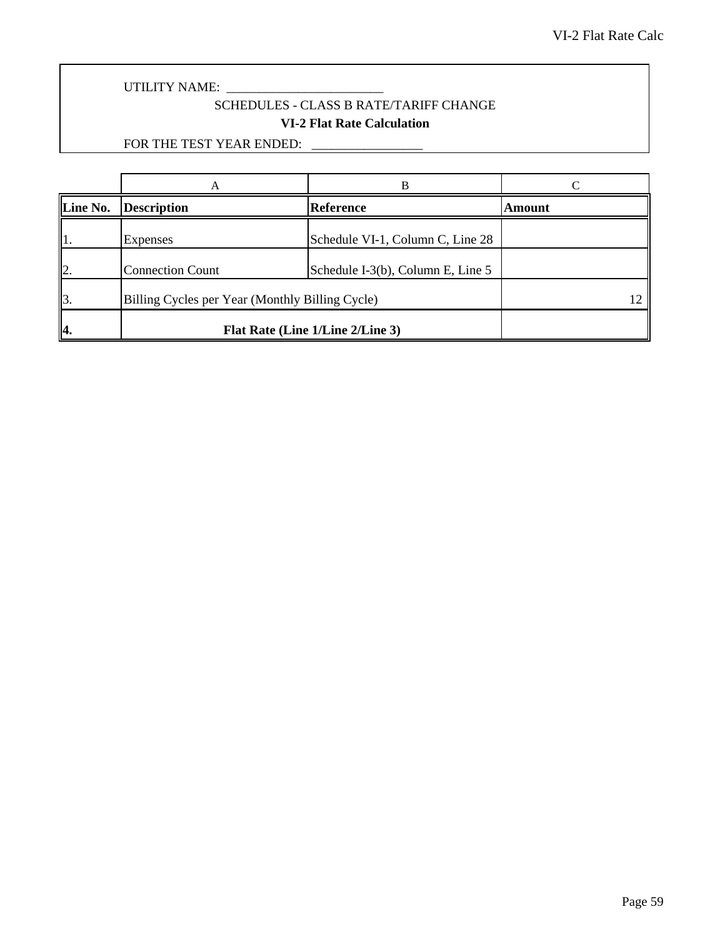## SCHEDULES - CLASS B RATE/TARIFF CHANGE **VI-2 Flat Rate Calculation**

|                 |                                                 | R                                 |               |
|-----------------|-------------------------------------------------|-----------------------------------|---------------|
| Line No.        | <b>Description</b>                              | Reference                         | <b>Amount</b> |
|                 | Expenses                                        | Schedule VI-1, Column C, Line 28  |               |
| $\mathsf{I}_2$  | <b>Connection Count</b>                         | Schedule I-3(b), Column E, Line 5 |               |
| $\mathbf{I}$ 3. | Billing Cycles per Year (Monthly Billing Cycle) |                                   |               |
| 4.              | Flat Rate (Line 1/Line 2/Line 3)                |                                   |               |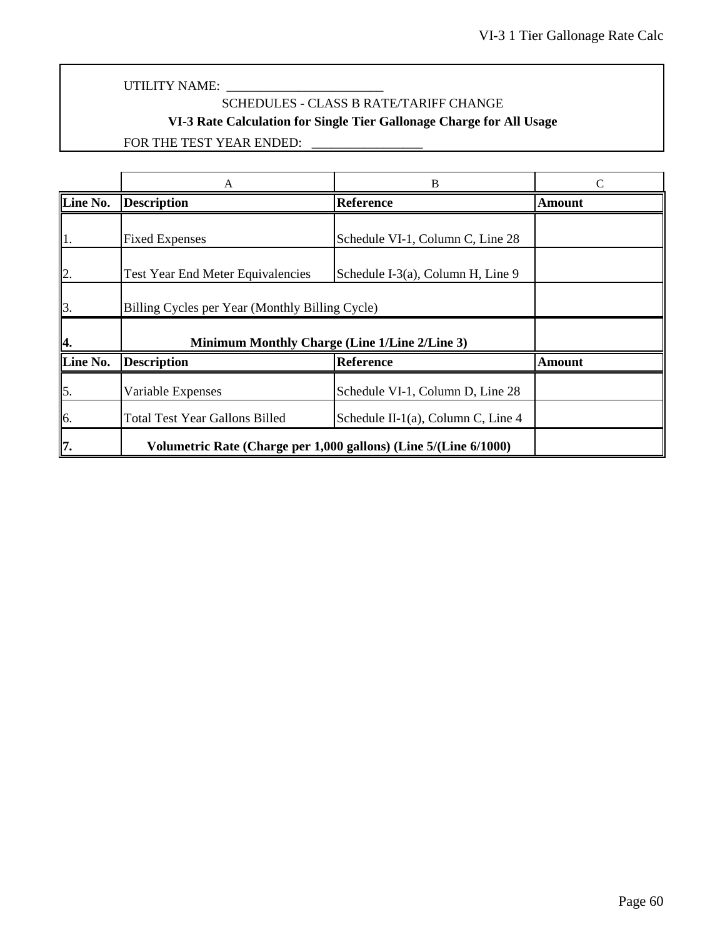# SCHEDULES - CLASS B RATE/TARIFF CHANGE **VI-3 Rate Calculation for Single Tier Gallonage Charge for All Usage**

|                  | A                                                                | В                                               |        |  |
|------------------|------------------------------------------------------------------|-------------------------------------------------|--------|--|
| Line No.         | <b>Description</b>                                               | <b>Reference</b>                                | Amount |  |
| 1.               | <b>Fixed Expenses</b>                                            | Schedule VI-1, Column C, Line 28                |        |  |
| $\vert$ 2.       | <b>Test Year End Meter Equivalencies</b>                         | Schedule I-3(a), Column H, Line 9               |        |  |
| $\overline{3}$ . |                                                                  | Billing Cycles per Year (Monthly Billing Cycle) |        |  |
| 4.               | Minimum Monthly Charge (Line 1/Line 2/Line 3)                    |                                                 |        |  |
| Line No.         | <b>Description</b>                                               | <b>Reference</b>                                | Amount |  |
| $\vert$ 5.       | Variable Expenses                                                | Schedule VI-1, Column D, Line 28                |        |  |
| 6.               | <b>Total Test Year Gallons Billed</b>                            | Schedule II-1(a), Column C, Line $4$            |        |  |
| 17.              | Volumetric Rate (Charge per 1,000 gallons) (Line 5/(Line 6/1000) |                                                 |        |  |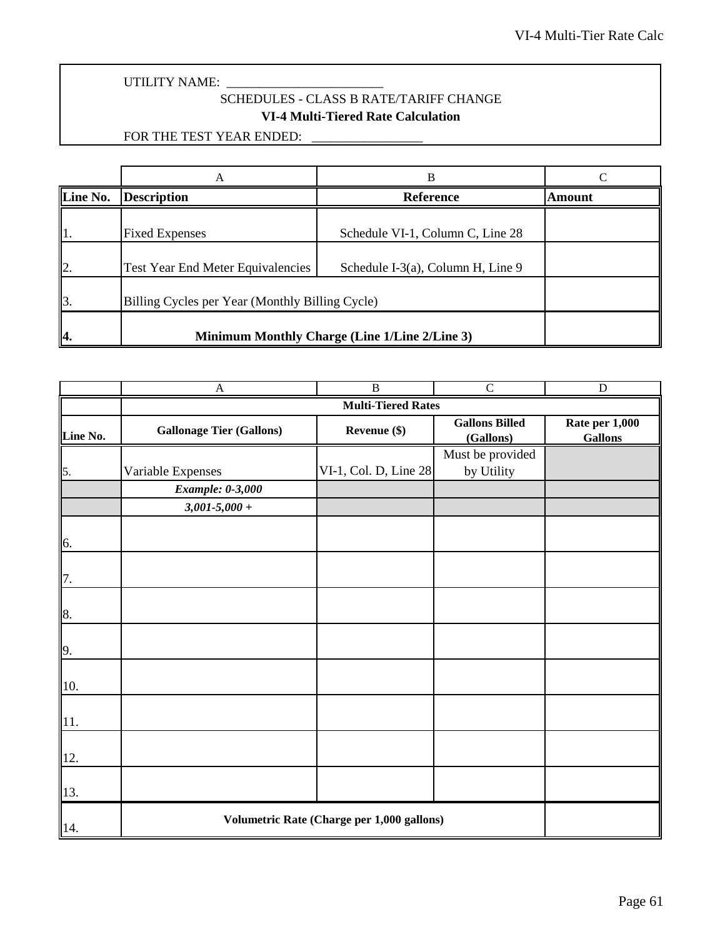UTILITY NAME: \_

## SCHEDULES - CLASS B RATE/TARIFF CHANGE **VI-4 Multi-Tiered Rate Calculation**

|                          | A                                               |                                   |        |
|--------------------------|-------------------------------------------------|-----------------------------------|--------|
| Line No.                 | <b>Description</b>                              | <b>Reference</b>                  | Amount |
| 1.                       | <b>Fixed Expenses</b>                           | Schedule VI-1, Column C, Line 28  |        |
| $\mathsf{I}2$ .          | <b>Test Year End Meter Equivalencies</b>        | Schedule I-3(a), Column H, Line 9 |        |
| $\mathbf{\mathbb{I}}$ 3. | Billing Cycles per Year (Monthly Billing Cycle) |                                   |        |
| 14.                      | Minimum Monthly Charge (Line 1/Line 2/Line 3)   |                                   |        |

|                  | $\mathbf{A}$                               | $\overline{B}$            | $\overline{C}$                     | $\overline{D}$                   |  |  |
|------------------|--------------------------------------------|---------------------------|------------------------------------|----------------------------------|--|--|
|                  |                                            | <b>Multi-Tiered Rates</b> |                                    |                                  |  |  |
| Line No.         | <b>Gallonage Tier (Gallons)</b>            | Revenue (\$)              | <b>Gallons Billed</b><br>(Gallons) | Rate per 1,000<br><b>Gallons</b> |  |  |
|                  |                                            |                           | Must be provided                   |                                  |  |  |
| $\vert 5. \vert$ | Variable Expenses                          | VI-1, Col. D, Line 28     | by Utility                         |                                  |  |  |
|                  | <b>Example: 0-3,000</b>                    |                           |                                    |                                  |  |  |
|                  | $3,001 - 5,000 +$                          |                           |                                    |                                  |  |  |
| 6.               |                                            |                           |                                    |                                  |  |  |
| 7.               |                                            |                           |                                    |                                  |  |  |
| 8.               |                                            |                           |                                    |                                  |  |  |
| 9.               |                                            |                           |                                    |                                  |  |  |
| 10.              |                                            |                           |                                    |                                  |  |  |
| 11.              |                                            |                           |                                    |                                  |  |  |
| 12.              |                                            |                           |                                    |                                  |  |  |
| 13.              |                                            |                           |                                    |                                  |  |  |
| 14.              | Volumetric Rate (Charge per 1,000 gallons) |                           |                                    |                                  |  |  |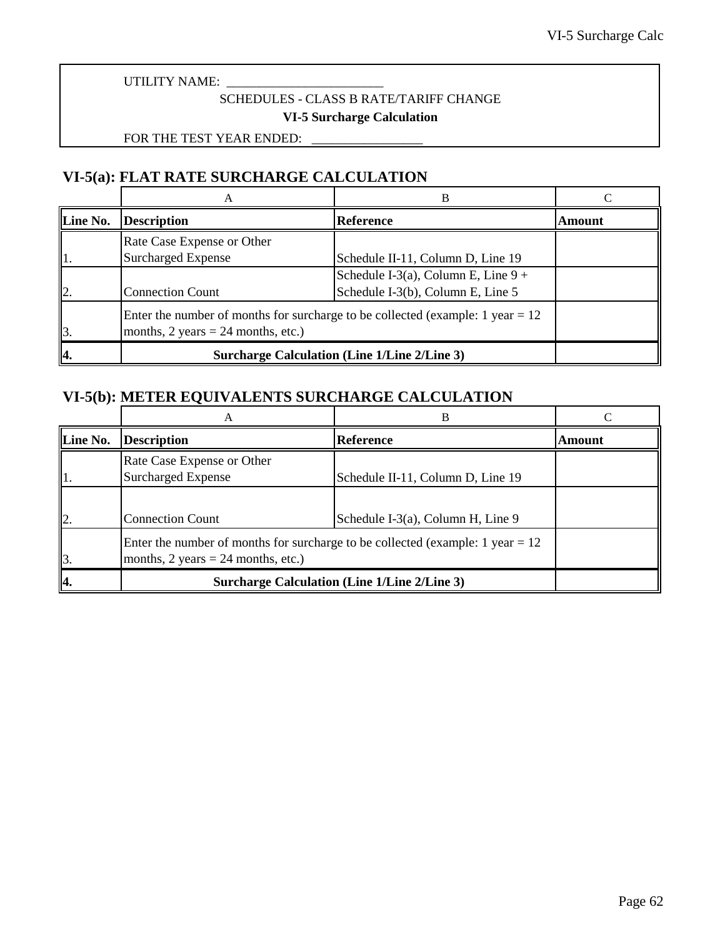## SCHEDULES - CLASS B RATE/TARIFF CHANGE **VI-5 Surcharge Calculation**

FOR THE TEST YEAR ENDED:

# **VI-5(a): FLAT RATE SURCHARGE CALCULATION**

|                 |                                                                                                                                             | в                                                   |        |  |
|-----------------|---------------------------------------------------------------------------------------------------------------------------------------------|-----------------------------------------------------|--------|--|
| Line No.        | <b>Description</b>                                                                                                                          | <b>Reference</b>                                    | Amount |  |
|                 | Rate Case Expense or Other                                                                                                                  |                                                     |        |  |
|                 | Surcharged Expense                                                                                                                          | Schedule II-11, Column D, Line 19                   |        |  |
|                 |                                                                                                                                             | Schedule I-3(a), Column E, Line $9 +$               |        |  |
| $\mathsf{I}2$ . | <b>Connection Count</b>                                                                                                                     | Schedule I-3(b), Column E, Line 5                   |        |  |
| $\mathbf{I}$ 3. | Enter the number of months for surcharge to be collected (example: 1 year $= 12$ )<br>months, $2 \text{ years} = 24 \text{ months, etc.}$ ) |                                                     |        |  |
| 4.              |                                                                                                                                             | <b>Surcharge Calculation (Line 1/Line 2/Line 3)</b> |        |  |

## **VI-5(b): METER EQUIVALENTS SURCHARGE CALCULATION**

|              | А                                                       | В                                                                                    |        |
|--------------|---------------------------------------------------------|--------------------------------------------------------------------------------------|--------|
| Line No.     | <b>Description</b>                                      | <b>Reference</b>                                                                     | Amount |
|              | Rate Case Expense or Other<br><b>Surcharged Expense</b> | Schedule II-11, Column D, Line 19                                                    |        |
| $\mathbf{I}$ | <b>Connection Count</b>                                 | Schedule I-3(a), Column H, Line 9                                                    |        |
| 13.          | months, $2 \text{ years} = 24 \text{ months, etc.}$ )   | Enter the number of months for surcharge to be collected (example: $1$ year = $12$ ) |        |
| 14.          |                                                         | <b>Surcharge Calculation (Line 1/Line 2/Line 3)</b>                                  |        |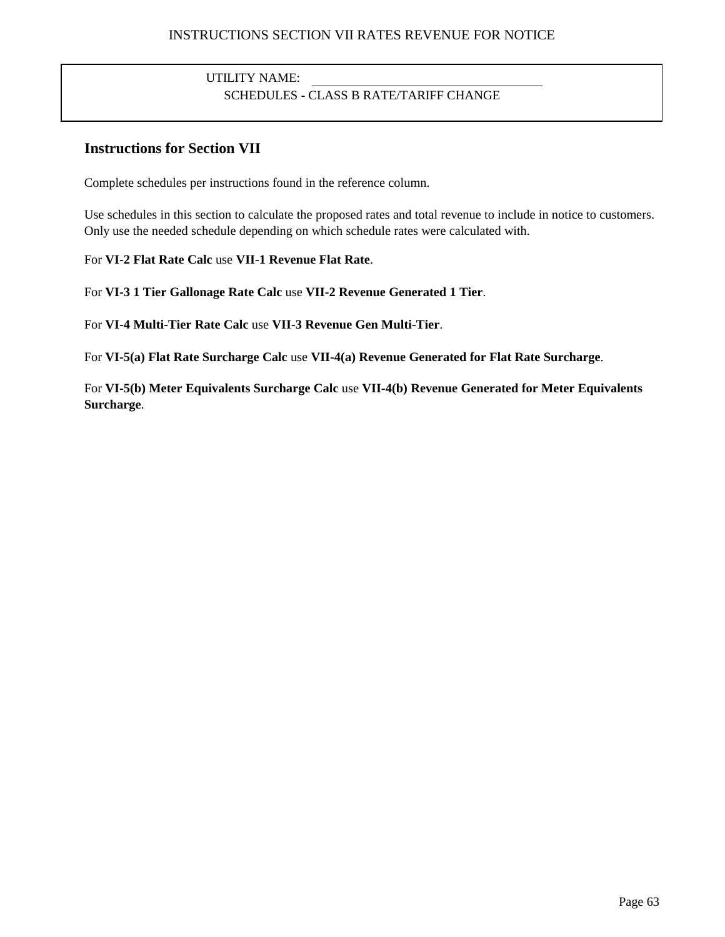## UTILITY NAME: SCHEDULES - CLASS B RATE/TARIFF CHANGE

## **Instructions for Section VII**

Complete schedules per instructions found in the reference column.

Use schedules in this section to calculate the proposed rates and total revenue to include in notice to customers. Only use the needed schedule depending on which schedule rates were calculated with.

For **VI-2 Flat Rate Calc** use **VII-1 Revenue Flat Rate**.

For **VI-3 1 Tier Gallonage Rate Calc** use **VII-2 Revenue Generated 1 Tier**.

For **VI-4 Multi-Tier Rate Calc** use **VII-3 Revenue Gen Multi-Tier**.

For **VI-5(a) Flat Rate Surcharge Calc** use **VII-4(a) Revenue Generated for Flat Rate Surcharge**.

For **VI-5(b) Meter Equivalents Surcharge Calc** use **VII-4(b) Revenue Generated for Meter Equivalents Surcharge**.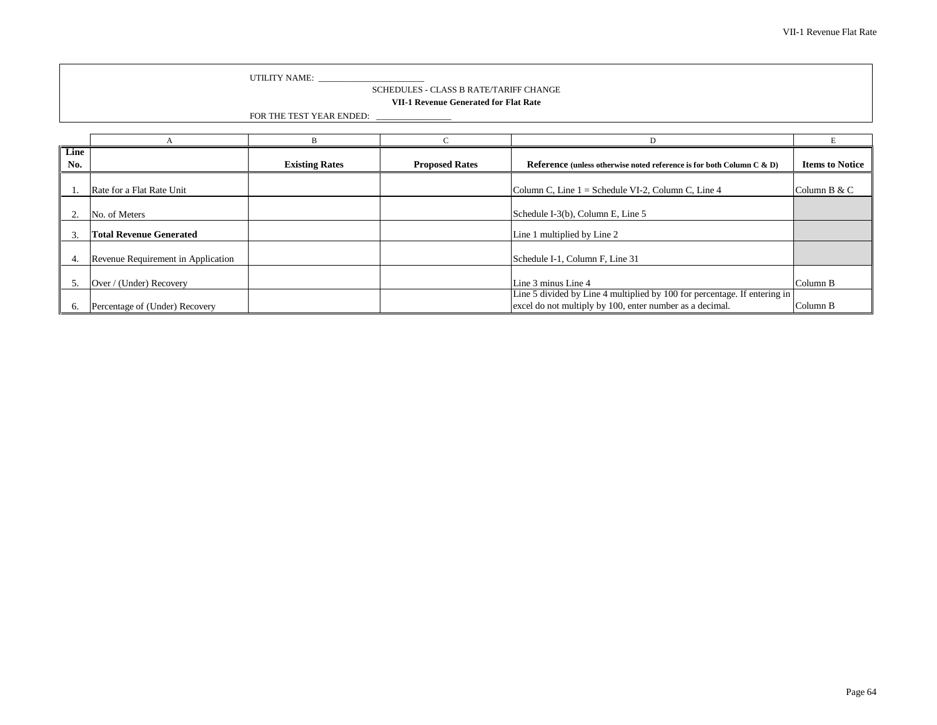#### SCHEDULES - CLASS B RATE/TARIFF CHANGE **VII-1 Revenue Generated for Flat Rate**

FOR THE TEST YEAR ENDED: \_\_\_\_\_\_\_\_\_\_\_\_\_\_\_\_\_

| Line<br>No.   |                                    | <b>Existing Rates</b> | <b>Proposed Rates</b> | Reference (unless otherwise noted reference is for both Column C $\&$ D)  | <b>Items to Notice</b> |
|---------------|------------------------------------|-----------------------|-----------------------|---------------------------------------------------------------------------|------------------------|
|               |                                    |                       |                       |                                                                           |                        |
|               | Rate for a Flat Rate Unit          |                       |                       | Column C, Line $1 =$ Schedule VI-2, Column C, Line 4                      | Column B & C           |
|               | No. of Meters                      |                       |                       | Schedule I-3(b), Column E, Line 5                                         |                        |
|               | <b>Total Revenue Generated</b>     |                       |                       | Line 1 multiplied by Line 2                                               |                        |
| 4.            | Revenue Requirement in Application |                       |                       | Schedule I-1, Column F, Line 31                                           |                        |
| $\mathcal{D}$ | Over / (Under) Recovery            |                       |                       | Line 3 minus Line 4                                                       | Column B               |
|               |                                    |                       |                       | Line 5 divided by Line 4 multiplied by 100 for percentage. If entering in |                        |
|               | Percentage of (Under) Recovery     |                       |                       | excel do not multiply by 100, enter number as a decimal.                  | Column B               |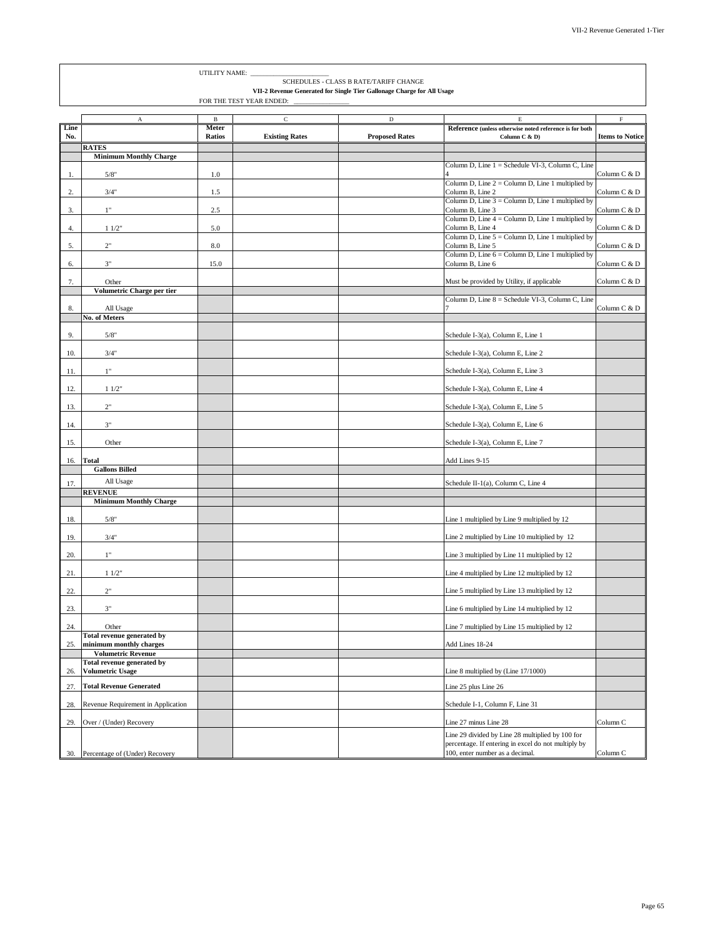|             |                                                         | UTILITY NAME:            |                       |                                                                                                                  |                                                                          |                        |
|-------------|---------------------------------------------------------|--------------------------|-----------------------|------------------------------------------------------------------------------------------------------------------|--------------------------------------------------------------------------|------------------------|
|             |                                                         |                          |                       | SCHEDULES - CLASS B RATE/TARIFF CHANGE<br>VII-2 Revenue Generated for Single Tier Gallonage Charge for All Usage |                                                                          |                        |
|             |                                                         | FOR THE TEST YEAR ENDED: |                       |                                                                                                                  |                                                                          |                        |
|             | A                                                       | B                        | $\mathsf C$           | $\mathbf D$                                                                                                      | E.                                                                       | $\mathbf F$            |
| Line<br>No. |                                                         | Meter<br><b>Ratios</b>   | <b>Existing Rates</b> | <b>Proposed Rates</b>                                                                                            | Reference (unless otherwise noted reference is for both<br>Column C & D) | <b>Items to Notice</b> |
|             | <b>RATES</b>                                            |                          |                       |                                                                                                                  |                                                                          |                        |
|             | <b>Minimum Monthly Charge</b>                           |                          |                       |                                                                                                                  | Column D, Line 1 = Schedule VI-3, Column C, Line                         |                        |
| 1.          | 5/8"                                                    | 1.0                      |                       |                                                                                                                  |                                                                          | Column C & D           |
| 2.          | 3/4"                                                    | $1.5\,$                  |                       |                                                                                                                  | Column D, Line $2 =$ Column D, Line 1 multiplied by<br>Column B, Line 2  | Column C & D           |
|             |                                                         |                          |                       |                                                                                                                  | Column D, Line $3 =$ Column D, Line 1 multiplied by                      |                        |
| 3.          | $1"$                                                    | 2.5                      |                       |                                                                                                                  | Column B, Line 3                                                         | Column C & D           |
| 4.          | 11/2"                                                   | 5.0                      |                       |                                                                                                                  | Column D, Line $4 =$ Column D, Line 1 multiplied by<br>Column B, Line 4  | Column C & D           |
|             |                                                         |                          |                       |                                                                                                                  | Column D, Line $5 =$ Column D, Line 1 multiplied by                      |                        |
| 5.          | $2"$                                                    | $8.0\,$                  |                       |                                                                                                                  | Column B, Line 5<br>Column D, Line 6 = Column D, Line 1 multiplied by    | Column C & D           |
| 6.          | 3"                                                      | 15.0                     |                       |                                                                                                                  | Column B, Line 6                                                         | Column C & D           |
|             |                                                         |                          |                       |                                                                                                                  |                                                                          |                        |
| 7.          | Other<br>Volumetric Charge per tier                     |                          |                       |                                                                                                                  | Must be provided by Utility, if applicable                               | Column C & D           |
|             |                                                         |                          |                       |                                                                                                                  | Column D, Line 8 = Schedule VI-3, Column C, Line                         |                        |
| 8.          | All Usage                                               |                          |                       |                                                                                                                  |                                                                          | Column C & D           |
|             | No. of Meters                                           |                          |                       |                                                                                                                  |                                                                          |                        |
| 9.          | 5/8"                                                    |                          |                       |                                                                                                                  | Schedule I-3(a), Column E, Line 1                                        |                        |
| 10.         | 3/4"                                                    |                          |                       |                                                                                                                  | Schedule I-3(a), Column E, Line 2                                        |                        |
| 11.         | 1"                                                      |                          |                       |                                                                                                                  | Schedule I-3(a), Column E, Line 3                                        |                        |
| 12.         | 11/2"                                                   |                          |                       |                                                                                                                  | Schedule I-3(a), Column E, Line 4                                        |                        |
| 13.         | $2"$                                                    |                          |                       |                                                                                                                  | Schedule I-3(a), Column E, Line 5                                        |                        |
| 14.         | $3"$                                                    |                          |                       |                                                                                                                  | Schedule I-3(a), Column E, Line 6                                        |                        |
|             |                                                         |                          |                       |                                                                                                                  |                                                                          |                        |
| 15.         | Other                                                   |                          |                       |                                                                                                                  | Schedule I-3(a), Column E, Line 7                                        |                        |
| 16.         | <b>Total</b>                                            |                          |                       |                                                                                                                  | Add Lines 9-15                                                           |                        |
|             | <b>Gallons Billed</b>                                   |                          |                       |                                                                                                                  |                                                                          |                        |
| 17.         | All Usage<br><b>REVENUE</b>                             |                          |                       |                                                                                                                  | Schedule II-1(a), Column C, Line 4                                       |                        |
|             | <b>Minimum Monthly Charge</b>                           |                          |                       |                                                                                                                  |                                                                          |                        |
| 18.         | 5/8"                                                    |                          |                       |                                                                                                                  | Line 1 multiplied by Line 9 multiplied by 12                             |                        |
| 19.         | 3/4"                                                    |                          |                       |                                                                                                                  | Line 2 multiplied by Line 10 multiplied by 12                            |                        |
| 20.         | 1"                                                      |                          |                       |                                                                                                                  | Line 3 multiplied by Line 11 multiplied by 12                            |                        |
| 21.         | 11/2"                                                   |                          |                       |                                                                                                                  | Line 4 multiplied by Line 12 multiplied by 12                            |                        |
| 22.         | 2"                                                      |                          |                       |                                                                                                                  | Line 5 multiplied by Line 13 multiplied by 12                            |                        |
| 23.         | 3"                                                      |                          |                       |                                                                                                                  | Line 6 multiplied by Line 14 multiplied by 12                            |                        |
| 24.         | Other                                                   |                          |                       |                                                                                                                  | Line 7 multiplied by Line 15 multiplied by 12                            |                        |
| 25.         | Total revenue generated by<br>minimum monthly charges   |                          |                       |                                                                                                                  | Add Lines 18-24                                                          |                        |
|             | <b>Volumetric Revenue</b><br>Total revenue generated by |                          |                       |                                                                                                                  |                                                                          |                        |
| 26.         | <b>Volumetric Usage</b>                                 |                          |                       |                                                                                                                  | Line 8 multiplied by (Line 17/1000)                                      |                        |

27. **Total Revenue Generated** Line 25 plus Line 26 28. Revenue Requirement in Application Schedule I-1, Column F, Line 31

30. Percentage of (Under) Recovery

29. Over / (Under) Recovery Column C

Line 29 divided by Line 28 multiplied by 100 for percentage. If entering in excel do not multiply by 100, enter number as a decimal. Column C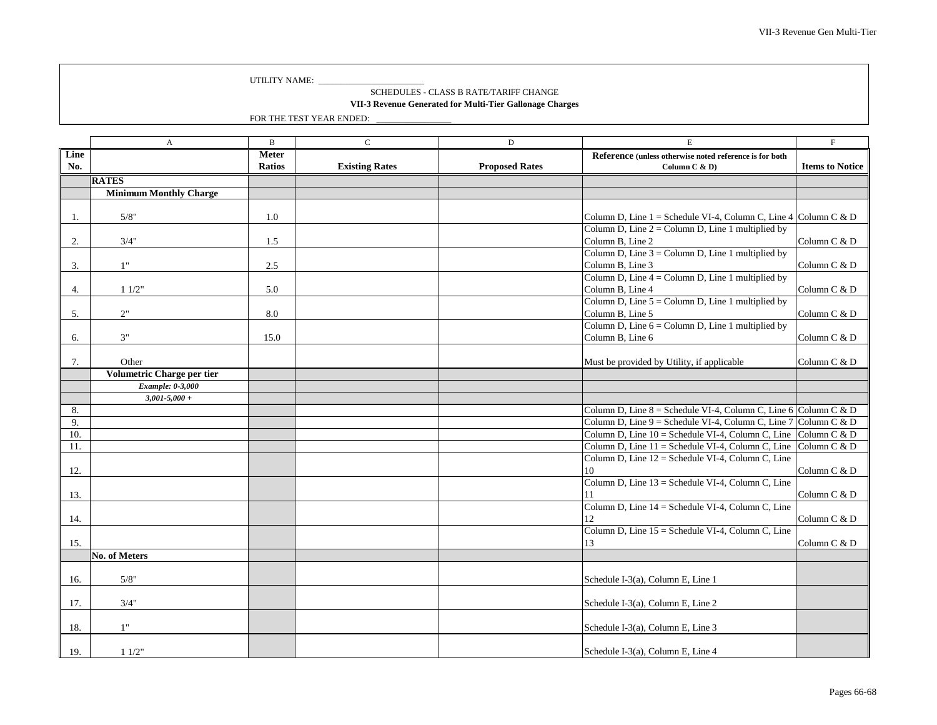SCHEDULES - CLASS B RATE/TARIFF CHANGE

**VII-3 Revenue Generated for Multi-Tier Gallonage Charges**

|      | $\boldsymbol{A}$              | $\mathbf B$   | $\mathbf C$           | $\mathbf D$           | $\mathbf E$                                                                  | $\mathbf{F}$           |
|------|-------------------------------|---------------|-----------------------|-----------------------|------------------------------------------------------------------------------|------------------------|
| Line |                               | <b>Meter</b>  |                       |                       | Reference (unless otherwise noted reference is for both                      |                        |
| No.  |                               | <b>Ratios</b> | <b>Existing Rates</b> | <b>Proposed Rates</b> | Column C & D)                                                                | <b>Items to Notice</b> |
|      | <b>RATES</b>                  |               |                       |                       |                                                                              |                        |
|      | <b>Minimum Monthly Charge</b> |               |                       |                       |                                                                              |                        |
|      |                               |               |                       |                       |                                                                              |                        |
| -1.  | 5/8"                          | 1.0           |                       |                       | Column D, Line 1 = Schedule VI-4, Column C, Line 4 Column C & D              |                        |
|      |                               |               |                       |                       | Column D, Line $2 =$ Column D, Line 1 multiplied by                          |                        |
| 2.   | 3/4"                          | 1.5           |                       |                       | Column B, Line 2                                                             | Column C & D           |
|      |                               |               |                       |                       | Column D, Line $3 =$ Column D, Line 1 multiplied by                          |                        |
| 3.   | 1"                            | 2.5           |                       |                       | Column B, Line 3                                                             | Column C & D           |
|      |                               |               |                       |                       | Column D, Line $4 =$ Column D, Line 1 multiplied by                          |                        |
| 4.   | 11/2"                         | 5.0           |                       |                       | Column B, Line 4                                                             | Column C & D           |
|      |                               |               |                       |                       | Column D, Line $5 =$ Column D, Line 1 multiplied by                          |                        |
| 5.   | 2"                            | 8.0           |                       |                       | Column B, Line 5                                                             | Column C & D           |
|      |                               |               |                       |                       | Column D, Line $6 =$ Column D, Line 1 multiplied by                          |                        |
| 6.   | 3"                            | 15.0          |                       |                       | Column B, Line 6                                                             | Column C & D           |
|      |                               |               |                       |                       |                                                                              |                        |
| 7.   | Other                         |               |                       |                       | Must be provided by Utility, if applicable                                   | Column C & D           |
|      | Volumetric Charge per tier    |               |                       |                       |                                                                              |                        |
|      | Example: 0-3,000              |               |                       |                       |                                                                              |                        |
|      | $3,001 - 5,000 +$             |               |                       |                       |                                                                              |                        |
| 8.   |                               |               |                       |                       | Column D, Line 8 = Schedule VI-4, Column C, Line $\overline{6}$ Column C & D |                        |
| 9.   |                               |               |                       |                       | Column D, Line 9 = Schedule VI-4, Column C, Line 7 Column C & D              |                        |
| 10.  |                               |               |                       |                       | Column D, Line $10 =$ Schedule VI-4, Column C, Line Column C & D             |                        |
| -11. |                               |               |                       |                       | Column D, Line 11 = Schedule VI-4, Column C, Line Column C & D               |                        |
|      |                               |               |                       |                       | Column D, Line 12 = Schedule VI-4, Column C, Line                            |                        |
| 12.  |                               |               |                       |                       | 10                                                                           | Column C & D           |
|      |                               |               |                       |                       | Column D, Line 13 = Schedule VI-4, Column C, Line                            |                        |
| 13.  |                               |               |                       |                       |                                                                              | Column C & D           |
|      |                               |               |                       |                       | Column D, Line 14 = Schedule VI-4, Column C, Line                            |                        |
| 14.  |                               |               |                       |                       |                                                                              | Column C & D           |
|      |                               |               |                       |                       | Column D, Line 15 = Schedule VI-4, Column C, Line                            |                        |
| 15.  |                               |               |                       |                       | 13                                                                           | Column C & D           |
|      | No. of Meters                 |               |                       |                       |                                                                              |                        |
|      |                               |               |                       |                       |                                                                              |                        |
| 16.  | 5/8"                          |               |                       |                       | Schedule I-3(a), Column E, Line 1                                            |                        |
|      |                               |               |                       |                       |                                                                              |                        |
| 17.  | 3/4"                          |               |                       |                       | Schedule I-3(a), Column E, Line 2                                            |                        |
|      |                               |               |                       |                       |                                                                              |                        |
| 18.  | 1"                            |               |                       |                       | Schedule I-3(a), Column E, Line 3                                            |                        |
|      |                               |               |                       |                       |                                                                              |                        |
| 19.  | 11/2"                         |               |                       |                       | Schedule I-3(a), Column E, Line 4                                            |                        |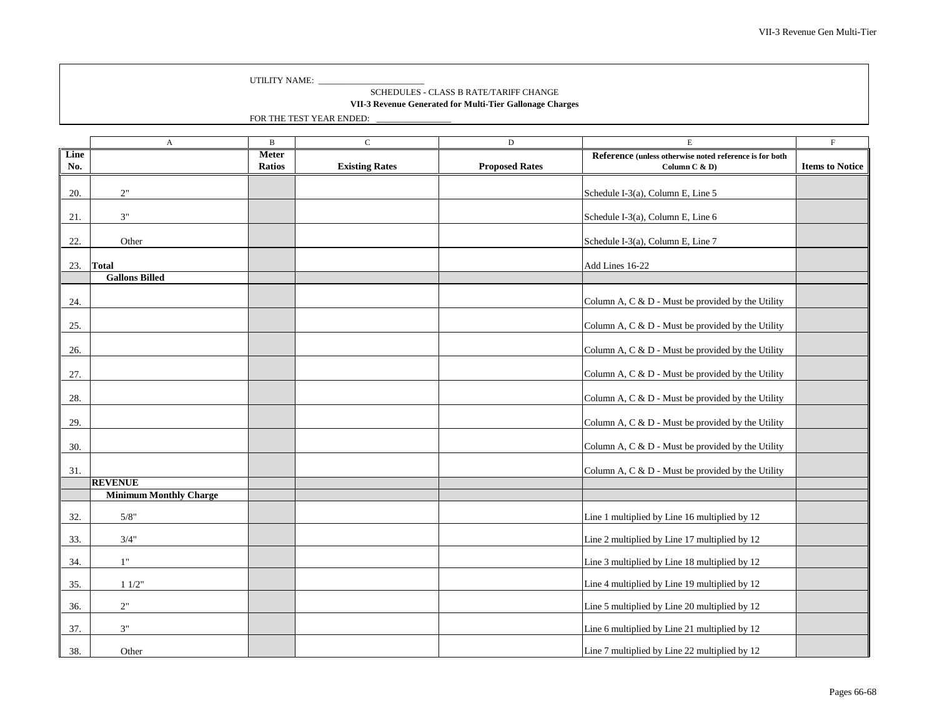SCHEDULES - CLASS B RATE/TARIFF CHANGE

**VII-3 Revenue Generated for Multi-Tier Gallonage Charges**

|      | $\boldsymbol{A}$              | $\, {\bf B}$  | $\mathbf C$           | $\mathbf D$           | $\mathbf E$                                             | $\mathbf F$            |
|------|-------------------------------|---------------|-----------------------|-----------------------|---------------------------------------------------------|------------------------|
| Line |                               | <b>Meter</b>  |                       |                       | Reference (unless otherwise noted reference is for both |                        |
| No.  |                               | <b>Ratios</b> | <b>Existing Rates</b> | <b>Proposed Rates</b> | Column C & D)                                           | <b>Items to Notice</b> |
|      |                               |               |                       |                       |                                                         |                        |
| 20.  | 2"                            |               |                       |                       | Schedule I-3(a), Column E, Line 5                       |                        |
|      |                               |               |                       |                       |                                                         |                        |
| 21.  | $3"$                          |               |                       |                       | Schedule I-3(a), Column E, Line 6                       |                        |
|      |                               |               |                       |                       |                                                         |                        |
| 22.  | Other                         |               |                       |                       | Schedule I-3(a), Column E, Line 7                       |                        |
|      |                               |               |                       |                       |                                                         |                        |
| 23.  | <b>Total</b>                  |               |                       |                       | Add Lines 16-22                                         |                        |
|      | <b>Gallons Billed</b>         |               |                       |                       |                                                         |                        |
|      |                               |               |                       |                       |                                                         |                        |
| 24.  |                               |               |                       |                       | Column A, C & D - Must be provided by the Utility       |                        |
|      |                               |               |                       |                       |                                                         |                        |
| 25.  |                               |               |                       |                       | Column A, C & D - Must be provided by the Utility       |                        |
| 26.  |                               |               |                       |                       | Column A, C & D - Must be provided by the Utility       |                        |
|      |                               |               |                       |                       |                                                         |                        |
| 27.  |                               |               |                       |                       | Column A, C & D - Must be provided by the Utility       |                        |
|      |                               |               |                       |                       |                                                         |                        |
| 28.  |                               |               |                       |                       | Column A, C & D - Must be provided by the Utility       |                        |
|      |                               |               |                       |                       |                                                         |                        |
| 29.  |                               |               |                       |                       | Column A, C & D - Must be provided by the Utility       |                        |
|      |                               |               |                       |                       |                                                         |                        |
| 30.  |                               |               |                       |                       | Column A, C & D - Must be provided by the Utility       |                        |
|      |                               |               |                       |                       |                                                         |                        |
| 31.  |                               |               |                       |                       | Column A, C & D - Must be provided by the Utility       |                        |
|      | <b>REVENUE</b>                |               |                       |                       |                                                         |                        |
|      | <b>Minimum Monthly Charge</b> |               |                       |                       |                                                         |                        |
|      |                               |               |                       |                       |                                                         |                        |
| 32.  | 5/8"                          |               |                       |                       | Line 1 multiplied by Line 16 multiplied by 12           |                        |
|      |                               |               |                       |                       |                                                         |                        |
| 33.  | 3/4"                          |               |                       |                       | Line 2 multiplied by Line 17 multiplied by 12           |                        |
| 34.  | 1"                            |               |                       |                       | Line 3 multiplied by Line 18 multiplied by 12           |                        |
|      |                               |               |                       |                       |                                                         |                        |
| 35.  | 11/2"                         |               |                       |                       | Line 4 multiplied by Line 19 multiplied by 12           |                        |
|      |                               |               |                       |                       |                                                         |                        |
| 36.  | $2"$                          |               |                       |                       | Line 5 multiplied by Line 20 multiplied by 12           |                        |
|      |                               |               |                       |                       |                                                         |                        |
| 37.  | $3"$                          |               |                       |                       | Line 6 multiplied by Line 21 multiplied by 12           |                        |
|      |                               |               |                       |                       |                                                         |                        |
| 38.  | Other                         |               |                       |                       | Line 7 multiplied by Line 22 multiplied by 12           |                        |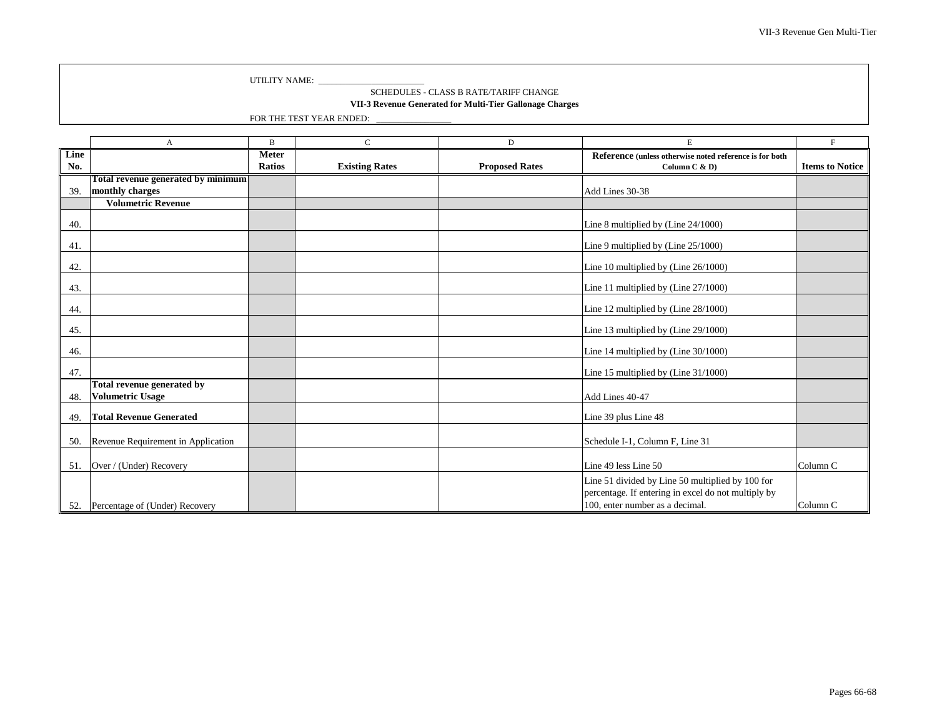SCHEDULES - CLASS B RATE/TARIFF CHANGE

**VII-3 Revenue Generated for Multi-Tier Gallonage Charges**

|      | A                                                     | $\mathbf B$   | $\mathsf{C}$          | D                     | E                                                                                                                                          | F                      |
|------|-------------------------------------------------------|---------------|-----------------------|-----------------------|--------------------------------------------------------------------------------------------------------------------------------------------|------------------------|
| Line |                                                       | <b>Meter</b>  |                       |                       | Reference (unless otherwise noted reference is for both                                                                                    |                        |
| No.  |                                                       | <b>Ratios</b> | <b>Existing Rates</b> | <b>Proposed Rates</b> | Column C & D)                                                                                                                              | <b>Items to Notice</b> |
|      | Total revenue generated by minimum                    |               |                       |                       |                                                                                                                                            |                        |
| 39.  | monthly charges                                       |               |                       |                       | Add Lines 30-38                                                                                                                            |                        |
|      | <b>Volumetric Revenue</b>                             |               |                       |                       |                                                                                                                                            |                        |
| 40.  |                                                       |               |                       |                       | Line 8 multiplied by (Line 24/1000)                                                                                                        |                        |
| 41.  |                                                       |               |                       |                       | Line 9 multiplied by (Line 25/1000)                                                                                                        |                        |
| 42.  |                                                       |               |                       |                       | Line 10 multiplied by (Line 26/1000)                                                                                                       |                        |
| 43.  |                                                       |               |                       |                       | Line 11 multiplied by (Line 27/1000)                                                                                                       |                        |
| 44.  |                                                       |               |                       |                       | Line 12 multiplied by (Line 28/1000)                                                                                                       |                        |
| 45.  |                                                       |               |                       |                       | Line 13 multiplied by (Line 29/1000)                                                                                                       |                        |
| 46.  |                                                       |               |                       |                       | Line 14 multiplied by (Line 30/1000)                                                                                                       |                        |
| 47.  |                                                       |               |                       |                       | Line 15 multiplied by (Line 31/1000)                                                                                                       |                        |
| 48.  | Total revenue generated by<br><b>Volumetric Usage</b> |               |                       |                       | Add Lines 40-47                                                                                                                            |                        |
| 49.  | <b>Total Revenue Generated</b>                        |               |                       |                       | Line 39 plus Line 48                                                                                                                       |                        |
| 50.  | Revenue Requirement in Application                    |               |                       |                       | Schedule I-1, Column F, Line 31                                                                                                            |                        |
| 51.  | Over / (Under) Recovery                               |               |                       |                       | Line 49 less Line 50                                                                                                                       | Column <sub>C</sub>    |
| 52.  | Percentage of (Under) Recovery                        |               |                       |                       | Line 51 divided by Line 50 multiplied by 100 for<br>percentage. If entering in excel do not multiply by<br>100, enter number as a decimal. | Column <sub>C</sub>    |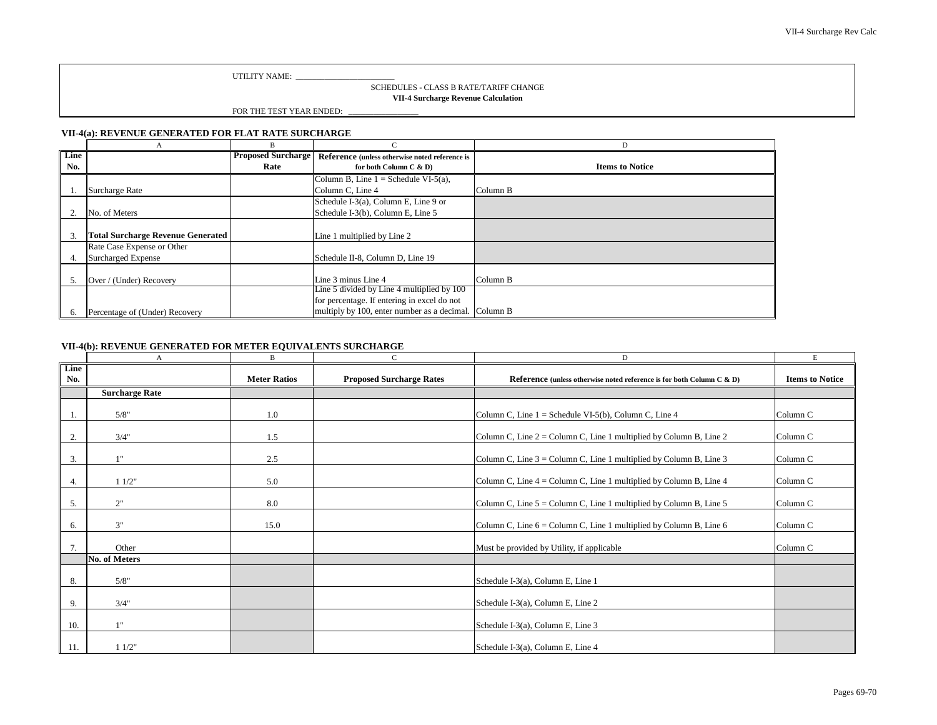UTILITY NAME:

SCHEDULES - CLASS B RATE/TARIFF CHANGE

**VII-4 Surcharge Revenue Calculation**

FOR THE TEST YEAR ENDED:

#### **VII-4(a): REVENUE GENERATED FOR FLAT RATE SURCHARGE**

| Line         |                                          | <b>Proposed Surcharge</b> | Reference (unless otherwise noted reference is |                        |
|--------------|------------------------------------------|---------------------------|------------------------------------------------|------------------------|
| No.          |                                          | Rate                      | for both Column C & D)                         | <b>Items to Notice</b> |
|              |                                          |                           | Column B, Line $1 =$ Schedule VI-5(a),         |                        |
|              | Surcharge Rate                           |                           | Column C, Line 4                               | Column B               |
|              |                                          |                           | Schedule I-3(a), Column E, Line 9 or           |                        |
|              | No. of Meters                            |                           | Schedule I-3(b), Column E, Line 5              |                        |
|              |                                          |                           |                                                |                        |
| $\mathbf{3}$ | <b>Total Surcharge Revenue Generated</b> |                           | Line 1 multiplied by Line 2                    |                        |
|              | Rate Case Expense or Other               |                           |                                                |                        |
| 4.           | <b>Surcharged Expense</b>                |                           | Schedule II-8, Column D, Line 19               |                        |
|              |                                          |                           |                                                |                        |
| .5           | Over / (Under) Recovery                  |                           | Line 3 minus Line 4                            | Column B               |
|              |                                          |                           | Line 5 divided by Line 4 multiplied by 100     |                        |
|              |                                          |                           | for percentage. If entering in excel do not    |                        |
| b.           | Percentage of (Under) Recovery           |                           | multiply by 100, enter number as a decimal.    | Column B               |

#### **VII-4(b): REVENUE GENERATED FOR METER EQUIVALENTS SURCHARGE**

|             | А                     | B                   | $\mathsf{C}$                    | D                                                                        | Е                      |
|-------------|-----------------------|---------------------|---------------------------------|--------------------------------------------------------------------------|------------------------|
| Line<br>No. |                       | <b>Meter Ratios</b> | <b>Proposed Surcharge Rates</b> | Reference (unless otherwise noted reference is for both Column C & D)    | <b>Items to Notice</b> |
|             | <b>Surcharge Rate</b> |                     |                                 |                                                                          |                        |
|             |                       |                     |                                 |                                                                          |                        |
|             | 5/8"                  | 1.0                 |                                 | Column C, Line $1 =$ Schedule VI-5(b), Column C, Line 4                  | Column <sub>C</sub>    |
|             |                       |                     |                                 |                                                                          |                        |
| 2.          | 3/4"                  | 1.5                 |                                 | Column C, Line $2 =$ Column C, Line 1 multiplied by Column B, Line 2     | Column C               |
| 3.          | 1"                    | 2.5                 |                                 | Column C, Line $3 =$ Column C, Line 1 multiplied by Column B, Line 3     | Column <sub>C</sub>    |
|             |                       |                     |                                 |                                                                          |                        |
| 4.          | 11/2"                 | 5.0                 |                                 | Column C, Line $4 =$ Column C, Line 1 multiplied by Column B, Line $4$   | Column <sub>C</sub>    |
| 5.          | 2"                    | 8.0                 |                                 | Column C, Line $5 =$ Column C, Line 1 multiplied by Column B, Line $5 =$ | Column C               |
| 6.          | 3"                    | 15.0                |                                 | Column C, Line 6 = Column C, Line 1 multiplied by Column B, Line 6       | Column <sub>C</sub>    |
| 7.          | Other                 |                     |                                 | Must be provided by Utility, if applicable                               | Column <sub>C</sub>    |
|             | <b>No. of Meters</b>  |                     |                                 |                                                                          |                        |
| 8.          | 5/8"                  |                     |                                 | Schedule I-3(a), Column E, Line 1                                        |                        |
| 9.          | 3/4"                  |                     |                                 | Schedule I-3(a), Column E, Line 2                                        |                        |
| 10.         | 1"                    |                     |                                 | Schedule I-3(a), Column E, Line 3                                        |                        |
| 11.         | 11/2"                 |                     |                                 | Schedule I-3(a), Column E, Line 4                                        |                        |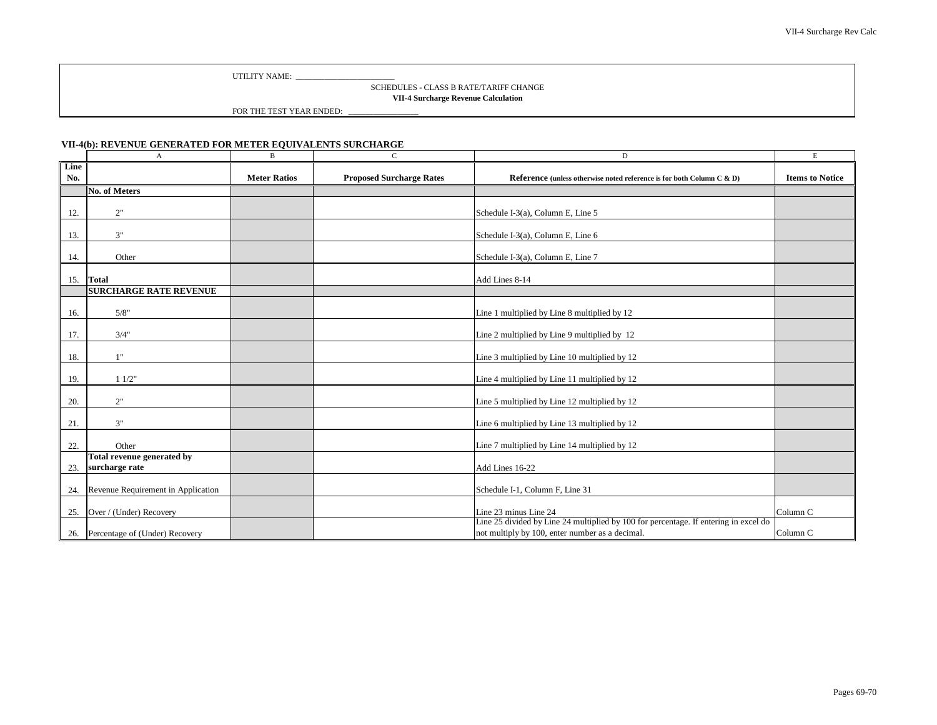UTILITY NAME:

#### SCHEDULES - CLASS B RATE/TARIFF CHANGE

**VII-4 Surcharge Revenue Calculation**

FOR THE TEST YEAR ENDED:

#### **VII-4(b): REVENUE GENERATED FOR METER EQUIVALENTS SURCHARGE**

|             | $\mathbf{A}$                       | $\, {\bf B}$        | C                               | D                                                                                                                                       | E                      |
|-------------|------------------------------------|---------------------|---------------------------------|-----------------------------------------------------------------------------------------------------------------------------------------|------------------------|
| Line<br>No. |                                    | <b>Meter Ratios</b> | <b>Proposed Surcharge Rates</b> | Reference (unless otherwise noted reference is for both Column C & D)                                                                   | <b>Items to Notice</b> |
|             | <b>No. of Meters</b>               |                     |                                 |                                                                                                                                         |                        |
| 12.         | 2"                                 |                     |                                 | Schedule I-3(a), Column E, Line 5                                                                                                       |                        |
| 13.         | 3"                                 |                     |                                 | Schedule I-3(a), Column E, Line 6                                                                                                       |                        |
| 14.         | Other                              |                     |                                 | Schedule I-3(a), Column E, Line 7                                                                                                       |                        |
| 15.         | <b>Total</b>                       |                     |                                 | Add Lines 8-14                                                                                                                          |                        |
|             | <b>SURCHARGE RATE REVENUE</b>      |                     |                                 |                                                                                                                                         |                        |
| 16.         | 5/8"                               |                     |                                 | Line 1 multiplied by Line 8 multiplied by 12                                                                                            |                        |
| 17.         | 3/4"                               |                     |                                 | Line 2 multiplied by Line 9 multiplied by 12                                                                                            |                        |
| 18.         | 1"                                 |                     |                                 | Line 3 multiplied by Line 10 multiplied by 12                                                                                           |                        |
| 19.         | 11/2"                              |                     |                                 | Line 4 multiplied by Line 11 multiplied by 12                                                                                           |                        |
| 20.         | 2"                                 |                     |                                 | Line 5 multiplied by Line 12 multiplied by 12                                                                                           |                        |
| 21.         | 3"                                 |                     |                                 | Line 6 multiplied by Line 13 multiplied by 12                                                                                           |                        |
| 22.         | Other                              |                     |                                 | Line 7 multiplied by Line 14 multiplied by 12                                                                                           |                        |
|             | Total revenue generated by         |                     |                                 |                                                                                                                                         |                        |
| 23.         | surcharge rate                     |                     |                                 | Add Lines 16-22                                                                                                                         |                        |
| 24.         | Revenue Requirement in Application |                     |                                 | Schedule I-1, Column F, Line 31                                                                                                         |                        |
| 25.         | Over / (Under) Recovery            |                     |                                 | Line 23 minus Line 24                                                                                                                   | Column <sub>C</sub>    |
|             | 26. Percentage of (Under) Recovery |                     |                                 | Line 25 divided by Line 24 multiplied by 100 for percentage. If entering in excel do<br>not multiply by 100, enter number as a decimal. | Column <sub>C</sub>    |